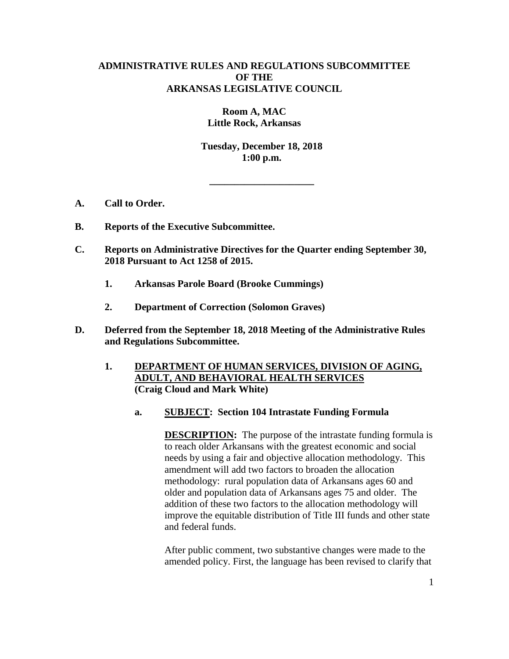# **ADMINISTRATIVE RULES AND REGULATIONS SUBCOMMITTEE OF THE ARKANSAS LEGISLATIVE COUNCIL**

**Room A, MAC Little Rock, Arkansas**

**Tuesday, December 18, 2018 1:00 p.m.**

**\_\_\_\_\_\_\_\_\_\_\_\_\_\_\_\_\_\_\_\_\_**

- **A. Call to Order.**
- **B. Reports of the Executive Subcommittee.**
- **C. Reports on Administrative Directives for the Quarter ending September 30, 2018 Pursuant to Act 1258 of 2015.** 
	- **1. Arkansas Parole Board (Brooke Cummings)**
	- **2. Department of Correction (Solomon Graves)**
- **D. Deferred from the September 18, 2018 Meeting of the Administrative Rules and Regulations Subcommittee.**
	- **1. DEPARTMENT OF HUMAN SERVICES, DIVISION OF AGING, ADULT, AND BEHAVIORAL HEALTH SERVICES (Craig Cloud and Mark White)**
		- **a. SUBJECT: Section 104 Intrastate Funding Formula**

**DESCRIPTION:** The purpose of the intrastate funding formula is to reach older Arkansans with the greatest economic and social needs by using a fair and objective allocation methodology. This amendment will add two factors to broaden the allocation methodology: rural population data of Arkansans ages 60 and older and population data of Arkansans ages 75 and older. The addition of these two factors to the allocation methodology will improve the equitable distribution of Title III funds and other state and federal funds.

After public comment, two substantive changes were made to the amended policy. First, the language has been revised to clarify that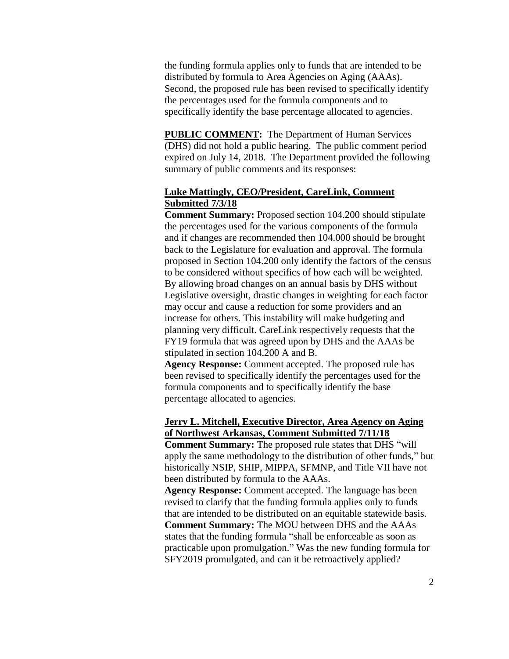the funding formula applies only to funds that are intended to be distributed by formula to Area Agencies on Aging (AAAs). Second, the proposed rule has been revised to specifically identify the percentages used for the formula components and to specifically identify the base percentage allocated to agencies.

**PUBLIC COMMENT:** The Department of Human Services (DHS) did not hold a public hearing. The public comment period expired on July 14, 2018. The Department provided the following summary of public comments and its responses:

# **Luke Mattingly, CEO/President, CareLink, Comment Submitted 7/3/18**

**Comment Summary:** Proposed section 104.200 should stipulate the percentages used for the various components of the formula and if changes are recommended then 104.000 should be brought back to the Legislature for evaluation and approval. The formula proposed in Section 104.200 only identify the factors of the census to be considered without specifics of how each will be weighted. By allowing broad changes on an annual basis by DHS without Legislative oversight, drastic changes in weighting for each factor may occur and cause a reduction for some providers and an increase for others. This instability will make budgeting and planning very difficult. CareLink respectively requests that the FY19 formula that was agreed upon by DHS and the AAAs be stipulated in section 104.200 A and B.

**Agency Response:** Comment accepted. The proposed rule has been revised to specifically identify the percentages used for the formula components and to specifically identify the base percentage allocated to agencies.

# **Jerry L. Mitchell, Executive Director, Area Agency on Aging of Northwest Arkansas, Comment Submitted 7/11/18**

**Comment Summary:** The proposed rule states that DHS "will apply the same methodology to the distribution of other funds," but historically NSIP, SHIP, MIPPA, SFMNP, and Title VII have not been distributed by formula to the AAAs.

**Agency Response:** Comment accepted. The language has been revised to clarify that the funding formula applies only to funds that are intended to be distributed on an equitable statewide basis. **Comment Summary:** The MOU between DHS and the AAAs states that the funding formula "shall be enforceable as soon as practicable upon promulgation." Was the new funding formula for SFY2019 promulgated, and can it be retroactively applied?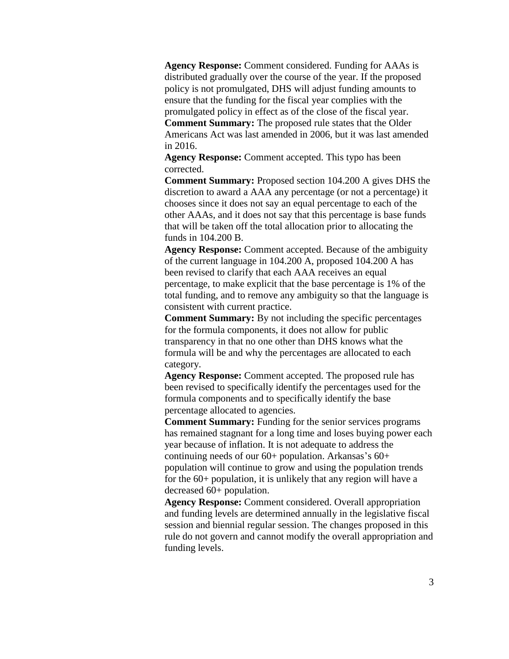**Agency Response:** Comment considered. Funding for AAAs is distributed gradually over the course of the year. If the proposed policy is not promulgated, DHS will adjust funding amounts to ensure that the funding for the fiscal year complies with the promulgated policy in effect as of the close of the fiscal year. **Comment Summary:** The proposed rule states that the Older Americans Act was last amended in 2006, but it was last amended in 2016.

**Agency Response:** Comment accepted. This typo has been corrected.

**Comment Summary:** Proposed section 104.200 A gives DHS the discretion to award a AAA any percentage (or not a percentage) it chooses since it does not say an equal percentage to each of the other AAAs, and it does not say that this percentage is base funds that will be taken off the total allocation prior to allocating the funds in 104.200 B.

**Agency Response:** Comment accepted. Because of the ambiguity of the current language in 104.200 A, proposed 104.200 A has been revised to clarify that each AAA receives an equal percentage, to make explicit that the base percentage is 1% of the total funding, and to remove any ambiguity so that the language is consistent with current practice.

**Comment Summary:** By not including the specific percentages for the formula components, it does not allow for public transparency in that no one other than DHS knows what the formula will be and why the percentages are allocated to each category.

**Agency Response:** Comment accepted. The proposed rule has been revised to specifically identify the percentages used for the formula components and to specifically identify the base percentage allocated to agencies.

**Comment Summary:** Funding for the senior services programs has remained stagnant for a long time and loses buying power each year because of inflation. It is not adequate to address the continuing needs of our  $60+$  population. Arkansas's  $60+$ population will continue to grow and using the population trends for the 60+ population, it is unlikely that any region will have a decreased 60+ population.

**Agency Response:** Comment considered. Overall appropriation and funding levels are determined annually in the legislative fiscal session and biennial regular session. The changes proposed in this rule do not govern and cannot modify the overall appropriation and funding levels.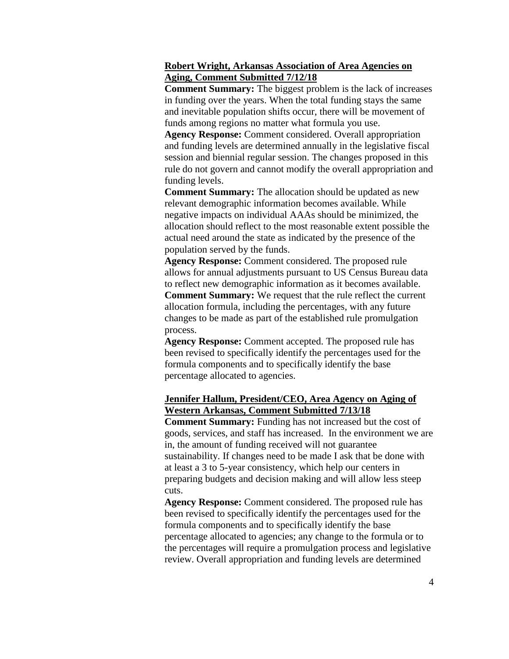# **Robert Wright, Arkansas Association of Area Agencies on Aging, Comment Submitted 7/12/18**

**Comment Summary:** The biggest problem is the lack of increases in funding over the years. When the total funding stays the same and inevitable population shifts occur, there will be movement of funds among regions no matter what formula you use.

**Agency Response:** Comment considered. Overall appropriation and funding levels are determined annually in the legislative fiscal session and biennial regular session. The changes proposed in this rule do not govern and cannot modify the overall appropriation and funding levels.

**Comment Summary:** The allocation should be updated as new relevant demographic information becomes available. While negative impacts on individual AAAs should be minimized, the allocation should reflect to the most reasonable extent possible the actual need around the state as indicated by the presence of the population served by the funds.

**Agency Response:** Comment considered. The proposed rule allows for annual adjustments pursuant to US Census Bureau data to reflect new demographic information as it becomes available. **Comment Summary:** We request that the rule reflect the current allocation formula, including the percentages, with any future changes to be made as part of the established rule promulgation process.

**Agency Response:** Comment accepted. The proposed rule has been revised to specifically identify the percentages used for the formula components and to specifically identify the base percentage allocated to agencies.

# **Jennifer Hallum, President/CEO, Area Agency on Aging of Western Arkansas, Comment Submitted 7/13/18**

**Comment Summary:** Funding has not increased but the cost of goods, services, and staff has increased. In the environment we are in, the amount of funding received will not guarantee sustainability. If changes need to be made I ask that be done with at least a 3 to 5-year consistency, which help our centers in preparing budgets and decision making and will allow less steep cuts.

**Agency Response:** Comment considered. The proposed rule has been revised to specifically identify the percentages used for the formula components and to specifically identify the base percentage allocated to agencies; any change to the formula or to the percentages will require a promulgation process and legislative review. Overall appropriation and funding levels are determined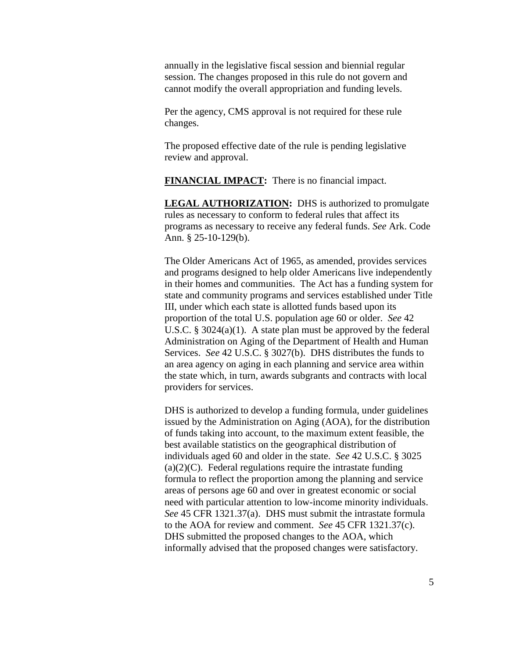annually in the legislative fiscal session and biennial regular session. The changes proposed in this rule do not govern and cannot modify the overall appropriation and funding levels.

Per the agency, CMS approval is not required for these rule changes.

The proposed effective date of the rule is pending legislative review and approval.

**FINANCIAL IMPACT:** There is no financial impact.

**LEGAL AUTHORIZATION:** DHS is authorized to promulgate rules as necessary to conform to federal rules that affect its programs as necessary to receive any federal funds. *See* Ark. Code Ann. § 25-10-129(b).

The Older Americans Act of 1965, as amended, provides services and programs designed to help older Americans live independently in their homes and communities. The Act has a funding system for state and community programs and services established under Title III, under which each state is allotted funds based upon its proportion of the total U.S. population age 60 or older. *See* 42 U.S.C. § 3024(a)(1). A state plan must be approved by the federal Administration on Aging of the Department of Health and Human Services. *See* 42 U.S.C. § 3027(b). DHS distributes the funds to an area agency on aging in each planning and service area within the state which, in turn, awards subgrants and contracts with local providers for services.

DHS is authorized to develop a funding formula, under guidelines issued by the Administration on Aging (AOA), for the distribution of funds taking into account, to the maximum extent feasible, the best available statistics on the geographical distribution of individuals aged 60 and older in the state. *See* 42 U.S.C. § 3025  $(a)(2)(C)$ . Federal regulations require the intrastate funding formula to reflect the proportion among the planning and service areas of persons age 60 and over in greatest economic or social need with particular attention to low-income minority individuals. *See* 45 CFR 1321.37(a). DHS must submit the intrastate formula to the AOA for review and comment. *See* 45 CFR 1321.37(c). DHS submitted the proposed changes to the AOA, which informally advised that the proposed changes were satisfactory.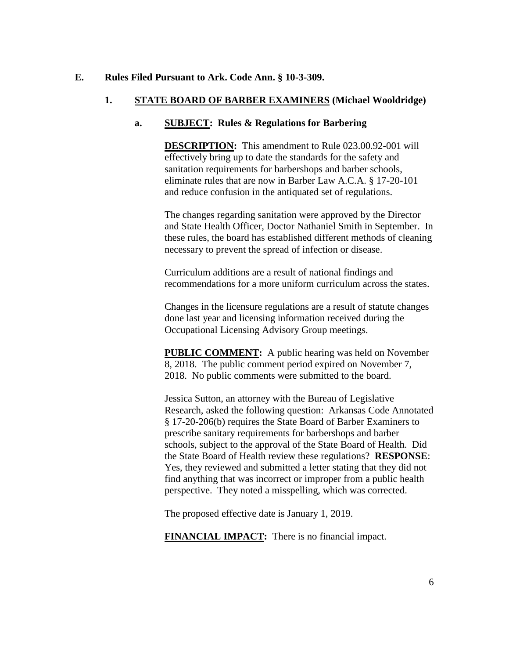#### **E. Rules Filed Pursuant to Ark. Code Ann. § 10-3-309.**

# **1. STATE BOARD OF BARBER EXAMINERS (Michael Wooldridge)**

# **a. SUBJECT: Rules & Regulations for Barbering**

**DESCRIPTION:** This amendment to Rule 023.00.92-001 will effectively bring up to date the standards for the safety and sanitation requirements for barbershops and barber schools, eliminate rules that are now in Barber Law A.C.A. § 17-20-101 and reduce confusion in the antiquated set of regulations.

The changes regarding sanitation were approved by the Director and State Health Officer, Doctor Nathaniel Smith in September. In these rules, the board has established different methods of cleaning necessary to prevent the spread of infection or disease.

Curriculum additions are a result of national findings and recommendations for a more uniform curriculum across the states.

Changes in the licensure regulations are a result of statute changes done last year and licensing information received during the Occupational Licensing Advisory Group meetings.

**PUBLIC COMMENT:** A public hearing was held on November 8, 2018. The public comment period expired on November 7, 2018. No public comments were submitted to the board.

Jessica Sutton, an attorney with the Bureau of Legislative Research, asked the following question: Arkansas Code Annotated § 17-20-206(b) requires the State Board of Barber Examiners to prescribe sanitary requirements for barbershops and barber schools, subject to the approval of the State Board of Health. Did the State Board of Health review these regulations? **RESPONSE**: Yes, they reviewed and submitted a letter stating that they did not find anything that was incorrect or improper from a public health perspective. They noted a misspelling, which was corrected.

The proposed effective date is January 1, 2019.

**FINANCIAL IMPACT:** There is no financial impact.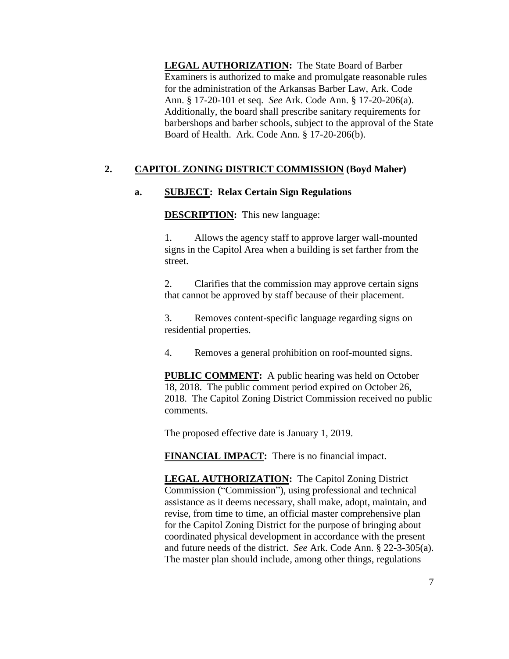**LEGAL AUTHORIZATION:** The State Board of Barber Examiners is authorized to make and promulgate reasonable rules for the administration of the Arkansas Barber Law, Ark. Code Ann. § 17-20-101 et seq. *See* Ark. Code Ann. § 17-20-206(a). Additionally, the board shall prescribe sanitary requirements for barbershops and barber schools, subject to the approval of the State Board of Health. Ark. Code Ann. § 17-20-206(b).

# **2. CAPITOL ZONING DISTRICT COMMISSION (Boyd Maher)**

# **a. SUBJECT: Relax Certain Sign Regulations**

**DESCRIPTION:** This new language:

1. Allows the agency staff to approve larger wall-mounted signs in the Capitol Area when a building is set farther from the street.

2. Clarifies that the commission may approve certain signs that cannot be approved by staff because of their placement.

3. Removes content-specific language regarding signs on residential properties.

4. Removes a general prohibition on roof-mounted signs.

**PUBLIC COMMENT:** A public hearing was held on October 18, 2018. The public comment period expired on October 26, 2018. The Capitol Zoning District Commission received no public comments.

The proposed effective date is January 1, 2019.

**FINANCIAL IMPACT:** There is no financial impact.

**LEGAL AUTHORIZATION:** The Capitol Zoning District Commission ("Commission"), using professional and technical assistance as it deems necessary, shall make, adopt, maintain, and revise, from time to time, an official master comprehensive plan for the Capitol Zoning District for the purpose of bringing about coordinated physical development in accordance with the present and future needs of the district. *See* Ark. Code Ann. § 22-3-305(a). The master plan should include, among other things, regulations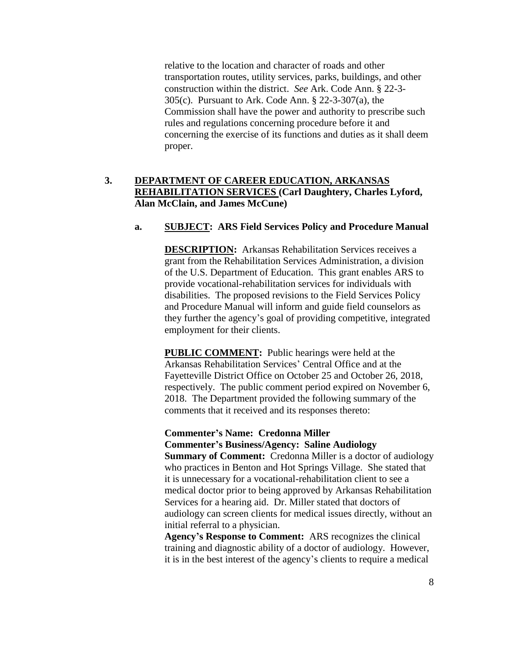relative to the location and character of roads and other transportation routes, utility services, parks, buildings, and other construction within the district. *See* Ark. Code Ann. § 22-3- 305(c). Pursuant to Ark. Code Ann. § 22-3-307(a), the Commission shall have the power and authority to prescribe such rules and regulations concerning procedure before it and concerning the exercise of its functions and duties as it shall deem proper.

# **3. DEPARTMENT OF CAREER EDUCATION, ARKANSAS REHABILITATION SERVICES (Carl Daughtery, Charles Lyford, Alan McClain, and James McCune)**

#### **a. SUBJECT: ARS Field Services Policy and Procedure Manual**

**DESCRIPTION:** Arkansas Rehabilitation Services receives a grant from the Rehabilitation Services Administration, a division of the U.S. Department of Education. This grant enables ARS to provide vocational-rehabilitation services for individuals with disabilities. The proposed revisions to the Field Services Policy and Procedure Manual will inform and guide field counselors as they further the agency's goal of providing competitive, integrated employment for their clients.

**PUBLIC COMMENT:** Public hearings were held at the Arkansas Rehabilitation Services' Central Office and at the Fayetteville District Office on October 25 and October 26, 2018, respectively. The public comment period expired on November 6, 2018. The Department provided the following summary of the comments that it received and its responses thereto:

#### **Commenter's Name: Credonna Miller Commenter's Business/Agency: Saline Audiology**

**Summary of Comment:** Credonna Miller is a doctor of audiology who practices in Benton and Hot Springs Village. She stated that it is unnecessary for a vocational-rehabilitation client to see a medical doctor prior to being approved by Arkansas Rehabilitation Services for a hearing aid. Dr. Miller stated that doctors of audiology can screen clients for medical issues directly, without an initial referral to a physician.

**Agency's Response to Comment:** ARS recognizes the clinical training and diagnostic ability of a doctor of audiology. However, it is in the best interest of the agency's clients to require a medical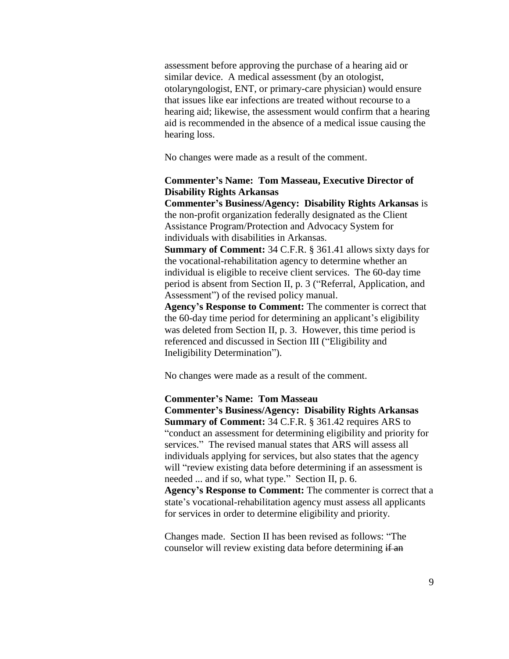assessment before approving the purchase of a hearing aid or similar device. A medical assessment (by an otologist, otolaryngologist, ENT, or primary-care physician) would ensure that issues like ear infections are treated without recourse to a hearing aid; likewise, the assessment would confirm that a hearing aid is recommended in the absence of a medical issue causing the hearing loss.

No changes were made as a result of the comment.

### **Commenter's Name: Tom Masseau, Executive Director of Disability Rights Arkansas**

**Commenter's Business/Agency: Disability Rights Arkansas** is the non-profit organization federally designated as the Client Assistance Program/Protection and Advocacy System for individuals with disabilities in Arkansas.

**Summary of Comment:** 34 C.F.R. § 361.41 allows sixty days for the vocational-rehabilitation agency to determine whether an individual is eligible to receive client services. The 60-day time period is absent from Section II, p. 3 ("Referral, Application, and Assessment") of the revised policy manual.

**Agency's Response to Comment:** The commenter is correct that the 60-day time period for determining an applicant's eligibility was deleted from Section II, p. 3. However, this time period is referenced and discussed in Section III ("Eligibility and Ineligibility Determination").

No changes were made as a result of the comment.

#### **Commenter's Name: Tom Masseau**

**Commenter's Business/Agency: Disability Rights Arkansas Summary of Comment:** 34 C.F.R. § 361.42 requires ARS to "conduct an assessment for determining eligibility and priority for services." The revised manual states that ARS will assess all individuals applying for services, but also states that the agency will "review existing data before determining if an assessment is needed ... and if so, what type." Section II, p. 6. **Agency's Response to Comment:** The commenter is correct that a state's vocational-rehabilitation agency must assess all applicants for services in order to determine eligibility and priority.

Changes made. Section II has been revised as follows: "The counselor will review existing data before determining if an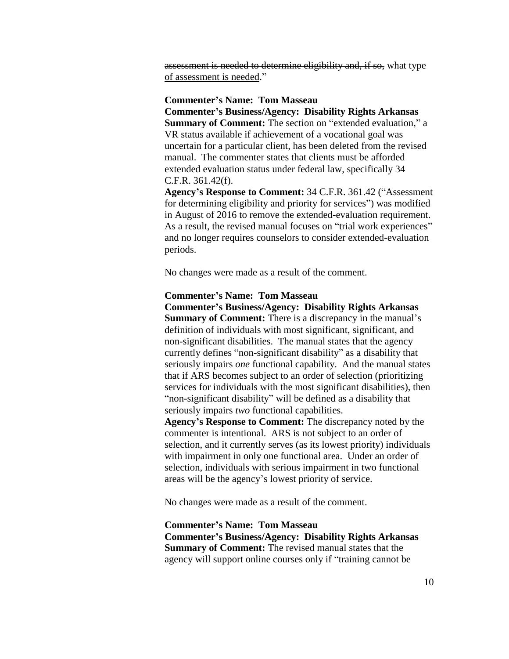assessment is needed to determine eligibility and, if so, what type of assessment is needed."

#### **Commenter's Name: Tom Masseau**

**Commenter's Business/Agency: Disability Rights Arkansas**

**Summary of Comment:** The section on "extended evaluation," a VR status available if achievement of a vocational goal was uncertain for a particular client, has been deleted from the revised manual. The commenter states that clients must be afforded extended evaluation status under federal law, specifically 34 C.F.R. 361.42(f).

**Agency's Response to Comment:** 34 C.F.R. 361.42 ("Assessment for determining eligibility and priority for services") was modified in August of 2016 to remove the extended-evaluation requirement. As a result, the revised manual focuses on "trial work experiences" and no longer requires counselors to consider extended-evaluation periods.

No changes were made as a result of the comment.

#### **Commenter's Name: Tom Masseau**

**Commenter's Business/Agency: Disability Rights Arkansas Summary of Comment:** There is a discrepancy in the manual's definition of individuals with most significant, significant, and non-significant disabilities. The manual states that the agency currently defines "non-significant disability" as a disability that seriously impairs *one* functional capability. And the manual states that if ARS becomes subject to an order of selection (prioritizing services for individuals with the most significant disabilities), then "non-significant disability" will be defined as a disability that seriously impairs *two* functional capabilities.

**Agency's Response to Comment:** The discrepancy noted by the commenter is intentional. ARS is not subject to an order of selection, and it currently serves (as its lowest priority) individuals with impairment in only one functional area. Under an order of selection, individuals with serious impairment in two functional areas will be the agency's lowest priority of service.

No changes were made as a result of the comment.

**Commenter's Name: Tom Masseau Commenter's Business/Agency: Disability Rights Arkansas Summary of Comment:** The revised manual states that the agency will support online courses only if "training cannot be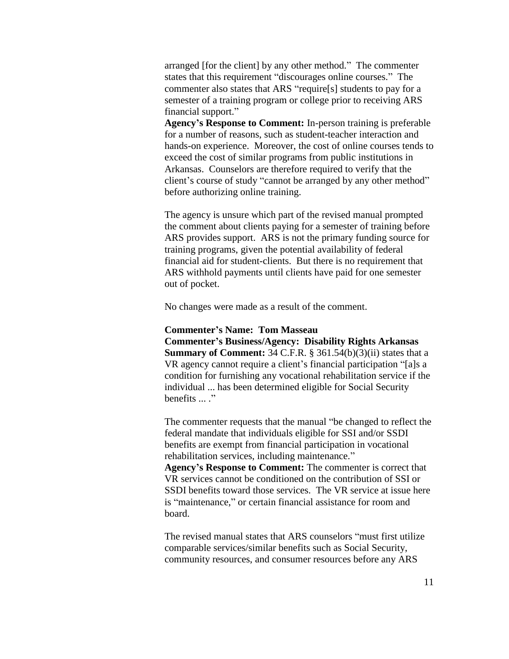arranged [for the client] by any other method." The commenter states that this requirement "discourages online courses." The commenter also states that ARS "require[s] students to pay for a semester of a training program or college prior to receiving ARS financial support."

**Agency's Response to Comment:** In-person training is preferable for a number of reasons, such as student-teacher interaction and hands-on experience. Moreover, the cost of online courses tends to exceed the cost of similar programs from public institutions in Arkansas. Counselors are therefore required to verify that the client's course of study "cannot be arranged by any other method" before authorizing online training.

The agency is unsure which part of the revised manual prompted the comment about clients paying for a semester of training before ARS provides support. ARS is not the primary funding source for training programs, given the potential availability of federal financial aid for student-clients. But there is no requirement that ARS withhold payments until clients have paid for one semester out of pocket.

No changes were made as a result of the comment.

#### **Commenter's Name: Tom Masseau**

**Commenter's Business/Agency: Disability Rights Arkansas Summary of Comment:** 34 C.F.R. § 361.54(b)(3)(ii) states that a VR agency cannot require a client's financial participation "[a]s a condition for furnishing any vocational rehabilitation service if the individual ... has been determined eligible for Social Security benefits ... ."

The commenter requests that the manual "be changed to reflect the federal mandate that individuals eligible for SSI and/or SSDI benefits are exempt from financial participation in vocational rehabilitation services, including maintenance." **Agency's Response to Comment:** The commenter is correct that VR services cannot be conditioned on the contribution of SSI or SSDI benefits toward those services. The VR service at issue here is "maintenance," or certain financial assistance for room and board.

The revised manual states that ARS counselors "must first utilize comparable services/similar benefits such as Social Security, community resources, and consumer resources before any ARS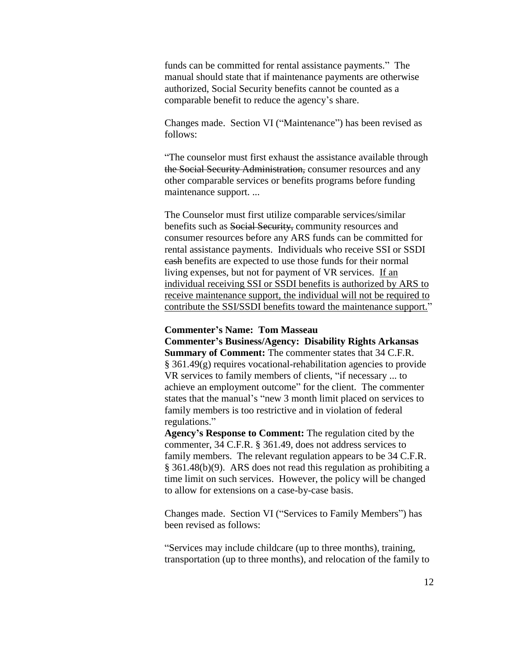funds can be committed for rental assistance payments." The manual should state that if maintenance payments are otherwise authorized, Social Security benefits cannot be counted as a comparable benefit to reduce the agency's share.

Changes made. Section VI ("Maintenance") has been revised as follows:

"The counselor must first exhaust the assistance available through the Social Security Administration, consumer resources and any other comparable services or benefits programs before funding maintenance support. ...

The Counselor must first utilize comparable services/similar benefits such as Social Security, community resources and consumer resources before any ARS funds can be committed for rental assistance payments. Individuals who receive SSI or SSDI cash benefits are expected to use those funds for their normal living expenses, but not for payment of VR services. If an individual receiving SSI or SSDI benefits is authorized by ARS to receive maintenance support, the individual will not be required to contribute the SSI/SSDI benefits toward the maintenance support."

#### **Commenter's Name: Tom Masseau**

**Commenter's Business/Agency: Disability Rights Arkansas Summary of Comment:** The commenter states that 34 C.F.R. § 361.49(g) requires vocational-rehabilitation agencies to provide VR services to family members of clients, "if necessary ... to achieve an employment outcome" for the client. The commenter states that the manual's "new 3 month limit placed on services to family members is too restrictive and in violation of federal regulations."

**Agency's Response to Comment:** The regulation cited by the commenter, 34 C.F.R. § 361.49, does not address services to family members. The relevant regulation appears to be 34 C.F.R. § 361.48(b)(9). ARS does not read this regulation as prohibiting a time limit on such services. However, the policy will be changed to allow for extensions on a case-by-case basis.

Changes made. Section VI ("Services to Family Members") has been revised as follows:

"Services may include childcare (up to three months), training, transportation (up to three months), and relocation of the family to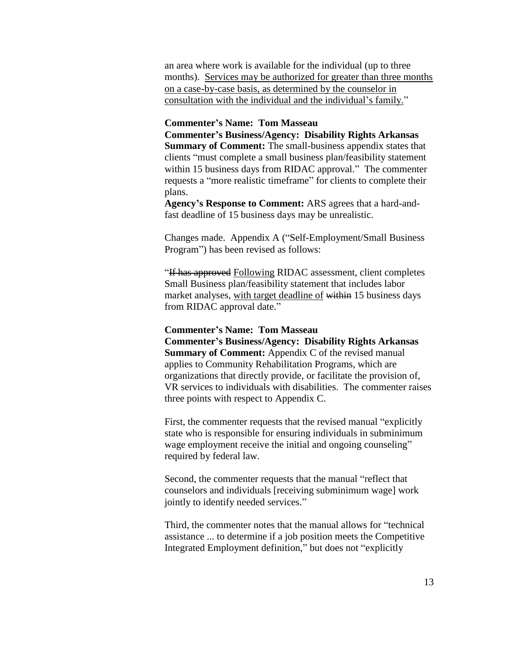an area where work is available for the individual (up to three months). Services may be authorized for greater than three months on a case-by-case basis, as determined by the counselor in consultation with the individual and the individual's family."

#### **Commenter's Name: Tom Masseau**

**Commenter's Business/Agency: Disability Rights Arkansas Summary of Comment:** The small-business appendix states that clients "must complete a small business plan/feasibility statement within 15 business days from RIDAC approval." The commenter requests a "more realistic timeframe" for clients to complete their plans.

**Agency's Response to Comment:** ARS agrees that a hard-andfast deadline of 15 business days may be unrealistic.

Changes made. Appendix A ("Self-Employment/Small Business Program") has been revised as follows:

"If has approved Following RIDAC assessment, client completes Small Business plan/feasibility statement that includes labor market analyses, with target deadline of within 15 business days from RIDAC approval date."

#### **Commenter's Name: Tom Masseau**

**Commenter's Business/Agency: Disability Rights Arkansas Summary of Comment:** Appendix C of the revised manual applies to Community Rehabilitation Programs, which are organizations that directly provide, or facilitate the provision of, VR services to individuals with disabilities. The commenter raises three points with respect to Appendix C.

First, the commenter requests that the revised manual "explicitly state who is responsible for ensuring individuals in subminimum wage employment receive the initial and ongoing counseling" required by federal law.

Second, the commenter requests that the manual "reflect that counselors and individuals [receiving subminimum wage] work jointly to identify needed services."

Third, the commenter notes that the manual allows for "technical assistance ... to determine if a job position meets the Competitive Integrated Employment definition," but does not "explicitly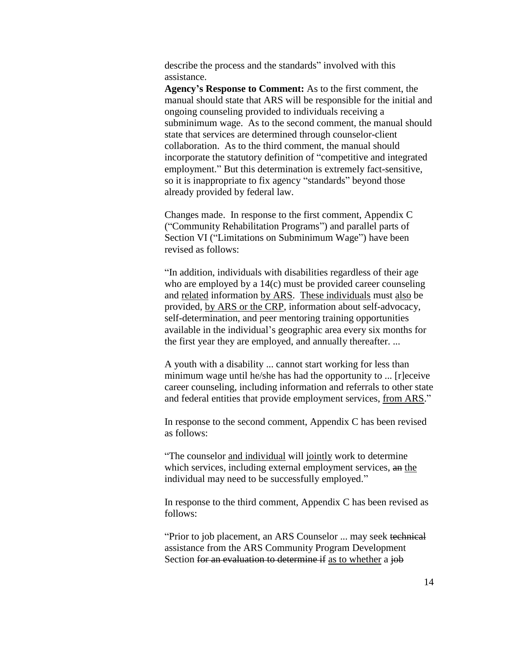describe the process and the standards" involved with this assistance.

**Agency's Response to Comment:** As to the first comment, the manual should state that ARS will be responsible for the initial and ongoing counseling provided to individuals receiving a subminimum wage. As to the second comment, the manual should state that services are determined through counselor-client collaboration. As to the third comment, the manual should incorporate the statutory definition of "competitive and integrated employment." But this determination is extremely fact-sensitive, so it is inappropriate to fix agency "standards" beyond those already provided by federal law.

Changes made. In response to the first comment, Appendix C ("Community Rehabilitation Programs") and parallel parts of Section VI ("Limitations on Subminimum Wage") have been revised as follows:

"In addition, individuals with disabilities regardless of their age who are employed by a 14(c) must be provided career counseling and related information by ARS. These individuals must also be provided, by ARS or the CRP, information about self-advocacy, self-determination, and peer mentoring training opportunities available in the individual's geographic area every six months for the first year they are employed, and annually thereafter. ...

A youth with a disability ... cannot start working for less than minimum wage until he/she has had the opportunity to ... [r]eceive career counseling, including information and referrals to other state and federal entities that provide employment services, from ARS."

In response to the second comment, Appendix C has been revised as follows:

"The counselor and individual will jointly work to determine which services, including external employment services, an the individual may need to be successfully employed."

In response to the third comment, Appendix C has been revised as follows:

"Prior to job placement, an ARS Counselor ... may seek technical assistance from the ARS Community Program Development Section for an evaluation to determine if as to whether a job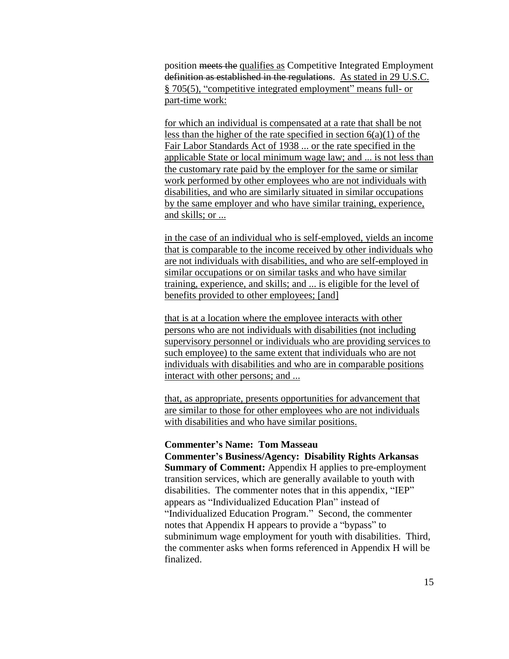position meets the qualifies as Competitive Integrated Employment definition as established in the regulations. As stated in 29 U.S.C. § 705(5), "competitive integrated employment" means full- or part-time work:

for which an individual is compensated at a rate that shall be not less than the higher of the rate specified in section  $6(a)(1)$  of the Fair Labor Standards Act of 1938 ... or the rate specified in the applicable State or local minimum wage law; and ... is not less than the customary rate paid by the employer for the same or similar work performed by other employees who are not individuals with disabilities, and who are similarly situated in similar occupations by the same employer and who have similar training, experience, and skills; or ...

in the case of an individual who is self-employed, yields an income that is comparable to the income received by other individuals who are not individuals with disabilities, and who are self-employed in similar occupations or on similar tasks and who have similar training, experience, and skills; and ... is eligible for the level of benefits provided to other employees; [and]

that is at a location where the employee interacts with other persons who are not individuals with disabilities (not including supervisory personnel or individuals who are providing services to such employee) to the same extent that individuals who are not individuals with disabilities and who are in comparable positions interact with other persons; and ...

that, as appropriate, presents opportunities for advancement that are similar to those for other employees who are not individuals with disabilities and who have similar positions.

## **Commenter's Name: Tom Masseau**

**Commenter's Business/Agency: Disability Rights Arkansas Summary of Comment:** Appendix H applies to pre-employment transition services, which are generally available to youth with disabilities. The commenter notes that in this appendix, "IEP" appears as "Individualized Education Plan" instead of "Individualized Education Program." Second, the commenter notes that Appendix H appears to provide a "bypass" to subminimum wage employment for youth with disabilities. Third, the commenter asks when forms referenced in Appendix H will be finalized.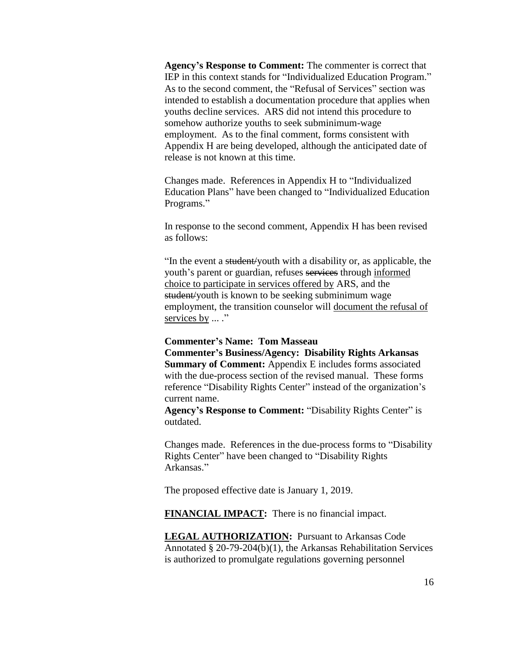**Agency's Response to Comment:** The commenter is correct that IEP in this context stands for "Individualized Education Program." As to the second comment, the "Refusal of Services" section was intended to establish a documentation procedure that applies when youths decline services. ARS did not intend this procedure to somehow authorize youths to seek subminimum-wage employment. As to the final comment, forms consistent with Appendix H are being developed, although the anticipated date of release is not known at this time.

Changes made. References in Appendix H to "Individualized Education Plans" have been changed to "Individualized Education Programs."

In response to the second comment, Appendix H has been revised as follows:

"In the event a student/youth with a disability or, as applicable, the youth's parent or guardian, refuses services through informed choice to participate in services offered by ARS, and the student/youth is known to be seeking subminimum wage employment, the transition counselor will document the refusal of services by ... ."

#### **Commenter's Name: Tom Masseau**

**Commenter's Business/Agency: Disability Rights Arkansas Summary of Comment:** Appendix E includes forms associated with the due-process section of the revised manual. These forms reference "Disability Rights Center" instead of the organization's current name.

**Agency's Response to Comment:** "Disability Rights Center" is outdated.

Changes made. References in the due-process forms to "Disability Rights Center" have been changed to "Disability Rights Arkansas."

The proposed effective date is January 1, 2019.

**FINANCIAL IMPACT:** There is no financial impact.

**LEGAL AUTHORIZATION:** Pursuant to Arkansas Code Annotated § 20-79-204(b)(1), the Arkansas Rehabilitation Services is authorized to promulgate regulations governing personnel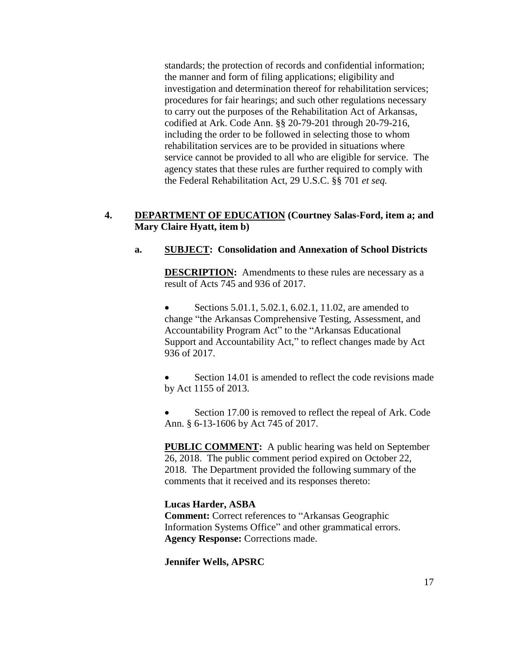standards; the protection of records and confidential information; the manner and form of filing applications; eligibility and investigation and determination thereof for rehabilitation services; procedures for fair hearings; and such other regulations necessary to carry out the purposes of the Rehabilitation Act of Arkansas, codified at Ark. Code Ann. §§ 20-79-201 through 20-79-216, including the order to be followed in selecting those to whom rehabilitation services are to be provided in situations where service cannot be provided to all who are eligible for service. The agency states that these rules are further required to comply with the Federal Rehabilitation Act, 29 U.S.C. §§ 701 *et seq.*

# **4. DEPARTMENT OF EDUCATION (Courtney Salas-Ford, item a; and Mary Claire Hyatt, item b)**

# **a. SUBJECT: Consolidation and Annexation of School Districts**

**DESCRIPTION:** Amendments to these rules are necessary as a result of Acts 745 and 936 of 2017.

 Sections 5.01.1, 5.02.1, 6.02.1, 11.02, are amended to change "the Arkansas Comprehensive Testing, Assessment, and Accountability Program Act" to the "Arkansas Educational Support and Accountability Act," to reflect changes made by Act 936 of 2017.

 Section 14.01 is amended to reflect the code revisions made by Act 1155 of 2013.

 Section 17.00 is removed to reflect the repeal of Ark. Code Ann. § 6-13-1606 by Act 745 of 2017.

**PUBLIC COMMENT:** A public hearing was held on September 26, 2018. The public comment period expired on October 22, 2018. The Department provided the following summary of the comments that it received and its responses thereto:

**Lucas Harder, ASBA Comment:** Correct references to "Arkansas Geographic Information Systems Office" and other grammatical errors. **Agency Response:** Corrections made.

**Jennifer Wells, APSRC**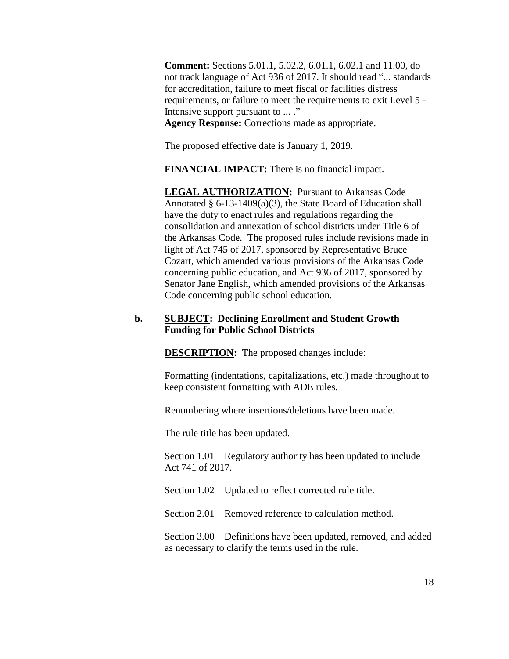**Comment:** Sections 5.01.1, 5.02.2, 6.01.1, 6.02.1 and 11.00, do not track language of Act 936 of 2017. It should read "... standards for accreditation, failure to meet fiscal or facilities distress requirements, or failure to meet the requirements to exit Level 5 - Intensive support pursuant to ... ." **Agency Response:** Corrections made as appropriate.

The proposed effective date is January 1, 2019.

**FINANCIAL IMPACT:** There is no financial impact.

**LEGAL AUTHORIZATION:** Pursuant to Arkansas Code Annotated § 6-13-1409(a)(3), the State Board of Education shall have the duty to enact rules and regulations regarding the consolidation and annexation of school districts under Title 6 of the Arkansas Code. The proposed rules include revisions made in light of Act 745 of 2017, sponsored by Representative Bruce Cozart, which amended various provisions of the Arkansas Code concerning public education, and Act 936 of 2017, sponsored by Senator Jane English, which amended provisions of the Arkansas Code concerning public school education.

#### **b. SUBJECT: Declining Enrollment and Student Growth Funding for Public School Districts**

**DESCRIPTION:** The proposed changes include:

Formatting (indentations, capitalizations, etc.) made throughout to keep consistent formatting with ADE rules.

Renumbering where insertions/deletions have been made.

The rule title has been updated.

Section 1.01 Regulatory authority has been updated to include Act 741 of 2017.

Section 1.02 Updated to reflect corrected rule title.

Section 2.01 Removed reference to calculation method.

Section 3.00 Definitions have been updated, removed, and added as necessary to clarify the terms used in the rule.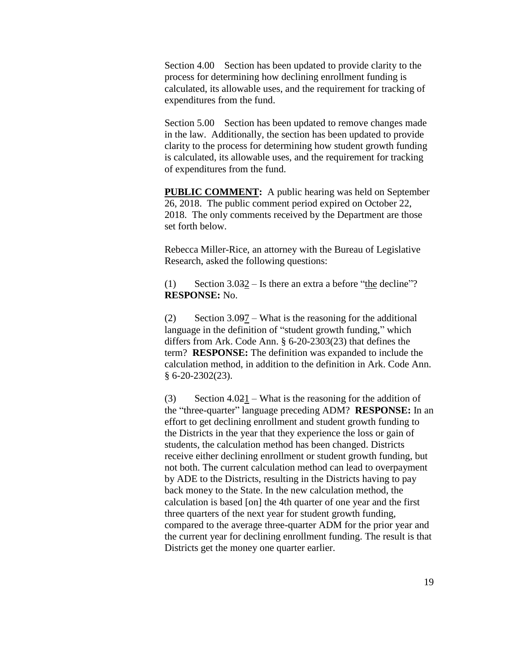Section 4.00 Section has been updated to provide clarity to the process for determining how declining enrollment funding is calculated, its allowable uses, and the requirement for tracking of expenditures from the fund.

Section 5.00 Section has been updated to remove changes made in the law. Additionally, the section has been updated to provide clarity to the process for determining how student growth funding is calculated, its allowable uses, and the requirement for tracking of expenditures from the fund.

**PUBLIC COMMENT:** A public hearing was held on September 26, 2018. The public comment period expired on October 22, 2018. The only comments received by the Department are those set forth below.

Rebecca Miller-Rice, an attorney with the Bureau of Legislative Research, asked the following questions:

(1) Section  $3.032 -$  Is there an extra a before "the decline"? **RESPONSE:** No.

(2) Section 3.097 – What is the reasoning for the additional language in the definition of "student growth funding," which differs from Ark. Code Ann. § 6-20-2303(23) that defines the term? **RESPONSE:** The definition was expanded to include the calculation method, in addition to the definition in Ark. Code Ann. § 6-20-2302(23).

(3) Section  $4.021$  – What is the reasoning for the addition of the "three-quarter" language preceding ADM? **RESPONSE:** In an effort to get declining enrollment and student growth funding to the Districts in the year that they experience the loss or gain of students, the calculation method has been changed. Districts receive either declining enrollment or student growth funding, but not both. The current calculation method can lead to overpayment by ADE to the Districts, resulting in the Districts having to pay back money to the State. In the new calculation method, the calculation is based [on] the 4th quarter of one year and the first three quarters of the next year for student growth funding, compared to the average three-quarter ADM for the prior year and the current year for declining enrollment funding. The result is that Districts get the money one quarter earlier.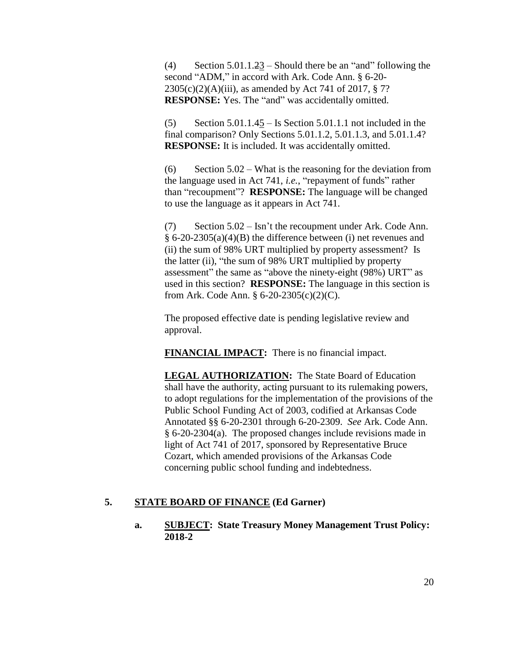(4) Section 5.01.1.23 – Should there be an "and" following the second "ADM," in accord with Ark. Code Ann. § 6-20-  $2305(c)(2)(A)(iii)$ , as amended by Act 741 of 2017, § 7? **RESPONSE:** Yes. The "and" was accidentally omitted.

 $(5)$  Section 5.01.1.45 – Is Section 5.01.1.1 not included in the final comparison? Only Sections 5.01.1.2, 5.01.1.3, and 5.01.1.4? **RESPONSE:** It is included. It was accidentally omitted.

(6) Section 5.02 – What is the reasoning for the deviation from the language used in Act 741, *i.e.*, "repayment of funds" rather than "recoupment"? **RESPONSE:** The language will be changed to use the language as it appears in Act 741.

(7) Section 5.02 – Isn't the recoupment under Ark. Code Ann. § 6-20-2305(a)(4)(B) the difference between (i) net revenues and (ii) the sum of 98% URT multiplied by property assessment? Is the latter (ii), "the sum of 98% URT multiplied by property assessment" the same as "above the ninety-eight (98%) URT" as used in this section? **RESPONSE:** The language in this section is from Ark. Code Ann. § 6-20-2305(c)(2)(C).

The proposed effective date is pending legislative review and approval.

**FINANCIAL IMPACT:** There is no financial impact.

**LEGAL AUTHORIZATION:** The State Board of Education shall have the authority, acting pursuant to its rulemaking powers, to adopt regulations for the implementation of the provisions of the Public School Funding Act of 2003, codified at Arkansas Code Annotated §§ 6-20-2301 through 6-20-2309. *See* Ark. Code Ann. § 6-20-2304(a). The proposed changes include revisions made in light of Act 741 of 2017, sponsored by Representative Bruce Cozart, which amended provisions of the Arkansas Code concerning public school funding and indebtedness.

# **5. STATE BOARD OF FINANCE (Ed Garner)**

**a. SUBJECT: State Treasury Money Management Trust Policy: 2018-2**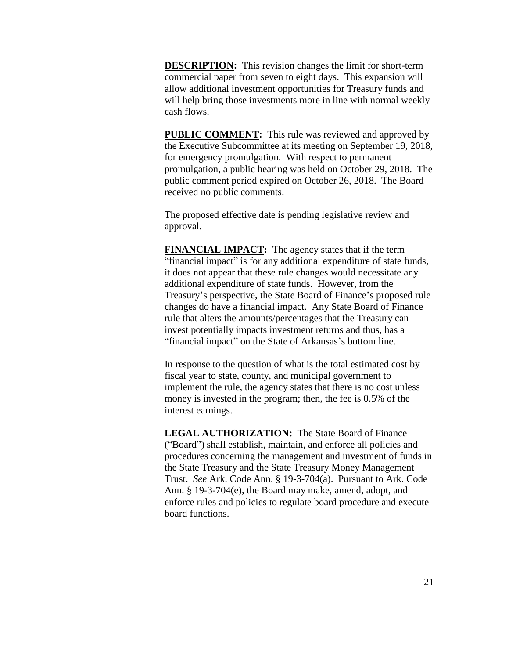**DESCRIPTION:** This revision changes the limit for short-term commercial paper from seven to eight days. This expansion will allow additional investment opportunities for Treasury funds and will help bring those investments more in line with normal weekly cash flows.

**PUBLIC COMMENT:** This rule was reviewed and approved by the Executive Subcommittee at its meeting on September 19, 2018, for emergency promulgation. With respect to permanent promulgation, a public hearing was held on October 29, 2018. The public comment period expired on October 26, 2018. The Board received no public comments.

The proposed effective date is pending legislative review and approval.

**FINANCIAL IMPACT:** The agency states that if the term "financial impact" is for any additional expenditure of state funds, it does not appear that these rule changes would necessitate any additional expenditure of state funds. However, from the Treasury's perspective, the State Board of Finance's proposed rule changes do have a financial impact. Any State Board of Finance rule that alters the amounts/percentages that the Treasury can invest potentially impacts investment returns and thus, has a "financial impact" on the State of Arkansas's bottom line.

In response to the question of what is the total estimated cost by fiscal year to state, county, and municipal government to implement the rule, the agency states that there is no cost unless money is invested in the program; then, the fee is 0.5% of the interest earnings.

**LEGAL AUTHORIZATION:** The State Board of Finance ("Board") shall establish, maintain, and enforce all policies and procedures concerning the management and investment of funds in the State Treasury and the State Treasury Money Management Trust. *See* Ark. Code Ann. § 19-3-704(a). Pursuant to Ark. Code Ann. § 19-3-704(e), the Board may make, amend, adopt, and enforce rules and policies to regulate board procedure and execute board functions.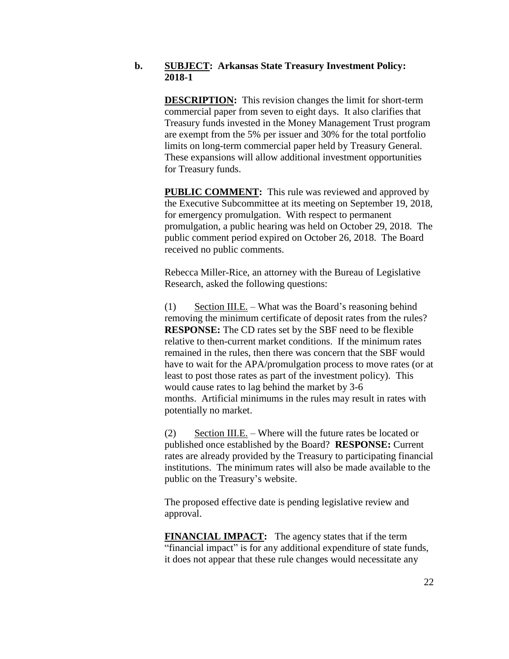#### **b. SUBJECT: Arkansas State Treasury Investment Policy: 2018-1**

**DESCRIPTION:** This revision changes the limit for short-term commercial paper from seven to eight days. It also clarifies that Treasury funds invested in the Money Management Trust program are exempt from the 5% per issuer and 30% for the total portfolio limits on long-term commercial paper held by Treasury General. These expansions will allow additional investment opportunities for Treasury funds.

**PUBLIC COMMENT:** This rule was reviewed and approved by the Executive Subcommittee at its meeting on September 19, 2018, for emergency promulgation. With respect to permanent promulgation, a public hearing was held on October 29, 2018. The public comment period expired on October 26, 2018. The Board received no public comments.

Rebecca Miller-Rice, an attorney with the Bureau of Legislative Research, asked the following questions:

(1) Section III.E. – What was the Board's reasoning behind removing the minimum certificate of deposit rates from the rules? **RESPONSE:** The CD rates set by the SBF need to be flexible relative to then-current market conditions. If the minimum rates remained in the rules, then there was concern that the SBF would have to wait for the APA/promulgation process to move rates (or at least to post those rates as part of the investment policy). This would cause rates to lag behind the market by 3-6 months. Artificial minimums in the rules may result in rates with potentially no market.

(2) Section III.E. – Where will the future rates be located or published once established by the Board? **RESPONSE:** Current rates are already provided by the Treasury to participating financial institutions. The minimum rates will also be made available to the public on the Treasury's website.

The proposed effective date is pending legislative review and approval.

**FINANCIAL IMPACT:** The agency states that if the term "financial impact" is for any additional expenditure of state funds, it does not appear that these rule changes would necessitate any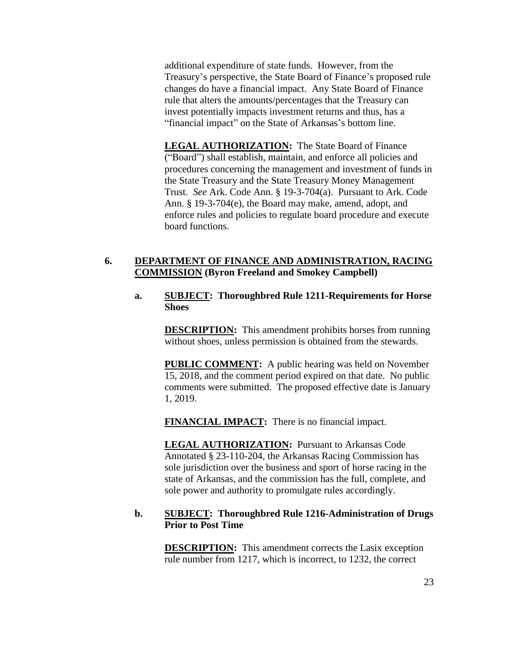additional expenditure of state funds. However, from the Treasury's perspective, the State Board of Finance's proposed rule changes do have a financial impact. Any State Board of Finance rule that alters the amounts/percentages that the Treasury can invest potentially impacts investment returns and thus, has a "financial impact" on the State of Arkansas's bottom line.

**LEGAL AUTHORIZATION:** The State Board of Finance ("Board") shall establish, maintain, and enforce all policies and procedures concerning the management and investment of funds in the State Treasury and the State Treasury Money Management Trust. *See* Ark. Code Ann. § 19-3-704(a). Pursuant to Ark. Code Ann. § 19-3-704(e), the Board may make, amend, adopt, and enforce rules and policies to regulate board procedure and execute board functions.

#### **6. DEPARTMENT OF FINANCE AND ADMINISTRATION, RACING COMMISSION (Byron Freeland and Smokey Campbell)**

#### **a. SUBJECT: Thoroughbred Rule 1211-Requirements for Horse Shoes**

**DESCRIPTION:** This amendment prohibits horses from running without shoes, unless permission is obtained from the stewards.

**PUBLIC COMMENT:** A public hearing was held on November 15, 2018, and the comment period expired on that date. No public comments were submitted. The proposed effective date is January 1, 2019.

**FINANCIAL IMPACT:** There is no financial impact.

**LEGAL AUTHORIZATION:** Pursuant to Arkansas Code Annotated § 23-110-204, the Arkansas Racing Commission has sole jurisdiction over the business and sport of horse racing in the state of Arkansas, and the commission has the full, complete, and sole power and authority to promulgate rules accordingly.

# **b. SUBJECT: Thoroughbred Rule 1216-Administration of Drugs Prior to Post Time**

**DESCRIPTION:** This amendment corrects the Lasix exception rule number from 1217, which is incorrect, to 1232, the correct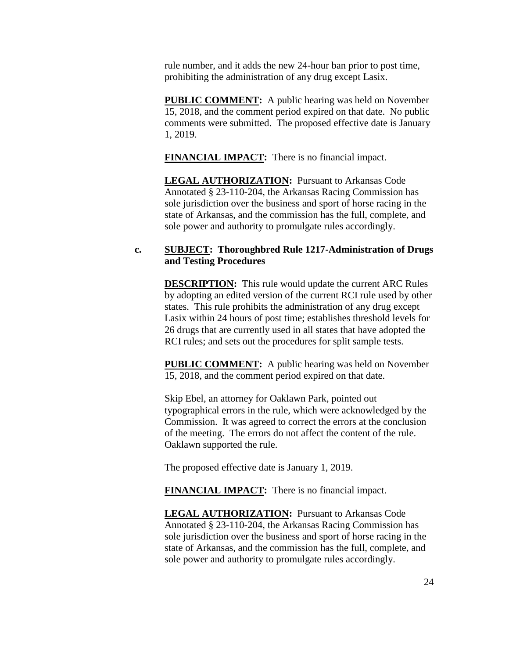rule number, and it adds the new 24-hour ban prior to post time, prohibiting the administration of any drug except Lasix.

**PUBLIC COMMENT:** A public hearing was held on November 15, 2018, and the comment period expired on that date. No public comments were submitted. The proposed effective date is January 1, 2019.

**FINANCIAL IMPACT:** There is no financial impact.

**LEGAL AUTHORIZATION:** Pursuant to Arkansas Code Annotated § 23-110-204, the Arkansas Racing Commission has sole jurisdiction over the business and sport of horse racing in the state of Arkansas, and the commission has the full, complete, and sole power and authority to promulgate rules accordingly.

# **c. SUBJECT: Thoroughbred Rule 1217-Administration of Drugs and Testing Procedures**

**DESCRIPTION:** This rule would update the current ARC Rules by adopting an edited version of the current RCI rule used by other states. This rule prohibits the administration of any drug except Lasix within 24 hours of post time; establishes threshold levels for 26 drugs that are currently used in all states that have adopted the RCI rules; and sets out the procedures for split sample tests.

**PUBLIC COMMENT:** A public hearing was held on November 15, 2018, and the comment period expired on that date.

Skip Ebel, an attorney for Oaklawn Park, pointed out typographical errors in the rule, which were acknowledged by the Commission. It was agreed to correct the errors at the conclusion of the meeting. The errors do not affect the content of the rule. Oaklawn supported the rule.

The proposed effective date is January 1, 2019.

**FINANCIAL IMPACT:** There is no financial impact.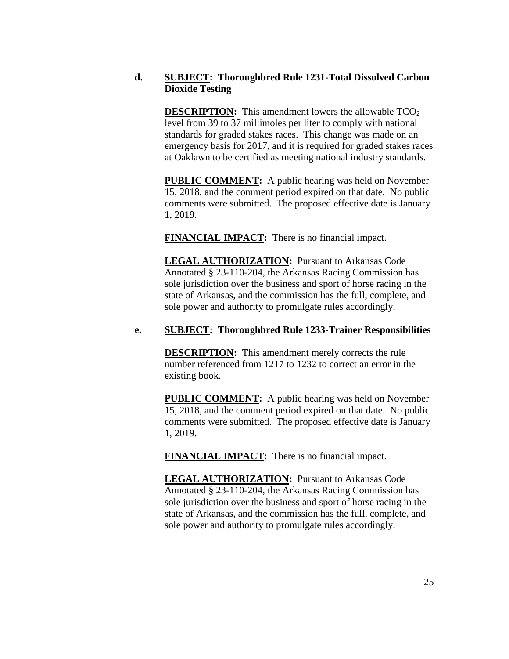# **d. SUBJECT: Thoroughbred Rule 1231-Total Dissolved Carbon Dioxide Testing**

**DESCRIPTION:** This amendment lowers the allowable  $TCO<sub>2</sub>$ level from 39 to 37 millimoles per liter to comply with national standards for graded stakes races. This change was made on an emergency basis for 2017, and it is required for graded stakes races at Oaklawn to be certified as meeting national industry standards.

**PUBLIC COMMENT:** A public hearing was held on November 15, 2018, and the comment period expired on that date. No public comments were submitted. The proposed effective date is January 1, 2019.

**FINANCIAL IMPACT:** There is no financial impact.

**LEGAL AUTHORIZATION:** Pursuant to Arkansas Code Annotated § 23-110-204, the Arkansas Racing Commission has sole jurisdiction over the business and sport of horse racing in the state of Arkansas, and the commission has the full, complete, and sole power and authority to promulgate rules accordingly.

# **e. SUBJECT: Thoroughbred Rule 1233-Trainer Responsibilities**

**DESCRIPTION:** This amendment merely corrects the rule number referenced from 1217 to 1232 to correct an error in the existing book.

**PUBLIC COMMENT:** A public hearing was held on November 15, 2018, and the comment period expired on that date. No public comments were submitted. The proposed effective date is January 1, 2019.

**FINANCIAL IMPACT:** There is no financial impact.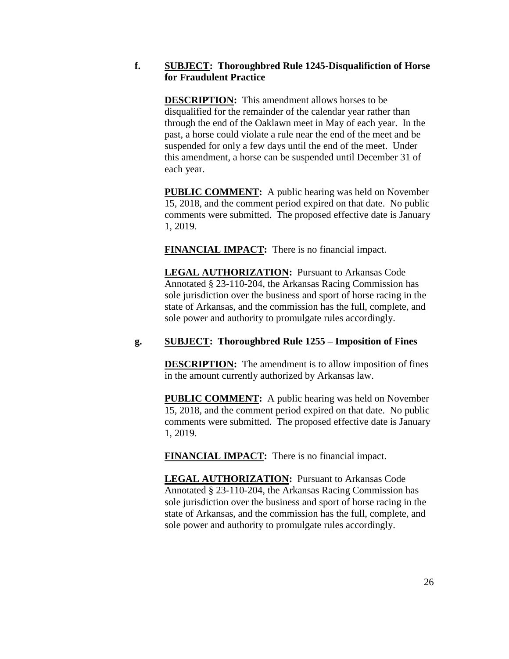# **f. SUBJECT: Thoroughbred Rule 1245-Disqualifiction of Horse for Fraudulent Practice**

**DESCRIPTION:** This amendment allows horses to be disqualified for the remainder of the calendar year rather than through the end of the Oaklawn meet in May of each year. In the past, a horse could violate a rule near the end of the meet and be suspended for only a few days until the end of the meet. Under this amendment, a horse can be suspended until December 31 of each year.

**PUBLIC COMMENT:** A public hearing was held on November 15, 2018, and the comment period expired on that date. No public comments were submitted. The proposed effective date is January 1, 2019.

**FINANCIAL IMPACT:** There is no financial impact.

**LEGAL AUTHORIZATION:** Pursuant to Arkansas Code Annotated § 23-110-204, the Arkansas Racing Commission has sole jurisdiction over the business and sport of horse racing in the state of Arkansas, and the commission has the full, complete, and sole power and authority to promulgate rules accordingly.

# **g. SUBJECT: Thoroughbred Rule 1255 – Imposition of Fines**

**DESCRIPTION:** The amendment is to allow imposition of fines in the amount currently authorized by Arkansas law.

**PUBLIC COMMENT:** A public hearing was held on November 15, 2018, and the comment period expired on that date. No public comments were submitted. The proposed effective date is January 1, 2019.

**FINANCIAL IMPACT:** There is no financial impact.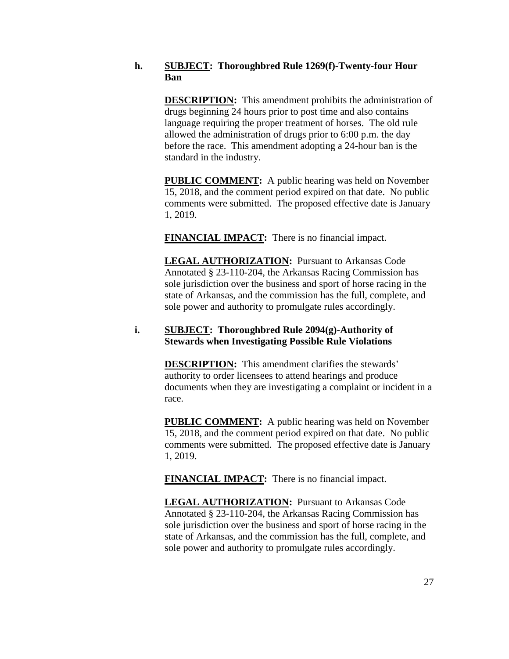## **h. SUBJECT: Thoroughbred Rule 1269(f)-Twenty-four Hour Ban**

**DESCRIPTION:** This amendment prohibits the administration of drugs beginning 24 hours prior to post time and also contains language requiring the proper treatment of horses. The old rule allowed the administration of drugs prior to 6:00 p.m. the day before the race. This amendment adopting a 24-hour ban is the standard in the industry.

**PUBLIC COMMENT:** A public hearing was held on November 15, 2018, and the comment period expired on that date. No public comments were submitted. The proposed effective date is January 1, 2019.

**FINANCIAL IMPACT:** There is no financial impact.

**LEGAL AUTHORIZATION:** Pursuant to Arkansas Code Annotated § 23-110-204, the Arkansas Racing Commission has sole jurisdiction over the business and sport of horse racing in the state of Arkansas, and the commission has the full, complete, and sole power and authority to promulgate rules accordingly.

## **i. SUBJECT: Thoroughbred Rule 2094(g)-Authority of Stewards when Investigating Possible Rule Violations**

**DESCRIPTION:** This amendment clarifies the stewards' authority to order licensees to attend hearings and produce documents when they are investigating a complaint or incident in a race.

**PUBLIC COMMENT:** A public hearing was held on November 15, 2018, and the comment period expired on that date. No public comments were submitted. The proposed effective date is January 1, 2019.

**FINANCIAL IMPACT:** There is no financial impact.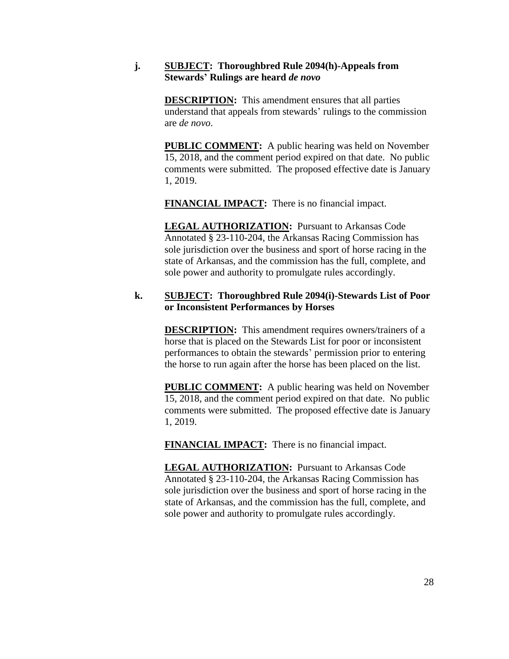# **j. SUBJECT: Thoroughbred Rule 2094(h)-Appeals from Stewards' Rulings are heard** *de novo*

**DESCRIPTION:** This amendment ensures that all parties understand that appeals from stewards' rulings to the commission are *de novo*.

**PUBLIC COMMENT:** A public hearing was held on November 15, 2018, and the comment period expired on that date. No public comments were submitted. The proposed effective date is January 1, 2019.

**FINANCIAL IMPACT:** There is no financial impact.

**LEGAL AUTHORIZATION:** Pursuant to Arkansas Code Annotated § 23-110-204, the Arkansas Racing Commission has sole jurisdiction over the business and sport of horse racing in the state of Arkansas, and the commission has the full, complete, and sole power and authority to promulgate rules accordingly.

### **k. SUBJECT: Thoroughbred Rule 2094(i)-Stewards List of Poor or Inconsistent Performances by Horses**

**DESCRIPTION:** This amendment requires owners/trainers of a horse that is placed on the Stewards List for poor or inconsistent performances to obtain the stewards' permission prior to entering the horse to run again after the horse has been placed on the list.

**PUBLIC COMMENT:** A public hearing was held on November 15, 2018, and the comment period expired on that date. No public comments were submitted. The proposed effective date is January 1, 2019.

**FINANCIAL IMPACT:** There is no financial impact.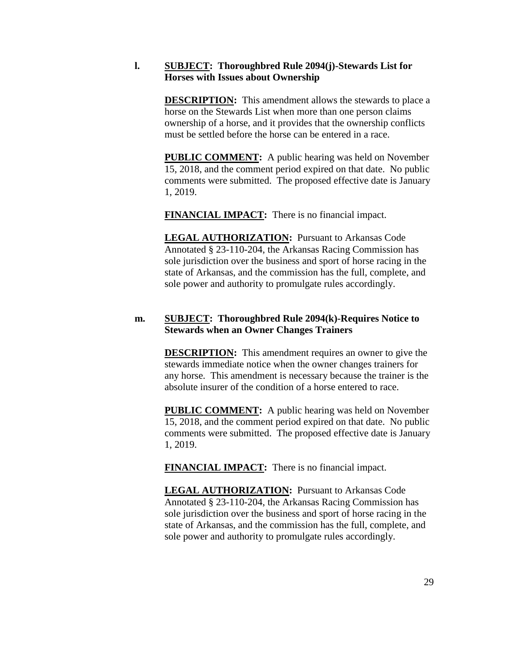### **l. SUBJECT: Thoroughbred Rule 2094(j)-Stewards List for Horses with Issues about Ownership**

**DESCRIPTION:** This amendment allows the stewards to place a horse on the Stewards List when more than one person claims ownership of a horse, and it provides that the ownership conflicts must be settled before the horse can be entered in a race.

**PUBLIC COMMENT:** A public hearing was held on November 15, 2018, and the comment period expired on that date. No public comments were submitted. The proposed effective date is January 1, 2019.

**FINANCIAL IMPACT:** There is no financial impact.

**LEGAL AUTHORIZATION:** Pursuant to Arkansas Code Annotated § 23-110-204, the Arkansas Racing Commission has sole jurisdiction over the business and sport of horse racing in the state of Arkansas, and the commission has the full, complete, and sole power and authority to promulgate rules accordingly.

# **m. SUBJECT: Thoroughbred Rule 2094(k)-Requires Notice to Stewards when an Owner Changes Trainers**

**DESCRIPTION:** This amendment requires an owner to give the stewards immediate notice when the owner changes trainers for any horse. This amendment is necessary because the trainer is the absolute insurer of the condition of a horse entered to race.

**PUBLIC COMMENT:** A public hearing was held on November 15, 2018, and the comment period expired on that date. No public comments were submitted. The proposed effective date is January 1, 2019.

**FINANCIAL IMPACT:** There is no financial impact.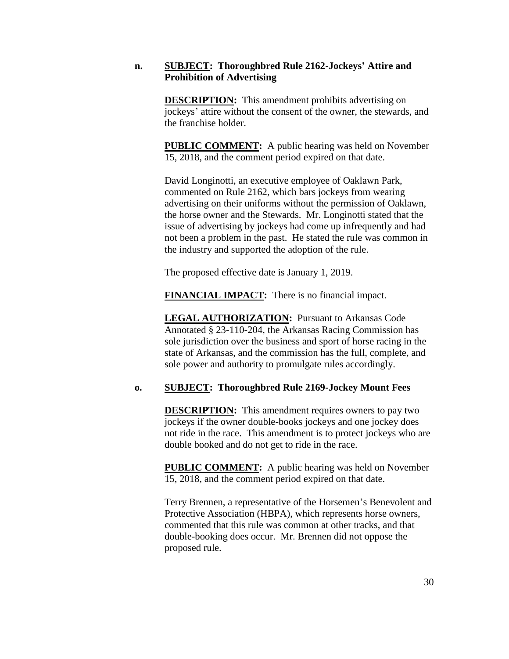### **n. SUBJECT: Thoroughbred Rule 2162-Jockeys' Attire and Prohibition of Advertising**

**DESCRIPTION:** This amendment prohibits advertising on jockeys' attire without the consent of the owner, the stewards, and the franchise holder.

**PUBLIC COMMENT:** A public hearing was held on November 15, 2018, and the comment period expired on that date.

David Longinotti, an executive employee of Oaklawn Park, commented on Rule 2162, which bars jockeys from wearing advertising on their uniforms without the permission of Oaklawn, the horse owner and the Stewards. Mr. Longinotti stated that the issue of advertising by jockeys had come up infrequently and had not been a problem in the past. He stated the rule was common in the industry and supported the adoption of the rule.

The proposed effective date is January 1, 2019.

**FINANCIAL IMPACT:** There is no financial impact.

**LEGAL AUTHORIZATION:** Pursuant to Arkansas Code Annotated § 23-110-204, the Arkansas Racing Commission has sole jurisdiction over the business and sport of horse racing in the state of Arkansas, and the commission has the full, complete, and sole power and authority to promulgate rules accordingly.

# **o. SUBJECT: Thoroughbred Rule 2169-Jockey Mount Fees**

**DESCRIPTION:** This amendment requires owners to pay two jockeys if the owner double-books jockeys and one jockey does not ride in the race. This amendment is to protect jockeys who are double booked and do not get to ride in the race.

**PUBLIC COMMENT:** A public hearing was held on November 15, 2018, and the comment period expired on that date.

Terry Brennen, a representative of the Horsemen's Benevolent and Protective Association (HBPA), which represents horse owners, commented that this rule was common at other tracks, and that double-booking does occur. Mr. Brennen did not oppose the proposed rule.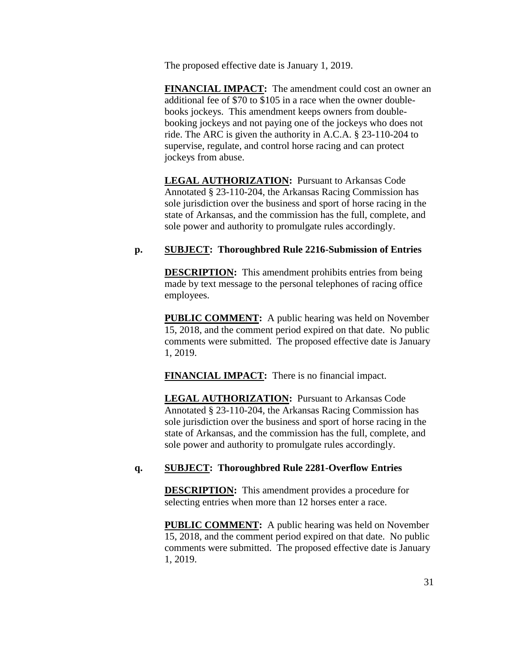The proposed effective date is January 1, 2019.

**FINANCIAL IMPACT:** The amendment could cost an owner an additional fee of \$70 to \$105 in a race when the owner doublebooks jockeys. This amendment keeps owners from doublebooking jockeys and not paying one of the jockeys who does not ride. The ARC is given the authority in A.C.A. § 23-110-204 to supervise, regulate, and control horse racing and can protect jockeys from abuse.

**LEGAL AUTHORIZATION:** Pursuant to Arkansas Code Annotated § 23-110-204, the Arkansas Racing Commission has sole jurisdiction over the business and sport of horse racing in the state of Arkansas, and the commission has the full, complete, and sole power and authority to promulgate rules accordingly.

# **p. SUBJECT: Thoroughbred Rule 2216-Submission of Entries**

**DESCRIPTION:** This amendment prohibits entries from being made by text message to the personal telephones of racing office employees.

**PUBLIC COMMENT:** A public hearing was held on November 15, 2018, and the comment period expired on that date. No public comments were submitted. The proposed effective date is January 1, 2019.

**FINANCIAL IMPACT:** There is no financial impact.

**LEGAL AUTHORIZATION:** Pursuant to Arkansas Code Annotated § 23-110-204, the Arkansas Racing Commission has sole jurisdiction over the business and sport of horse racing in the state of Arkansas, and the commission has the full, complete, and sole power and authority to promulgate rules accordingly.

# **q. SUBJECT: Thoroughbred Rule 2281-Overflow Entries**

**DESCRIPTION:** This amendment provides a procedure for selecting entries when more than 12 horses enter a race.

**PUBLIC COMMENT:** A public hearing was held on November 15, 2018, and the comment period expired on that date. No public comments were submitted. The proposed effective date is January 1, 2019.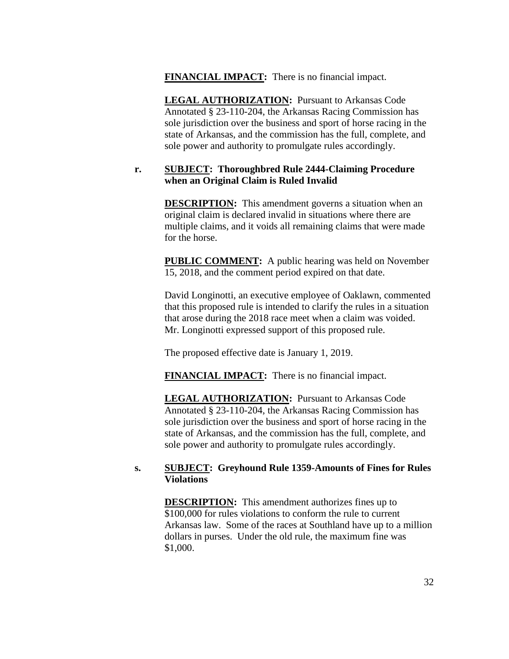# **FINANCIAL IMPACT:** There is no financial impact.

**LEGAL AUTHORIZATION:** Pursuant to Arkansas Code Annotated § 23-110-204, the Arkansas Racing Commission has sole jurisdiction over the business and sport of horse racing in the state of Arkansas, and the commission has the full, complete, and sole power and authority to promulgate rules accordingly.

# **r. SUBJECT: Thoroughbred Rule 2444-Claiming Procedure when an Original Claim is Ruled Invalid**

**DESCRIPTION:** This amendment governs a situation when an original claim is declared invalid in situations where there are multiple claims, and it voids all remaining claims that were made for the horse.

**PUBLIC COMMENT:** A public hearing was held on November 15, 2018, and the comment period expired on that date.

David Longinotti, an executive employee of Oaklawn, commented that this proposed rule is intended to clarify the rules in a situation that arose during the 2018 race meet when a claim was voided. Mr. Longinotti expressed support of this proposed rule.

The proposed effective date is January 1, 2019.

**FINANCIAL IMPACT:** There is no financial impact.

**LEGAL AUTHORIZATION:** Pursuant to Arkansas Code Annotated § 23-110-204, the Arkansas Racing Commission has sole jurisdiction over the business and sport of horse racing in the state of Arkansas, and the commission has the full, complete, and sole power and authority to promulgate rules accordingly.

# **s. SUBJECT: Greyhound Rule 1359-Amounts of Fines for Rules Violations**

**DESCRIPTION:** This amendment authorizes fines up to \$100,000 for rules violations to conform the rule to current Arkansas law. Some of the races at Southland have up to a million dollars in purses. Under the old rule, the maximum fine was \$1,000.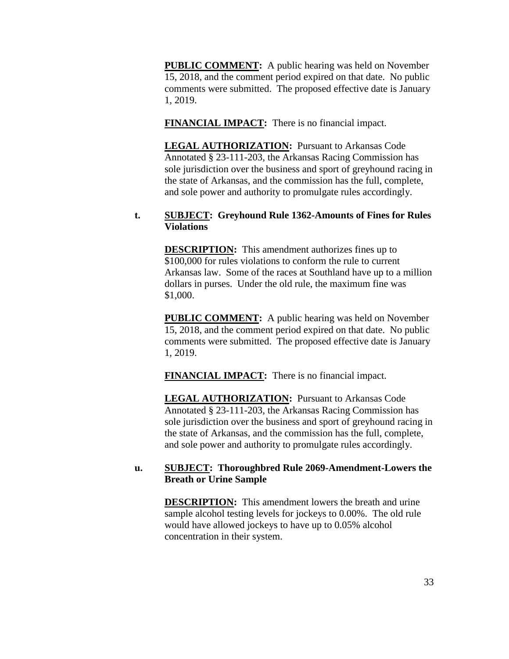**PUBLIC COMMENT:** A public hearing was held on November 15, 2018, and the comment period expired on that date. No public comments were submitted. The proposed effective date is January 1, 2019.

**FINANCIAL IMPACT:** There is no financial impact.

**LEGAL AUTHORIZATION:** Pursuant to Arkansas Code Annotated § 23-111-203, the Arkansas Racing Commission has sole jurisdiction over the business and sport of greyhound racing in the state of Arkansas, and the commission has the full, complete, and sole power and authority to promulgate rules accordingly.

### **t. SUBJECT: Greyhound Rule 1362-Amounts of Fines for Rules Violations**

**DESCRIPTION:** This amendment authorizes fines up to \$100,000 for rules violations to conform the rule to current Arkansas law. Some of the races at Southland have up to a million dollars in purses. Under the old rule, the maximum fine was \$1,000.

**PUBLIC COMMENT:** A public hearing was held on November 15, 2018, and the comment period expired on that date. No public comments were submitted. The proposed effective date is January 1, 2019.

**FINANCIAL IMPACT:** There is no financial impact.

**LEGAL AUTHORIZATION:** Pursuant to Arkansas Code Annotated § 23-111-203, the Arkansas Racing Commission has sole jurisdiction over the business and sport of greyhound racing in the state of Arkansas, and the commission has the full, complete, and sole power and authority to promulgate rules accordingly.

# **u. SUBJECT: Thoroughbred Rule 2069-Amendment-Lowers the Breath or Urine Sample**

**DESCRIPTION:** This amendment lowers the breath and urine sample alcohol testing levels for jockeys to 0.00%. The old rule would have allowed jockeys to have up to 0.05% alcohol concentration in their system.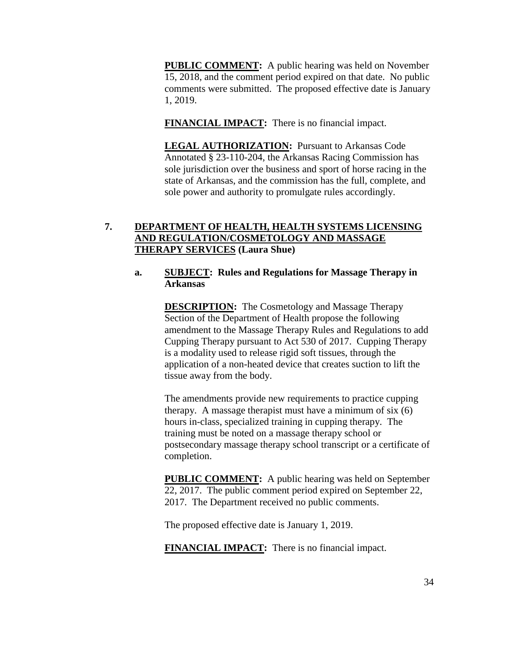**PUBLIC COMMENT:** A public hearing was held on November 15, 2018, and the comment period expired on that date. No public comments were submitted. The proposed effective date is January 1, 2019.

**FINANCIAL IMPACT:** There is no financial impact.

**LEGAL AUTHORIZATION:** Pursuant to Arkansas Code Annotated § 23-110-204, the Arkansas Racing Commission has sole jurisdiction over the business and sport of horse racing in the state of Arkansas, and the commission has the full, complete, and sole power and authority to promulgate rules accordingly.

# **7. DEPARTMENT OF HEALTH, HEALTH SYSTEMS LICENSING AND REGULATION/COSMETOLOGY AND MASSAGE THERAPY SERVICES (Laura Shue)**

# **a. SUBJECT: Rules and Regulations for Massage Therapy in Arkansas**

**DESCRIPTION:** The Cosmetology and Massage Therapy Section of the Department of Health propose the following amendment to the Massage Therapy Rules and Regulations to add Cupping Therapy pursuant to Act 530 of 2017. Cupping Therapy is a modality used to release rigid soft tissues, through the application of a non-heated device that creates suction to lift the tissue away from the body.

The amendments provide new requirements to practice cupping therapy. A massage therapist must have a minimum of six (6) hours in-class, specialized training in cupping therapy. The training must be noted on a massage therapy school or postsecondary massage therapy school transcript or a certificate of completion.

**PUBLIC COMMENT:** A public hearing was held on September 22, 2017. The public comment period expired on September 22, 2017. The Department received no public comments.

The proposed effective date is January 1, 2019.

**FINANCIAL IMPACT:** There is no financial impact.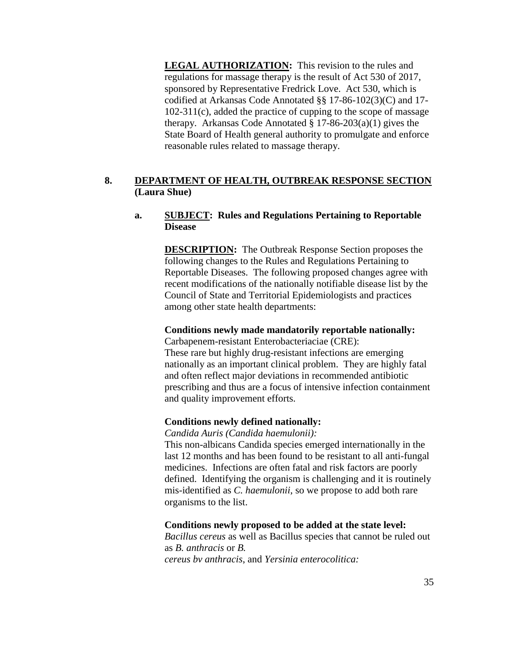**LEGAL AUTHORIZATION:** This revision to the rules and regulations for massage therapy is the result of Act 530 of 2017, sponsored by Representative Fredrick Love. Act 530, which is codified at Arkansas Code Annotated §§ 17-86-102(3)(C) and 17- 102-311(c), added the practice of cupping to the scope of massage therapy. Arkansas Code Annotated  $\S 17-86-203(a)(1)$  gives the State Board of Health general authority to promulgate and enforce reasonable rules related to massage therapy.

# **8. DEPARTMENT OF HEALTH, OUTBREAK RESPONSE SECTION (Laura Shue)**

# **a. SUBJECT: Rules and Regulations Pertaining to Reportable Disease**

**DESCRIPTION:** The Outbreak Response Section proposes the following changes to the Rules and Regulations Pertaining to Reportable Diseases. The following proposed changes agree with recent modifications of the nationally notifiable disease list by the Council of State and Territorial Epidemiologists and practices among other state health departments:

# **Conditions newly made mandatorily reportable nationally:**

Carbapenem-resistant Enterobacteriaciae (CRE): These rare but highly drug-resistant infections are emerging nationally as an important clinical problem. They are highly fatal and often reflect major deviations in recommended antibiotic prescribing and thus are a focus of intensive infection containment and quality improvement efforts.

# **Conditions newly defined nationally:**

*Candida Auris (Candida haemulonii):*

This non-albicans Candida species emerged internationally in the last 12 months and has been found to be resistant to all anti-fungal medicines. Infections are often fatal and risk factors are poorly defined. Identifying the organism is challenging and it is routinely mis-identified as *C. haemulonii*, so we propose to add both rare organisms to the list.

# **Conditions newly proposed to be added at the state level:**

*Bacillus cereus* as well as Bacillus species that cannot be ruled out as *B. anthracis* or *B. cereus bv anthracis*, and *Yersinia enterocolitica:*

35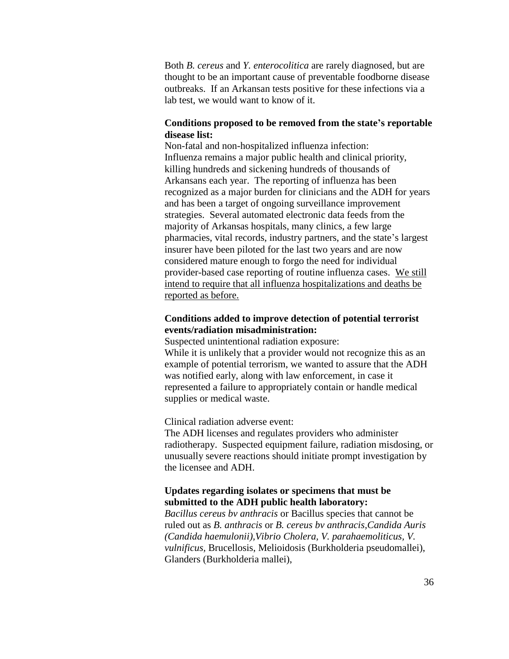Both *B. cereus* and *Y. enterocolitica* are rarely diagnosed, but are thought to be an important cause of preventable foodborne disease outbreaks. If an Arkansan tests positive for these infections via a lab test, we would want to know of it.

# **Conditions proposed to be removed from the state's reportable disease list:**

Non-fatal and non-hospitalized influenza infection: Influenza remains a major public health and clinical priority, killing hundreds and sickening hundreds of thousands of Arkansans each year. The reporting of influenza has been recognized as a major burden for clinicians and the ADH for years and has been a target of ongoing surveillance improvement strategies. Several automated electronic data feeds from the majority of Arkansas hospitals, many clinics, a few large pharmacies, vital records, industry partners, and the state's largest insurer have been piloted for the last two years and are now considered mature enough to forgo the need for individual provider-based case reporting of routine influenza cases. We still intend to require that all influenza hospitalizations and deaths be reported as before.

## **Conditions added to improve detection of potential terrorist events/radiation misadministration:**

Suspected unintentional radiation exposure: While it is unlikely that a provider would not recognize this as an example of potential terrorism, we wanted to assure that the ADH was notified early, along with law enforcement, in case it represented a failure to appropriately contain or handle medical supplies or medical waste.

Clinical radiation adverse event:

The ADH licenses and regulates providers who administer radiotherapy. Suspected equipment failure, radiation misdosing, or unusually severe reactions should initiate prompt investigation by the licensee and ADH.

### **Updates regarding isolates or specimens that must be submitted to the ADH public health laboratory:**

*Bacillus cereus bv anthracis* or Bacillus species that cannot be ruled out as *B. anthracis* or *B. cereus bv anthracis,Candida Auris (Candida haemulonii),Vibrio Cholera, V. parahaemoliticus, V. vulnificus,* Brucellosis, Melioidosis (Burkholderia pseudomallei), Glanders (Burkholderia mallei),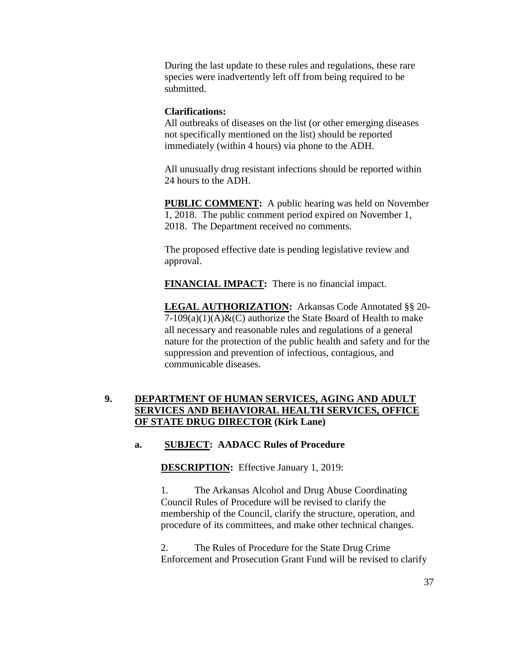During the last update to these rules and regulations, these rare species were inadvertently left off from being required to be submitted.

#### **Clarifications:**

All outbreaks of diseases on the list (or other emerging diseases not specifically mentioned on the list) should be reported immediately (within 4 hours) via phone to the ADH.

All unusually drug resistant infections should be reported within 24 hours to the ADH.

**PUBLIC COMMENT:** A public hearing was held on November 1, 2018. The public comment period expired on November 1, 2018. The Department received no comments.

The proposed effective date is pending legislative review and approval.

**FINANCIAL IMPACT:** There is no financial impact.

**LEGAL AUTHORIZATION:** Arkansas Code Annotated §§ 20-  $7-109(a)(1)(A)$ &(C) authorize the State Board of Health to make all necessary and reasonable rules and regulations of a general nature for the protection of the public health and safety and for the suppression and prevention of infectious, contagious, and communicable diseases.

# **9. DEPARTMENT OF HUMAN SERVICES, AGING AND ADULT SERVICES AND BEHAVIORAL HEALTH SERVICES, OFFICE OF STATE DRUG DIRECTOR (Kirk Lane)**

## **a. SUBJECT: AADACC Rules of Procedure**

**DESCRIPTION:** Effective January 1, 2019:

1. The Arkansas Alcohol and Drug Abuse Coordinating Council Rules of Procedure will be revised to clarify the membership of the Council, clarify the structure, operation, and procedure of its committees, and make other technical changes.

2. The Rules of Procedure for the State Drug Crime Enforcement and Prosecution Grant Fund will be revised to clarify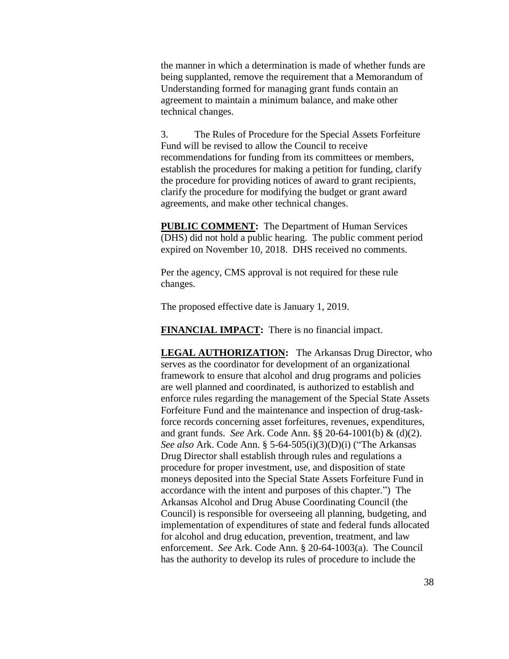the manner in which a determination is made of whether funds are being supplanted, remove the requirement that a Memorandum of Understanding formed for managing grant funds contain an agreement to maintain a minimum balance, and make other technical changes.

3. The Rules of Procedure for the Special Assets Forfeiture Fund will be revised to allow the Council to receive recommendations for funding from its committees or members, establish the procedures for making a petition for funding, clarify the procedure for providing notices of award to grant recipients, clarify the procedure for modifying the budget or grant award agreements, and make other technical changes.

**PUBLIC COMMENT:** The Department of Human Services (DHS) did not hold a public hearing. The public comment period expired on November 10, 2018. DHS received no comments.

Per the agency, CMS approval is not required for these rule changes.

The proposed effective date is January 1, 2019.

**FINANCIAL IMPACT:** There is no financial impact.

**LEGAL AUTHORIZATION:** The Arkansas Drug Director, who serves as the coordinator for development of an organizational framework to ensure that alcohol and drug programs and policies are well planned and coordinated, is authorized to establish and enforce rules regarding the management of the Special State Assets Forfeiture Fund and the maintenance and inspection of drug-taskforce records concerning asset forfeitures, revenues, expenditures, and grant funds. *See* Ark. Code Ann. §§ 20-64-1001(b) & (d)(2). *See also* Ark. Code Ann. § 5-64-505(i)(3)(D)(i) ("The Arkansas Drug Director shall establish through rules and regulations a procedure for proper investment, use, and disposition of state moneys deposited into the Special State Assets Forfeiture Fund in accordance with the intent and purposes of this chapter.") The Arkansas Alcohol and Drug Abuse Coordinating Council (the Council) is responsible for overseeing all planning, budgeting, and implementation of expenditures of state and federal funds allocated for alcohol and drug education, prevention, treatment, and law enforcement. *See* Ark. Code Ann. § 20-64-1003(a). The Council has the authority to develop its rules of procedure to include the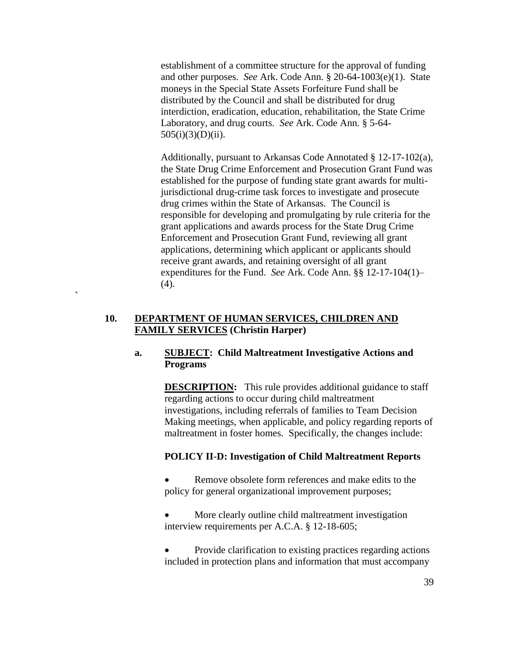establishment of a committee structure for the approval of funding and other purposes. *See* Ark. Code Ann. § 20-64-1003(e)(1). State moneys in the Special State Assets Forfeiture Fund shall be distributed by the Council and shall be distributed for drug interdiction, eradication, education, rehabilitation, the State Crime Laboratory, and drug courts. *See* Ark. Code Ann. § 5-64- 505(i)(3)(D)(ii).

Additionally, pursuant to Arkansas Code Annotated § 12-17-102(a), the State Drug Crime Enforcement and Prosecution Grant Fund was established for the purpose of funding state grant awards for multijurisdictional drug-crime task forces to investigate and prosecute drug crimes within the State of Arkansas. The Council is responsible for developing and promulgating by rule criteria for the grant applications and awards process for the State Drug Crime Enforcement and Prosecution Grant Fund, reviewing all grant applications, determining which applicant or applicants should receive grant awards, and retaining oversight of all grant expenditures for the Fund. *See* Ark. Code Ann. §§ 12-17-104(1)– (4).

## **10. DEPARTMENT OF HUMAN SERVICES, CHILDREN AND FAMILY SERVICES (Christin Harper)**

**`**

## **a. SUBJECT: Child Maltreatment Investigative Actions and Programs**

**DESCRIPTION:** This rule provides additional guidance to staff regarding actions to occur during child maltreatment investigations, including referrals of families to Team Decision Making meetings, when applicable, and policy regarding reports of maltreatment in foster homes. Specifically, the changes include:

# **POLICY II-D: Investigation of Child Maltreatment Reports**

 Remove obsolete form references and make edits to the policy for general organizational improvement purposes;

 More clearly outline child maltreatment investigation interview requirements per A.C.A. § 12-18-605;

 Provide clarification to existing practices regarding actions included in protection plans and information that must accompany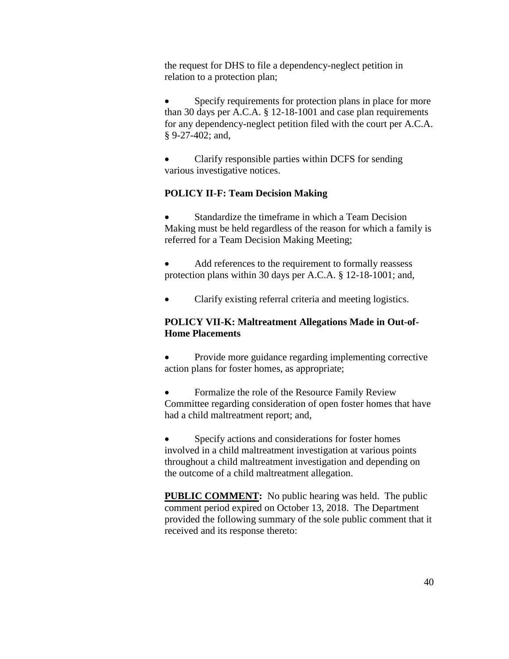the request for DHS to file a dependency-neglect petition in relation to a protection plan;

 Specify requirements for protection plans in place for more than 30 days per A.C.A. § 12-18-1001 and case plan requirements for any dependency-neglect petition filed with the court per A.C.A. § 9-27-402; and,

 Clarify responsible parties within DCFS for sending various investigative notices.

#### **POLICY II-F: Team Decision Making**

 Standardize the timeframe in which a Team Decision Making must be held regardless of the reason for which a family is referred for a Team Decision Making Meeting;

 Add references to the requirement to formally reassess protection plans within 30 days per A.C.A. § 12-18-1001; and,

Clarify existing referral criteria and meeting logistics.

# **POLICY VII-K: Maltreatment Allegations Made in Out-of-Home Placements**

• Provide more guidance regarding implementing corrective action plans for foster homes, as appropriate;

• Formalize the role of the Resource Family Review Committee regarding consideration of open foster homes that have had a child maltreatment report; and,

 Specify actions and considerations for foster homes involved in a child maltreatment investigation at various points throughout a child maltreatment investigation and depending on the outcome of a child maltreatment allegation.

**PUBLIC COMMENT:** No public hearing was held. The public comment period expired on October 13, 2018. The Department provided the following summary of the sole public comment that it received and its response thereto: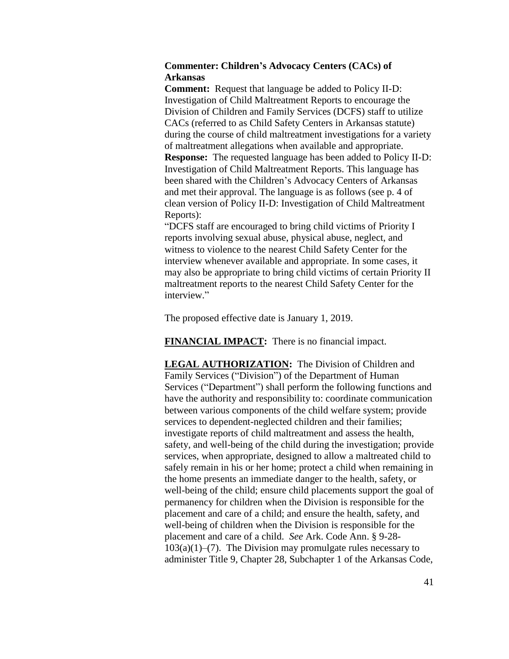## **Commenter: Children's Advocacy Centers (CACs) of Arkansas**

**Comment:** Request that language be added to Policy II-D: Investigation of Child Maltreatment Reports to encourage the Division of Children and Family Services (DCFS) staff to utilize CACs (referred to as Child Safety Centers in Arkansas statute) during the course of child maltreatment investigations for a variety of maltreatment allegations when available and appropriate. **Response:** The requested language has been added to Policy II-D: Investigation of Child Maltreatment Reports. This language has been shared with the Children's Advocacy Centers of Arkansas and met their approval. The language is as follows (see p. 4 of clean version of Policy II-D: Investigation of Child Maltreatment Reports):

"DCFS staff are encouraged to bring child victims of Priority I reports involving sexual abuse, physical abuse, neglect, and witness to violence to the nearest Child Safety Center for the interview whenever available and appropriate. In some cases, it may also be appropriate to bring child victims of certain Priority II maltreatment reports to the nearest Child Safety Center for the interview."

The proposed effective date is January 1, 2019.

**FINANCIAL IMPACT:** There is no financial impact.

**LEGAL AUTHORIZATION:** The Division of Children and Family Services ("Division") of the Department of Human Services ("Department") shall perform the following functions and have the authority and responsibility to: coordinate communication between various components of the child welfare system; provide services to dependent-neglected children and their families; investigate reports of child maltreatment and assess the health, safety, and well-being of the child during the investigation; provide services, when appropriate, designed to allow a maltreated child to safely remain in his or her home; protect a child when remaining in the home presents an immediate danger to the health, safety, or well-being of the child; ensure child placements support the goal of permanency for children when the Division is responsible for the placement and care of a child; and ensure the health, safety, and well-being of children when the Division is responsible for the placement and care of a child. *See* Ark. Code Ann. § 9-28-  $103(a)(1)$ –(7). The Division may promulgate rules necessary to administer Title 9, Chapter 28, Subchapter 1 of the Arkansas Code,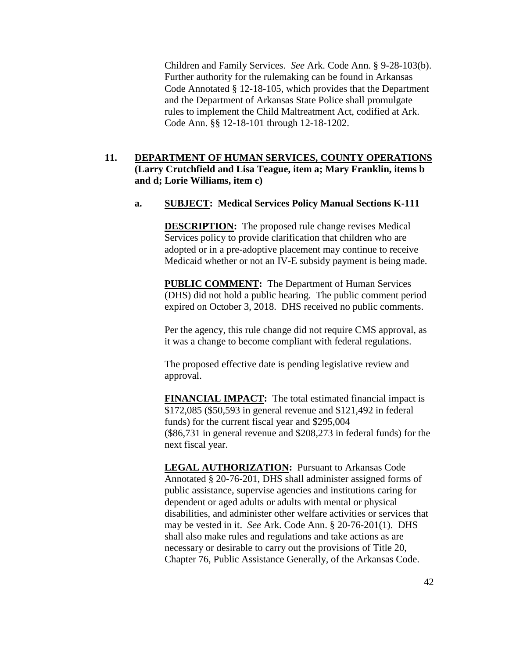Children and Family Services. *See* Ark. Code Ann. § 9-28-103(b). Further authority for the rulemaking can be found in Arkansas Code Annotated § 12-18-105, which provides that the Department and the Department of Arkansas State Police shall promulgate rules to implement the Child Maltreatment Act, codified at Ark. Code Ann. §§ 12-18-101 through 12-18-1202.

# **11. DEPARTMENT OF HUMAN SERVICES, COUNTY OPERATIONS (Larry Crutchfield and Lisa Teague, item a; Mary Franklin, items b and d; Lorie Williams, item c)**

#### **a. SUBJECT: Medical Services Policy Manual Sections K-111**

**DESCRIPTION:** The proposed rule change revises Medical Services policy to provide clarification that children who are adopted or in a pre-adoptive placement may continue to receive Medicaid whether or not an IV-E subsidy payment is being made.

**PUBLIC COMMENT:** The Department of Human Services (DHS) did not hold a public hearing. The public comment period expired on October 3, 2018. DHS received no public comments.

Per the agency, this rule change did not require CMS approval, as it was a change to become compliant with federal regulations.

The proposed effective date is pending legislative review and approval.

**FINANCIAL IMPACT:** The total estimated financial impact is \$172,085 (\$50,593 in general revenue and \$121,492 in federal funds) for the current fiscal year and \$295,004 (\$86,731 in general revenue and \$208,273 in federal funds) for the next fiscal year.

**LEGAL AUTHORIZATION:** Pursuant to Arkansas Code Annotated § 20-76-201, DHS shall administer assigned forms of public assistance, supervise agencies and institutions caring for dependent or aged adults or adults with mental or physical disabilities, and administer other welfare activities or services that may be vested in it. *See* Ark. Code Ann. § 20-76-201(1). DHS shall also make rules and regulations and take actions as are necessary or desirable to carry out the provisions of Title 20, Chapter 76, Public Assistance Generally, of the Arkansas Code.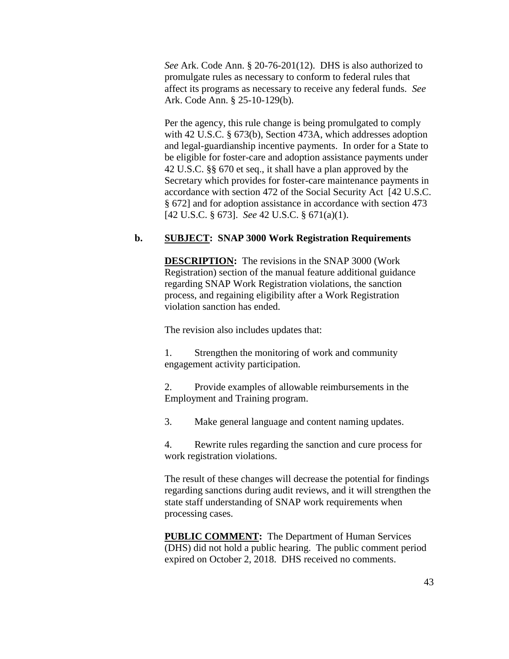*See* Ark. Code Ann. § 20-76-201(12). DHS is also authorized to promulgate rules as necessary to conform to federal rules that affect its programs as necessary to receive any federal funds. *See* Ark. Code Ann. § 25-10-129(b).

Per the agency, this rule change is being promulgated to comply with 42 U.S.C. § 673(b), Section 473A, which addresses adoption and legal-guardianship incentive payments. In order for a State to be eligible for foster-care and adoption assistance payments under 42 U.S.C. §§ 670 et seq., it shall have a plan approved by the Secretary which provides for foster-care maintenance payments in accordance with section 472 of the Social Security Act [42 U.S.C. § 672] and for adoption assistance in accordance with section 473 [42 U.S.C. § 673]. *See* 42 U.S.C. § 671(a)(1).

# **b. SUBJECT: SNAP 3000 Work Registration Requirements**

**DESCRIPTION:** The revisions in the SNAP 3000 (Work Registration) section of the manual feature additional guidance regarding SNAP Work Registration violations, the sanction process, and regaining eligibility after a Work Registration violation sanction has ended.

The revision also includes updates that:

1. Strengthen the monitoring of work and community engagement activity participation.

2. Provide examples of allowable reimbursements in the Employment and Training program.

3. Make general language and content naming updates.

4. Rewrite rules regarding the sanction and cure process for work registration violations.

The result of these changes will decrease the potential for findings regarding sanctions during audit reviews, and it will strengthen the state staff understanding of SNAP work requirements when processing cases.

**PUBLIC COMMENT:** The Department of Human Services (DHS) did not hold a public hearing. The public comment period expired on October 2, 2018. DHS received no comments.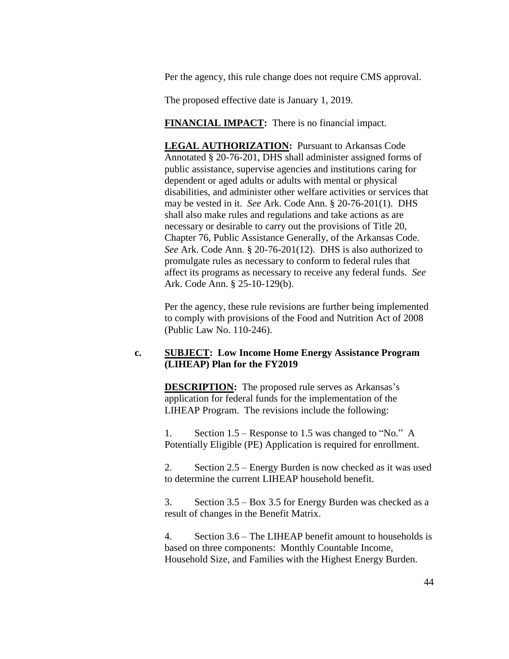Per the agency, this rule change does not require CMS approval.

The proposed effective date is January 1, 2019.

**FINANCIAL IMPACT:** There is no financial impact.

**LEGAL AUTHORIZATION:** Pursuant to Arkansas Code Annotated § 20-76-201, DHS shall administer assigned forms of public assistance, supervise agencies and institutions caring for dependent or aged adults or adults with mental or physical disabilities, and administer other welfare activities or services that may be vested in it. *See* Ark. Code Ann. § 20-76-201(1). DHS shall also make rules and regulations and take actions as are necessary or desirable to carry out the provisions of Title 20, Chapter 76, Public Assistance Generally, of the Arkansas Code. *See* Ark. Code Ann. § 20-76-201(12). DHS is also authorized to promulgate rules as necessary to conform to federal rules that affect its programs as necessary to receive any federal funds. *See* Ark. Code Ann. § 25-10-129(b).

Per the agency, these rule revisions are further being implemented to comply with provisions of the Food and Nutrition Act of 2008 (Public Law No. 110-246).

## **c. SUBJECT: Low Income Home Energy Assistance Program (LIHEAP) Plan for the FY2019**

**DESCRIPTION:** The proposed rule serves as Arkansas's application for federal funds for the implementation of the LIHEAP Program. The revisions include the following:

1. Section 1.5 – Response to 1.5 was changed to "No." A Potentially Eligible (PE) Application is required for enrollment.

2. Section 2.5 – Energy Burden is now checked as it was used to determine the current LIHEAP household benefit.

3. Section 3.5 – Box 3.5 for Energy Burden was checked as a result of changes in the Benefit Matrix.

4. Section 3.6 – The LIHEAP benefit amount to households is based on three components: Monthly Countable Income, Household Size, and Families with the Highest Energy Burden.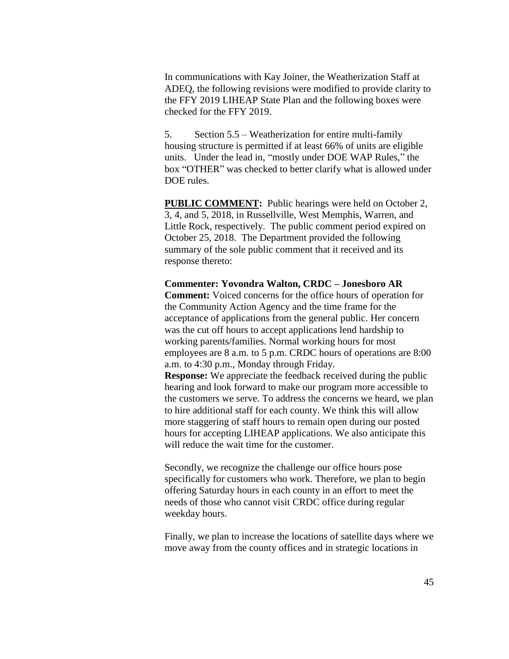In communications with Kay Joiner, the Weatherization Staff at ADEQ, the following revisions were modified to provide clarity to the FFY 2019 LIHEAP State Plan and the following boxes were checked for the FFY 2019.

5. Section 5.5 – Weatherization for entire multi-family housing structure is permitted if at least 66% of units are eligible units. Under the lead in, "mostly under DOE WAP Rules," the box "OTHER" was checked to better clarify what is allowed under DOE rules.

**PUBLIC COMMENT:** Public hearings were held on October 2, 3, 4, and 5, 2018, in Russellville, West Memphis, Warren, and Little Rock, respectively. The public comment period expired on October 25, 2018. The Department provided the following summary of the sole public comment that it received and its response thereto:

#### **Commenter: Yovondra Walton, CRDC – Jonesboro AR**

**Comment:** Voiced concerns for the office hours of operation for the Community Action Agency and the time frame for the acceptance of applications from the general public. Her concern was the cut off hours to accept applications lend hardship to working parents/families. Normal working hours for most employees are 8 a.m. to 5 p.m. CRDC hours of operations are 8:00 a.m. to 4:30 p.m., Monday through Friday.

**Response:** We appreciate the feedback received during the public hearing and look forward to make our program more accessible to the customers we serve. To address the concerns we heard, we plan to hire additional staff for each county. We think this will allow more staggering of staff hours to remain open during our posted hours for accepting LIHEAP applications. We also anticipate this will reduce the wait time for the customer.

Secondly, we recognize the challenge our office hours pose specifically for customers who work. Therefore, we plan to begin offering Saturday hours in each county in an effort to meet the needs of those who cannot visit CRDC office during regular weekday hours.

Finally, we plan to increase the locations of satellite days where we move away from the county offices and in strategic locations in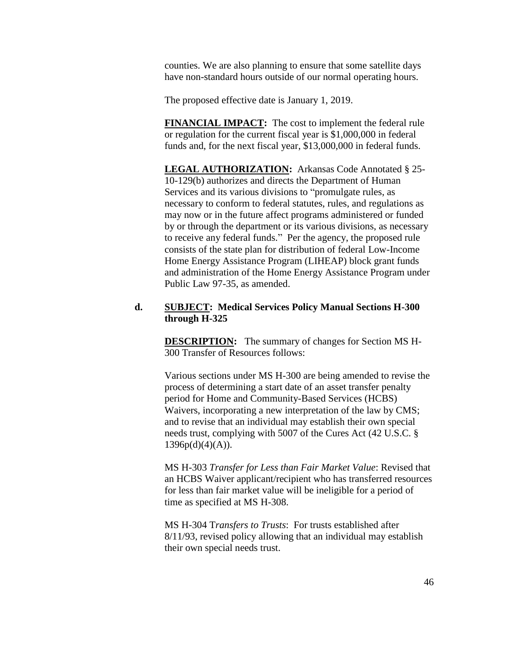counties. We are also planning to ensure that some satellite days have non-standard hours outside of our normal operating hours.

The proposed effective date is January 1, 2019.

**FINANCIAL IMPACT:** The cost to implement the federal rule or regulation for the current fiscal year is \$1,000,000 in federal funds and, for the next fiscal year, \$13,000,000 in federal funds.

**LEGAL AUTHORIZATION:** Arkansas Code Annotated § 25- 10-129(b) authorizes and directs the Department of Human Services and its various divisions to "promulgate rules, as necessary to conform to federal statutes, rules, and regulations as may now or in the future affect programs administered or funded by or through the department or its various divisions, as necessary to receive any federal funds." Per the agency, the proposed rule consists of the state plan for distribution of federal Low-Income Home Energy Assistance Program (LIHEAP) block grant funds and administration of the Home Energy Assistance Program under Public Law 97-35, as amended.

### **d. SUBJECT: Medical Services Policy Manual Sections H-300 through H-325**

**DESCRIPTION:** The summary of changes for Section MS H-300 Transfer of Resources follows:

Various sections under MS H-300 are being amended to revise the process of determining a start date of an asset transfer penalty period for Home and Community-Based Services (HCBS) Waivers, incorporating a new interpretation of the law by CMS; and to revise that an individual may establish their own special needs trust, complying with 5007 of the Cures Act (42 U.S.C. §  $1396p(d)(4)(A)).$ 

MS H-303 *Transfer for Less than Fair Market Value*: Revised that an HCBS Waiver applicant/recipient who has transferred resources for less than fair market value will be ineligible for a period of time as specified at MS H-308.

MS H-304 T*ransfers to Trusts*: For trusts established after 8/11/93, revised policy allowing that an individual may establish their own special needs trust.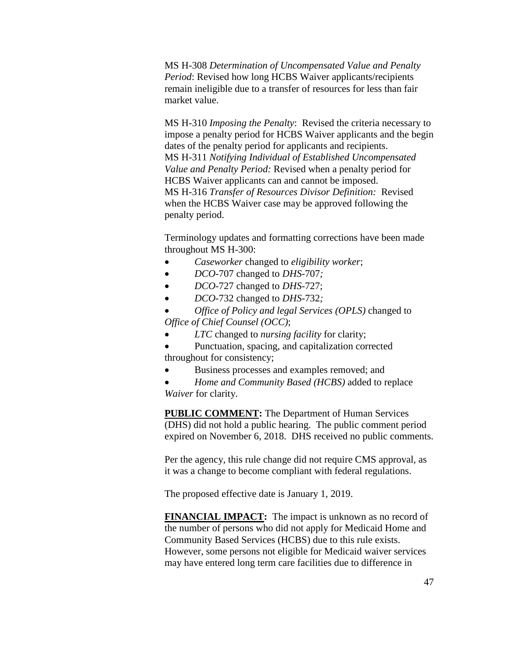MS H-308 *Determination of Uncompensated Value and Penalty Period*: Revised how long HCBS Waiver applicants/recipients remain ineligible due to a transfer of resources for less than fair market value.

MS H-310 *Imposing the Penalty*: Revised the criteria necessary to impose a penalty period for HCBS Waiver applicants and the begin dates of the penalty period for applicants and recipients. MS H-311 *Notifying Individual of Established Uncompensated Value and Penalty Period:* Revised when a penalty period for HCBS Waiver applicants can and cannot be imposed. MS H-316 *Transfer of Resources Divisor Definition:* Revised when the HCBS Waiver case may be approved following the penalty period.

Terminology updates and formatting corrections have been made throughout MS H-300:

- *Caseworker* changed to *eligibility worker*;
- *DCO*-707 changed to *DHS-*707*;*
- *DCO*-727 changed to *DHS*-727;
- *DCO*-732 changed to *DHS-*732*;*
- *Office of Policy and legal Services (OPLS)* changed to *Office of Chief Counsel (OCC)*;
- *LTC* changed to *nursing facility* for clarity;

 Punctuation, spacing, and capitalization corrected throughout for consistency;

Business processes and examples removed; and

 *Home and Community Based (HCBS)* added to replace *Waiver* for clarity.

**PUBLIC COMMENT:** The Department of Human Services (DHS) did not hold a public hearing. The public comment period expired on November 6, 2018. DHS received no public comments.

Per the agency, this rule change did not require CMS approval, as it was a change to become compliant with federal regulations.

The proposed effective date is January 1, 2019.

**FINANCIAL IMPACT:** The impact is unknown as no record of the number of persons who did not apply for Medicaid Home and Community Based Services (HCBS) due to this rule exists. However, some persons not eligible for Medicaid waiver services may have entered long term care facilities due to difference in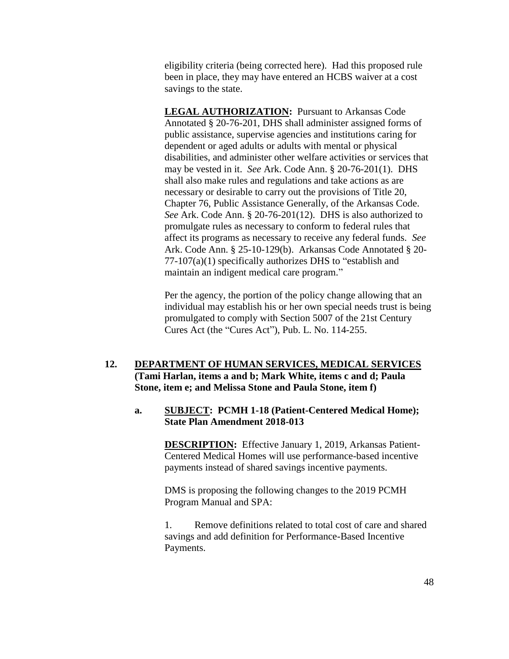eligibility criteria (being corrected here). Had this proposed rule been in place, they may have entered an HCBS waiver at a cost savings to the state.

**LEGAL AUTHORIZATION:** Pursuant to Arkansas Code Annotated § 20-76-201, DHS shall administer assigned forms of public assistance, supervise agencies and institutions caring for dependent or aged adults or adults with mental or physical disabilities, and administer other welfare activities or services that may be vested in it. *See* Ark. Code Ann. § 20-76-201(1). DHS shall also make rules and regulations and take actions as are necessary or desirable to carry out the provisions of Title 20, Chapter 76, Public Assistance Generally, of the Arkansas Code. *See* Ark. Code Ann. § 20-76-201(12). DHS is also authorized to promulgate rules as necessary to conform to federal rules that affect its programs as necessary to receive any federal funds. *See* Ark. Code Ann. § 25-10-129(b). Arkansas Code Annotated § 20- 77-107(a)(1) specifically authorizes DHS to "establish and maintain an indigent medical care program."

Per the agency, the portion of the policy change allowing that an individual may establish his or her own special needs trust is being promulgated to comply with Section 5007 of the 21st Century Cures Act (the "Cures Act"), Pub. L. No. 114-255.

# **12. DEPARTMENT OF HUMAN SERVICES, MEDICAL SERVICES (Tami Harlan, items a and b; Mark White, items c and d; Paula Stone, item e; and Melissa Stone and Paula Stone, item f)**

## **a. SUBJECT: PCMH 1-18 (Patient-Centered Medical Home); State Plan Amendment 2018-013**

**DESCRIPTION:** Effective January 1, 2019, Arkansas Patient-Centered Medical Homes will use performance-based incentive payments instead of shared savings incentive payments.

DMS is proposing the following changes to the 2019 PCMH Program Manual and SPA:

1. Remove definitions related to total cost of care and shared savings and add definition for Performance-Based Incentive Payments.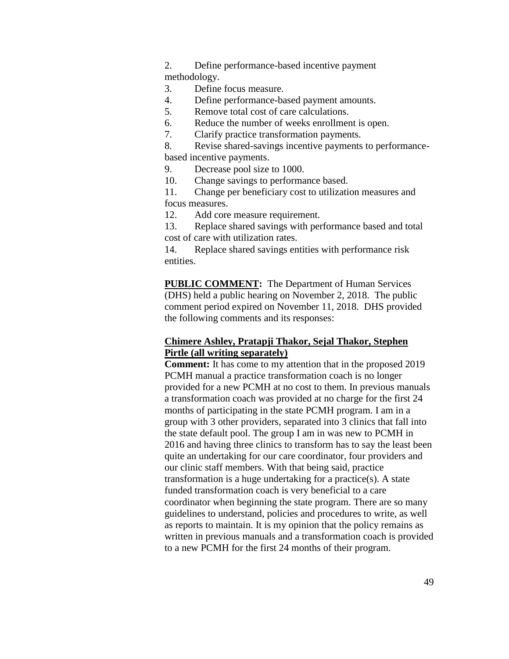2. Define performance-based incentive payment methodology.

- 3. Define focus measure.
- 4. Define performance-based payment amounts.
- 5. Remove total cost of care calculations.
- 6. Reduce the number of weeks enrollment is open.
- 7. Clarify practice transformation payments.

8. Revise shared-savings incentive payments to performancebased incentive payments.

- 9. Decrease pool size to 1000.
- 10. Change savings to performance based.

11. Change per beneficiary cost to utilization measures and focus measures.

12. Add core measure requirement.

13. Replace shared savings with performance based and total cost of care with utilization rates.

14. Replace shared savings entities with performance risk entities.

**PUBLIC COMMENT:** The Department of Human Services (DHS) held a public hearing on November 2, 2018. The public comment period expired on November 11, 2018. DHS provided the following comments and its responses:

### **Chimere Ashley, Pratapji Thakor, Sejal Thakor, Stephen Pirtle (all writing separately)**

**Comment:** It has come to my attention that in the proposed 2019 PCMH manual a practice transformation coach is no longer provided for a new PCMH at no cost to them. In previous manuals a transformation coach was provided at no charge for the first 24 months of participating in the state PCMH program. I am in a group with 3 other providers, separated into 3 clinics that fall into the state default pool. The group I am in was new to PCMH in 2016 and having three clinics to transform has to say the least been quite an undertaking for our care coordinator, four providers and our clinic staff members. With that being said, practice transformation is a huge undertaking for a practice(s). A state funded transformation coach is very beneficial to a care coordinator when beginning the state program. There are so many guidelines to understand, policies and procedures to write, as well as reports to maintain. It is my opinion that the policy remains as written in previous manuals and a transformation coach is provided to a new PCMH for the first 24 months of their program.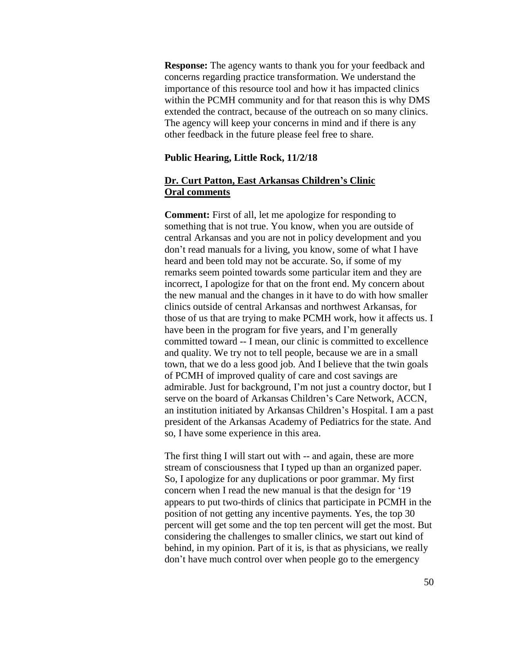**Response:** The agency wants to thank you for your feedback and concerns regarding practice transformation. We understand the importance of this resource tool and how it has impacted clinics within the PCMH community and for that reason this is why DMS extended the contract, because of the outreach on so many clinics. The agency will keep your concerns in mind and if there is any other feedback in the future please feel free to share.

#### **Public Hearing, Little Rock, 11/2/18**

## **Dr. Curt Patton, East Arkansas Children's Clinic Oral comments**

**Comment:** First of all, let me apologize for responding to something that is not true. You know, when you are outside of central Arkansas and you are not in policy development and you don't read manuals for a living, you know, some of what I have heard and been told may not be accurate. So, if some of my remarks seem pointed towards some particular item and they are incorrect, I apologize for that on the front end. My concern about the new manual and the changes in it have to do with how smaller clinics outside of central Arkansas and northwest Arkansas, for those of us that are trying to make PCMH work, how it affects us. I have been in the program for five years, and I'm generally committed toward -- I mean, our clinic is committed to excellence and quality. We try not to tell people, because we are in a small town, that we do a less good job. And I believe that the twin goals of PCMH of improved quality of care and cost savings are admirable. Just for background, I'm not just a country doctor, but I serve on the board of Arkansas Children's Care Network, ACCN, an institution initiated by Arkansas Children's Hospital. I am a past president of the Arkansas Academy of Pediatrics for the state. And so, I have some experience in this area.

The first thing I will start out with -- and again, these are more stream of consciousness that I typed up than an organized paper. So, I apologize for any duplications or poor grammar. My first concern when I read the new manual is that the design for '19 appears to put two-thirds of clinics that participate in PCMH in the position of not getting any incentive payments. Yes, the top 30 percent will get some and the top ten percent will get the most. But considering the challenges to smaller clinics, we start out kind of behind, in my opinion. Part of it is, is that as physicians, we really don't have much control over when people go to the emergency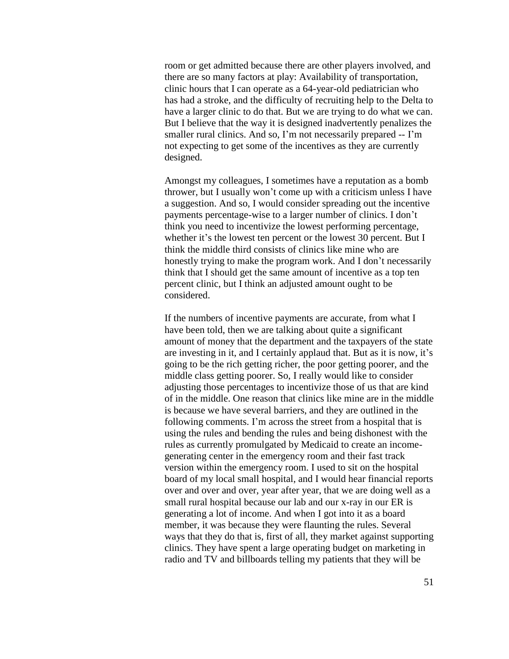room or get admitted because there are other players involved, and there are so many factors at play: Availability of transportation, clinic hours that I can operate as a 64-year-old pediatrician who has had a stroke, and the difficulty of recruiting help to the Delta to have a larger clinic to do that. But we are trying to do what we can. But I believe that the way it is designed inadvertently penalizes the smaller rural clinics. And so, I'm not necessarily prepared -- I'm not expecting to get some of the incentives as they are currently designed.

Amongst my colleagues, I sometimes have a reputation as a bomb thrower, but I usually won't come up with a criticism unless I have a suggestion. And so, I would consider spreading out the incentive payments percentage-wise to a larger number of clinics. I don't think you need to incentivize the lowest performing percentage, whether it's the lowest ten percent or the lowest 30 percent. But I think the middle third consists of clinics like mine who are honestly trying to make the program work. And I don't necessarily think that I should get the same amount of incentive as a top ten percent clinic, but I think an adjusted amount ought to be considered.

If the numbers of incentive payments are accurate, from what I have been told, then we are talking about quite a significant amount of money that the department and the taxpayers of the state are investing in it, and I certainly applaud that. But as it is now, it's going to be the rich getting richer, the poor getting poorer, and the middle class getting poorer. So, I really would like to consider adjusting those percentages to incentivize those of us that are kind of in the middle. One reason that clinics like mine are in the middle is because we have several barriers, and they are outlined in the following comments. I'm across the street from a hospital that is using the rules and bending the rules and being dishonest with the rules as currently promulgated by Medicaid to create an incomegenerating center in the emergency room and their fast track version within the emergency room. I used to sit on the hospital board of my local small hospital, and I would hear financial reports over and over and over, year after year, that we are doing well as a small rural hospital because our lab and our x-ray in our ER is generating a lot of income. And when I got into it as a board member, it was because they were flaunting the rules. Several ways that they do that is, first of all, they market against supporting clinics. They have spent a large operating budget on marketing in radio and TV and billboards telling my patients that they will be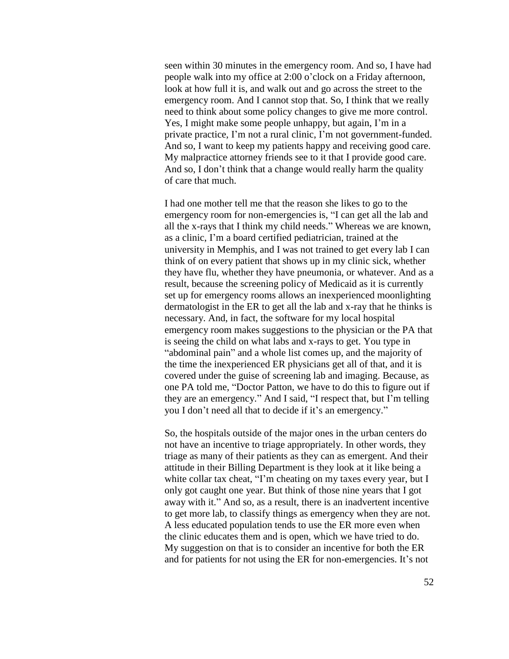seen within 30 minutes in the emergency room. And so, I have had people walk into my office at 2:00 o'clock on a Friday afternoon, look at how full it is, and walk out and go across the street to the emergency room. And I cannot stop that. So, I think that we really need to think about some policy changes to give me more control. Yes, I might make some people unhappy, but again, I'm in a private practice, I'm not a rural clinic, I'm not government-funded. And so, I want to keep my patients happy and receiving good care. My malpractice attorney friends see to it that I provide good care. And so, I don't think that a change would really harm the quality of care that much.

I had one mother tell me that the reason she likes to go to the emergency room for non-emergencies is, "I can get all the lab and all the x-rays that I think my child needs." Whereas we are known, as a clinic, I'm a board certified pediatrician, trained at the university in Memphis, and I was not trained to get every lab I can think of on every patient that shows up in my clinic sick, whether they have flu, whether they have pneumonia, or whatever. And as a result, because the screening policy of Medicaid as it is currently set up for emergency rooms allows an inexperienced moonlighting dermatologist in the ER to get all the lab and x-ray that he thinks is necessary. And, in fact, the software for my local hospital emergency room makes suggestions to the physician or the PA that is seeing the child on what labs and x-rays to get. You type in "abdominal pain" and a whole list comes up, and the majority of the time the inexperienced ER physicians get all of that, and it is covered under the guise of screening lab and imaging. Because, as one PA told me, "Doctor Patton, we have to do this to figure out if they are an emergency." And I said, "I respect that, but I'm telling you I don't need all that to decide if it's an emergency."

So, the hospitals outside of the major ones in the urban centers do not have an incentive to triage appropriately. In other words, they triage as many of their patients as they can as emergent. And their attitude in their Billing Department is they look at it like being a white collar tax cheat, "I'm cheating on my taxes every year, but I only got caught one year. But think of those nine years that I got away with it." And so, as a result, there is an inadvertent incentive to get more lab, to classify things as emergency when they are not. A less educated population tends to use the ER more even when the clinic educates them and is open, which we have tried to do. My suggestion on that is to consider an incentive for both the ER and for patients for not using the ER for non-emergencies. It's not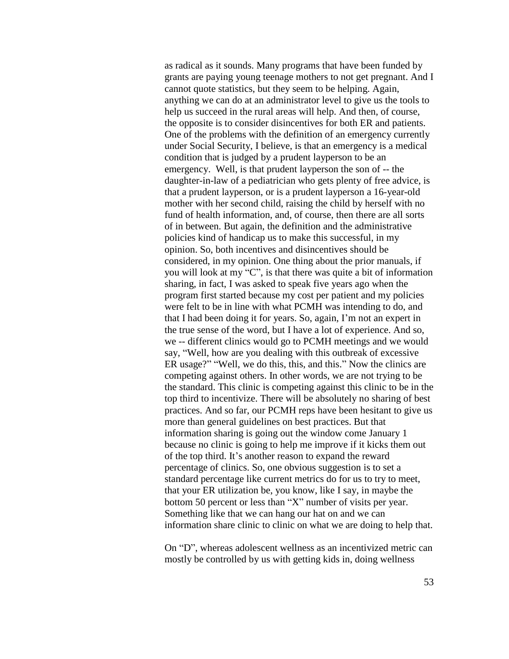as radical as it sounds. Many programs that have been funded by grants are paying young teenage mothers to not get pregnant. And I cannot quote statistics, but they seem to be helping. Again, anything we can do at an administrator level to give us the tools to help us succeed in the rural areas will help. And then, of course, the opposite is to consider disincentives for both ER and patients. One of the problems with the definition of an emergency currently under Social Security, I believe, is that an emergency is a medical condition that is judged by a prudent layperson to be an emergency. Well, is that prudent layperson the son of -- the daughter-in-law of a pediatrician who gets plenty of free advice, is that a prudent layperson, or is a prudent layperson a 16-year-old mother with her second child, raising the child by herself with no fund of health information, and, of course, then there are all sorts of in between. But again, the definition and the administrative policies kind of handicap us to make this successful, in my opinion. So, both incentives and disincentives should be considered, in my opinion. One thing about the prior manuals, if you will look at my "C", is that there was quite a bit of information sharing, in fact, I was asked to speak five years ago when the program first started because my cost per patient and my policies were felt to be in line with what PCMH was intending to do, and that I had been doing it for years. So, again, I'm not an expert in the true sense of the word, but I have a lot of experience. And so, we -- different clinics would go to PCMH meetings and we would say, "Well, how are you dealing with this outbreak of excessive ER usage?" "Well, we do this, this, and this." Now the clinics are competing against others. In other words, we are not trying to be the standard. This clinic is competing against this clinic to be in the top third to incentivize. There will be absolutely no sharing of best practices. And so far, our PCMH reps have been hesitant to give us more than general guidelines on best practices. But that information sharing is going out the window come January 1 because no clinic is going to help me improve if it kicks them out of the top third. It's another reason to expand the reward percentage of clinics. So, one obvious suggestion is to set a standard percentage like current metrics do for us to try to meet, that your ER utilization be, you know, like I say, in maybe the bottom 50 percent or less than "X" number of visits per year. Something like that we can hang our hat on and we can information share clinic to clinic on what we are doing to help that.

On "D", whereas adolescent wellness as an incentivized metric can mostly be controlled by us with getting kids in, doing wellness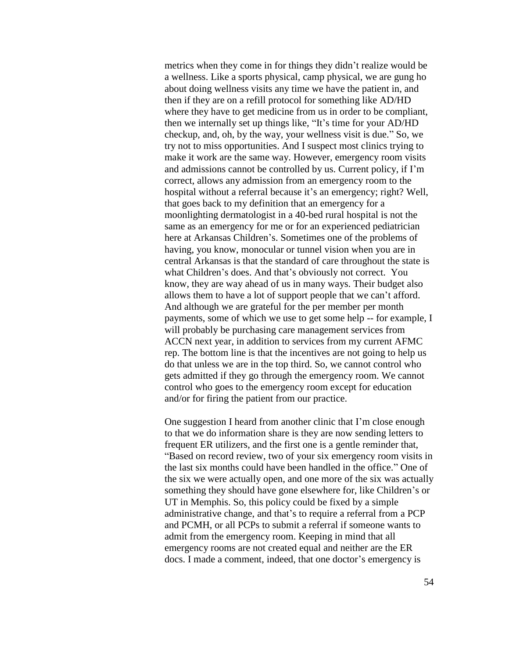metrics when they come in for things they didn't realize would be a wellness. Like a sports physical, camp physical, we are gung ho about doing wellness visits any time we have the patient in, and then if they are on a refill protocol for something like AD/HD where they have to get medicine from us in order to be compliant, then we internally set up things like, "It's time for your AD/HD checkup, and, oh, by the way, your wellness visit is due." So, we try not to miss opportunities. And I suspect most clinics trying to make it work are the same way. However, emergency room visits and admissions cannot be controlled by us. Current policy, if I'm correct, allows any admission from an emergency room to the hospital without a referral because it's an emergency; right? Well, that goes back to my definition that an emergency for a moonlighting dermatologist in a 40-bed rural hospital is not the same as an emergency for me or for an experienced pediatrician here at Arkansas Children's. Sometimes one of the problems of having, you know, monocular or tunnel vision when you are in central Arkansas is that the standard of care throughout the state is what Children's does. And that's obviously not correct. You know, they are way ahead of us in many ways. Their budget also allows them to have a lot of support people that we can't afford. And although we are grateful for the per member per month payments, some of which we use to get some help -- for example, I will probably be purchasing care management services from ACCN next year, in addition to services from my current AFMC rep. The bottom line is that the incentives are not going to help us do that unless we are in the top third. So, we cannot control who gets admitted if they go through the emergency room. We cannot control who goes to the emergency room except for education and/or for firing the patient from our practice.

One suggestion I heard from another clinic that I'm close enough to that we do information share is they are now sending letters to frequent ER utilizers, and the first one is a gentle reminder that, "Based on record review, two of your six emergency room visits in the last six months could have been handled in the office." One of the six we were actually open, and one more of the six was actually something they should have gone elsewhere for, like Children's or UT in Memphis. So, this policy could be fixed by a simple administrative change, and that's to require a referral from a PCP and PCMH, or all PCPs to submit a referral if someone wants to admit from the emergency room. Keeping in mind that all emergency rooms are not created equal and neither are the ER docs. I made a comment, indeed, that one doctor's emergency is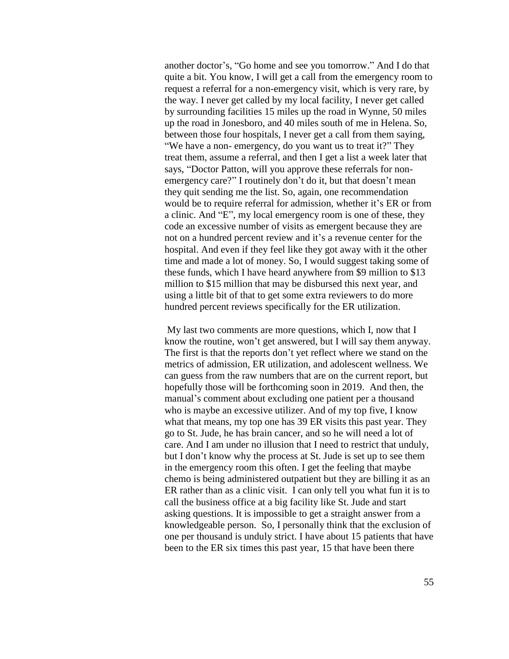another doctor's, "Go home and see you tomorrow." And I do that quite a bit. You know, I will get a call from the emergency room to request a referral for a non-emergency visit, which is very rare, by the way. I never get called by my local facility, I never get called by surrounding facilities 15 miles up the road in Wynne, 50 miles up the road in Jonesboro, and 40 miles south of me in Helena. So, between those four hospitals, I never get a call from them saying, "We have a non- emergency, do you want us to treat it?" They treat them, assume a referral, and then I get a list a week later that says, "Doctor Patton, will you approve these referrals for nonemergency care?" I routinely don't do it, but that doesn't mean they quit sending me the list. So, again, one recommendation would be to require referral for admission, whether it's ER or from a clinic. And "E", my local emergency room is one of these, they code an excessive number of visits as emergent because they are not on a hundred percent review and it's a revenue center for the hospital. And even if they feel like they got away with it the other time and made a lot of money. So, I would suggest taking some of these funds, which I have heard anywhere from \$9 million to \$13 million to \$15 million that may be disbursed this next year, and using a little bit of that to get some extra reviewers to do more hundred percent reviews specifically for the ER utilization.

My last two comments are more questions, which I, now that I know the routine, won't get answered, but I will say them anyway. The first is that the reports don't yet reflect where we stand on the metrics of admission, ER utilization, and adolescent wellness. We can guess from the raw numbers that are on the current report, but hopefully those will be forthcoming soon in 2019. And then, the manual's comment about excluding one patient per a thousand who is maybe an excessive utilizer. And of my top five, I know what that means, my top one has 39 ER visits this past year. They go to St. Jude, he has brain cancer, and so he will need a lot of care. And I am under no illusion that I need to restrict that unduly, but I don't know why the process at St. Jude is set up to see them in the emergency room this often. I get the feeling that maybe chemo is being administered outpatient but they are billing it as an ER rather than as a clinic visit. I can only tell you what fun it is to call the business office at a big facility like St. Jude and start asking questions. It is impossible to get a straight answer from a knowledgeable person. So, I personally think that the exclusion of one per thousand is unduly strict. I have about 15 patients that have been to the ER six times this past year, 15 that have been there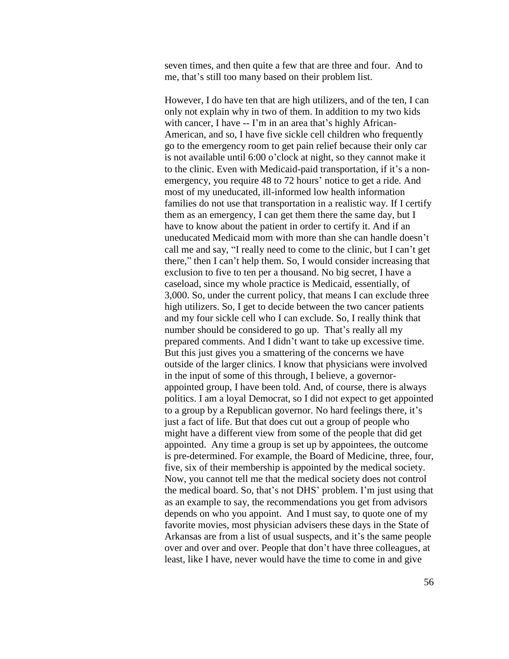seven times, and then quite a few that are three and four. And to me, that's still too many based on their problem list.

However, I do have ten that are high utilizers, and of the ten, I can only not explain why in two of them. In addition to my two kids with cancer, I have -- I'm in an area that's highly African-American, and so, I have five sickle cell children who frequently go to the emergency room to get pain relief because their only car is not available until 6:00 o'clock at night, so they cannot make it to the clinic. Even with Medicaid-paid transportation, if it's a nonemergency, you require 48 to 72 hours' notice to get a ride. And most of my uneducated, ill-informed low health information families do not use that transportation in a realistic way. If I certify them as an emergency, I can get them there the same day, but I have to know about the patient in order to certify it. And if an uneducated Medicaid mom with more than she can handle doesn't call me and say, "I really need to come to the clinic, but I can't get there," then I can't help them. So, I would consider increasing that exclusion to five to ten per a thousand. No big secret, I have a caseload, since my whole practice is Medicaid, essentially, of 3,000. So, under the current policy, that means I can exclude three high utilizers. So, I get to decide between the two cancer patients and my four sickle cell who I can exclude. So, I really think that number should be considered to go up. That's really all my prepared comments. And I didn't want to take up excessive time. But this just gives you a smattering of the concerns we have outside of the larger clinics. I know that physicians were involved in the input of some of this through, I believe, a governorappointed group, I have been told. And, of course, there is always politics. I am a loyal Democrat, so I did not expect to get appointed to a group by a Republican governor. No hard feelings there, it's just a fact of life. But that does cut out a group of people who might have a different view from some of the people that did get appointed. Any time a group is set up by appointees, the outcome is pre-determined. For example, the Board of Medicine, three, four, five, six of their membership is appointed by the medical society. Now, you cannot tell me that the medical society does not control the medical board. So, that's not DHS' problem. I'm just using that as an example to say, the recommendations you get from advisors depends on who you appoint. And I must say, to quote one of my favorite movies, most physician advisers these days in the State of Arkansas are from a list of usual suspects, and it's the same people over and over and over. People that don't have three colleagues, at least, like I have, never would have the time to come in and give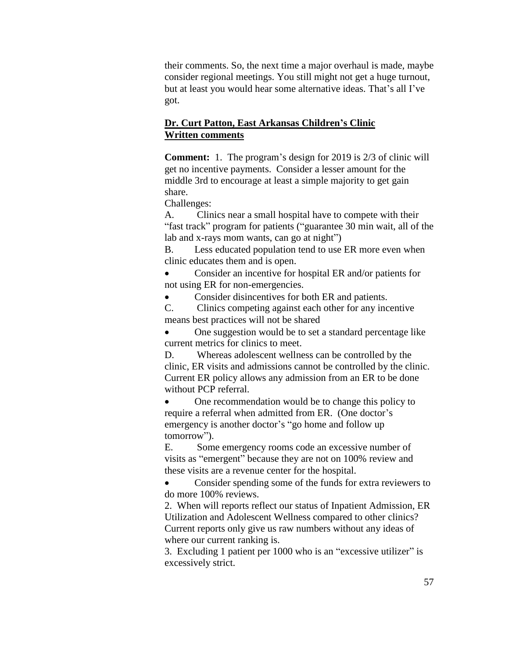their comments. So, the next time a major overhaul is made, maybe consider regional meetings. You still might not get a huge turnout, but at least you would hear some alternative ideas. That's all I've got.

# **Dr. Curt Patton, East Arkansas Children's Clinic Written comments**

**Comment:** 1. The program's design for 2019 is 2/3 of clinic will get no incentive payments. Consider a lesser amount for the middle 3rd to encourage at least a simple majority to get gain share.

Challenges:

A. Clinics near a small hospital have to compete with their "fast track" program for patients ("guarantee 30 min wait, all of the lab and x-rays mom wants, can go at night")

B. Less educated population tend to use ER more even when clinic educates them and is open.

 Consider an incentive for hospital ER and/or patients for not using ER for non-emergencies.

• Consider disincentives for both ER and patients.

C. Clinics competing against each other for any incentive means best practices will not be shared

 One suggestion would be to set a standard percentage like current metrics for clinics to meet.

D. Whereas adolescent wellness can be controlled by the clinic, ER visits and admissions cannot be controlled by the clinic. Current ER policy allows any admission from an ER to be done without PCP referral.

 One recommendation would be to change this policy to require a referral when admitted from ER. (One doctor's emergency is another doctor's "go home and follow up tomorrow").

E. Some emergency rooms code an excessive number of visits as "emergent" because they are not on 100% review and these visits are a revenue center for the hospital.

• Consider spending some of the funds for extra reviewers to do more 100% reviews.

2. When will reports reflect our status of Inpatient Admission, ER Utilization and Adolescent Wellness compared to other clinics? Current reports only give us raw numbers without any ideas of where our current ranking is.

3. Excluding 1 patient per 1000 who is an "excessive utilizer" is excessively strict.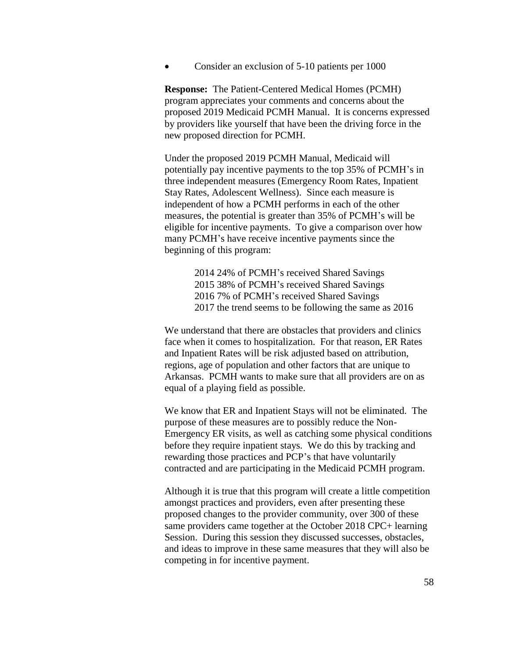Consider an exclusion of 5-10 patients per 1000

**Response:** The Patient-Centered Medical Homes (PCMH) program appreciates your comments and concerns about the proposed 2019 Medicaid PCMH Manual. It is concerns expressed by providers like yourself that have been the driving force in the new proposed direction for PCMH.

Under the proposed 2019 PCMH Manual, Medicaid will potentially pay incentive payments to the top 35% of PCMH's in three independent measures (Emergency Room Rates, Inpatient Stay Rates, Adolescent Wellness). Since each measure is independent of how a PCMH performs in each of the other measures, the potential is greater than 35% of PCMH's will be eligible for incentive payments. To give a comparison over how many PCMH's have receive incentive payments since the beginning of this program:

> 2014 24% of PCMH's received Shared Savings 2015 38% of PCMH's received Shared Savings 2016 7% of PCMH's received Shared Savings 2017 the trend seems to be following the same as 2016

We understand that there are obstacles that providers and clinics face when it comes to hospitalization. For that reason, ER Rates and Inpatient Rates will be risk adjusted based on attribution, regions, age of population and other factors that are unique to Arkansas. PCMH wants to make sure that all providers are on as equal of a playing field as possible.

We know that ER and Inpatient Stays will not be eliminated. The purpose of these measures are to possibly reduce the Non-Emergency ER visits, as well as catching some physical conditions before they require inpatient stays. We do this by tracking and rewarding those practices and PCP's that have voluntarily contracted and are participating in the Medicaid PCMH program.

Although it is true that this program will create a little competition amongst practices and providers, even after presenting these proposed changes to the provider community, over 300 of these same providers came together at the October 2018 CPC+ learning Session. During this session they discussed successes, obstacles, and ideas to improve in these same measures that they will also be competing in for incentive payment.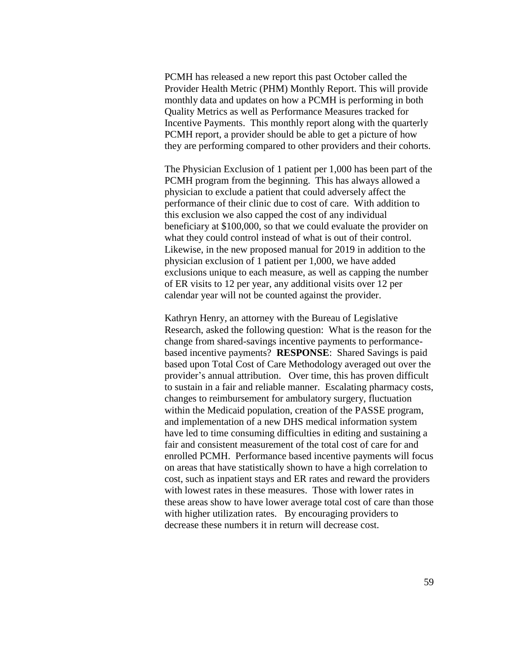PCMH has released a new report this past October called the Provider Health Metric (PHM) Monthly Report. This will provide monthly data and updates on how a PCMH is performing in both Quality Metrics as well as Performance Measures tracked for Incentive Payments. This monthly report along with the quarterly PCMH report, a provider should be able to get a picture of how they are performing compared to other providers and their cohorts.

The Physician Exclusion of 1 patient per 1,000 has been part of the PCMH program from the beginning. This has always allowed a physician to exclude a patient that could adversely affect the performance of their clinic due to cost of care. With addition to this exclusion we also capped the cost of any individual beneficiary at \$100,000, so that we could evaluate the provider on what they could control instead of what is out of their control. Likewise, in the new proposed manual for 2019 in addition to the physician exclusion of 1 patient per 1,000, we have added exclusions unique to each measure, as well as capping the number of ER visits to 12 per year, any additional visits over 12 per calendar year will not be counted against the provider.

Kathryn Henry, an attorney with the Bureau of Legislative Research, asked the following question: What is the reason for the change from shared-savings incentive payments to performancebased incentive payments? **RESPONSE**: Shared Savings is paid based upon Total Cost of Care Methodology averaged out over the provider's annual attribution. Over time, this has proven difficult to sustain in a fair and reliable manner. Escalating pharmacy costs, changes to reimbursement for ambulatory surgery, fluctuation within the Medicaid population, creation of the PASSE program, and implementation of a new DHS medical information system have led to time consuming difficulties in editing and sustaining a fair and consistent measurement of the total cost of care for and enrolled PCMH. Performance based incentive payments will focus on areas that have statistically shown to have a high correlation to cost, such as inpatient stays and ER rates and reward the providers with lowest rates in these measures. Those with lower rates in these areas show to have lower average total cost of care than those with higher utilization rates. By encouraging providers to decrease these numbers it in return will decrease cost.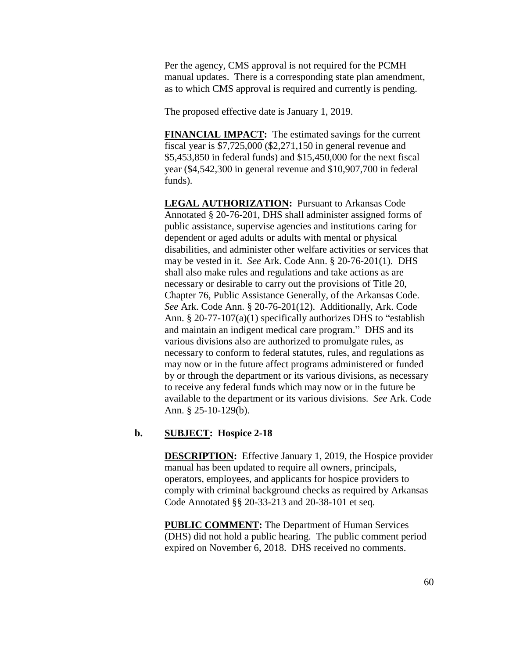Per the agency, CMS approval is not required for the PCMH manual updates. There is a corresponding state plan amendment, as to which CMS approval is required and currently is pending.

The proposed effective date is January 1, 2019.

**FINANCIAL IMPACT:** The estimated savings for the current fiscal year is \$7,725,000 (\$2,271,150 in general revenue and \$5,453,850 in federal funds) and \$15,450,000 for the next fiscal year (\$4,542,300 in general revenue and \$10,907,700 in federal funds).

**LEGAL AUTHORIZATION:** Pursuant to Arkansas Code Annotated § 20-76-201, DHS shall administer assigned forms of public assistance, supervise agencies and institutions caring for dependent or aged adults or adults with mental or physical disabilities, and administer other welfare activities or services that may be vested in it. *See* Ark. Code Ann. § 20-76-201(1). DHS shall also make rules and regulations and take actions as are necessary or desirable to carry out the provisions of Title 20, Chapter 76, Public Assistance Generally, of the Arkansas Code. *See* Ark. Code Ann. § 20-76-201(12). Additionally, Ark. Code Ann. § 20-77-107(a)(1) specifically authorizes DHS to "establish and maintain an indigent medical care program." DHS and its various divisions also are authorized to promulgate rules, as necessary to conform to federal statutes, rules, and regulations as may now or in the future affect programs administered or funded by or through the department or its various divisions, as necessary to receive any federal funds which may now or in the future be available to the department or its various divisions. *See* Ark. Code Ann. § 25-10-129(b).

#### **b. SUBJECT: Hospice 2-18**

**DESCRIPTION:** Effective January 1, 2019, the Hospice provider manual has been updated to require all owners, principals, operators, employees, and applicants for hospice providers to comply with criminal background checks as required by Arkansas Code Annotated §§ 20-33-213 and 20-38-101 et seq.

**PUBLIC COMMENT:** The Department of Human Services (DHS) did not hold a public hearing. The public comment period expired on November 6, 2018. DHS received no comments.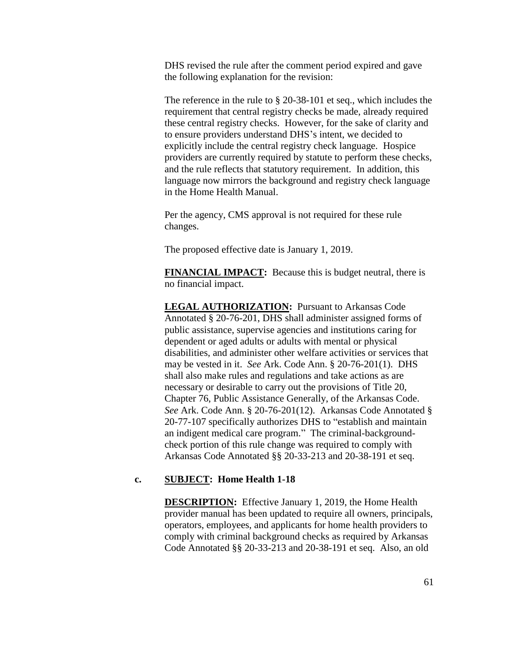DHS revised the rule after the comment period expired and gave the following explanation for the revision:

The reference in the rule to § 20-38-101 et seq., which includes the requirement that central registry checks be made, already required these central registry checks. However, for the sake of clarity and to ensure providers understand DHS's intent, we decided to explicitly include the central registry check language. Hospice providers are currently required by statute to perform these checks, and the rule reflects that statutory requirement. In addition, this language now mirrors the background and registry check language in the Home Health Manual.

Per the agency, CMS approval is not required for these rule changes.

The proposed effective date is January 1, 2019.

**FINANCIAL IMPACT:** Because this is budget neutral, there is no financial impact.

**LEGAL AUTHORIZATION:** Pursuant to Arkansas Code Annotated § 20-76-201, DHS shall administer assigned forms of public assistance, supervise agencies and institutions caring for dependent or aged adults or adults with mental or physical disabilities, and administer other welfare activities or services that may be vested in it. *See* Ark. Code Ann. § 20-76-201(1). DHS shall also make rules and regulations and take actions as are necessary or desirable to carry out the provisions of Title 20, Chapter 76, Public Assistance Generally, of the Arkansas Code. *See* Ark. Code Ann. § 20-76-201(12). Arkansas Code Annotated § 20-77-107 specifically authorizes DHS to "establish and maintain an indigent medical care program." The criminal-backgroundcheck portion of this rule change was required to comply with Arkansas Code Annotated §§ 20-33-213 and 20-38-191 et seq.

#### **c. SUBJECT: Home Health 1-18**

**DESCRIPTION:** Effective January 1, 2019, the Home Health provider manual has been updated to require all owners, principals, operators, employees, and applicants for home health providers to comply with criminal background checks as required by Arkansas Code Annotated §§ 20-33-213 and 20-38-191 et seq. Also, an old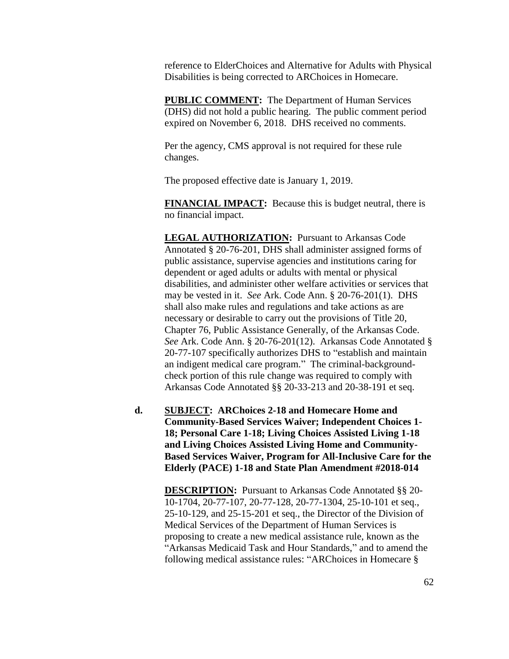reference to ElderChoices and Alternative for Adults with Physical Disabilities is being corrected to ARChoices in Homecare.

**PUBLIC COMMENT:** The Department of Human Services (DHS) did not hold a public hearing. The public comment period expired on November 6, 2018. DHS received no comments.

Per the agency, CMS approval is not required for these rule changes.

The proposed effective date is January 1, 2019.

**FINANCIAL IMPACT:** Because this is budget neutral, there is no financial impact.

**LEGAL AUTHORIZATION:** Pursuant to Arkansas Code Annotated § 20-76-201, DHS shall administer assigned forms of public assistance, supervise agencies and institutions caring for dependent or aged adults or adults with mental or physical disabilities, and administer other welfare activities or services that may be vested in it. *See* Ark. Code Ann. § 20-76-201(1). DHS shall also make rules and regulations and take actions as are necessary or desirable to carry out the provisions of Title 20, Chapter 76, Public Assistance Generally, of the Arkansas Code. *See* Ark. Code Ann. § 20-76-201(12). Arkansas Code Annotated § 20-77-107 specifically authorizes DHS to "establish and maintain an indigent medical care program." The criminal-backgroundcheck portion of this rule change was required to comply with Arkansas Code Annotated §§ 20-33-213 and 20-38-191 et seq.

**d. SUBJECT: ARChoices 2-18 and Homecare Home and Community-Based Services Waiver; Independent Choices 1- 18; Personal Care 1-18; Living Choices Assisted Living 1-18 and Living Choices Assisted Living Home and Community-Based Services Waiver, Program for All-Inclusive Care for the Elderly (PACE) 1-18 and State Plan Amendment #2018-014**

> **DESCRIPTION:** Pursuant to Arkansas Code Annotated §§ 20- 10-1704, 20-77-107, 20-77-128, 20-77-1304, 25-10-101 et seq., 25-10-129, and 25-15-201 et seq., the Director of the Division of Medical Services of the Department of Human Services is proposing to create a new medical assistance rule, known as the "Arkansas Medicaid Task and Hour Standards," and to amend the following medical assistance rules: "ARChoices in Homecare §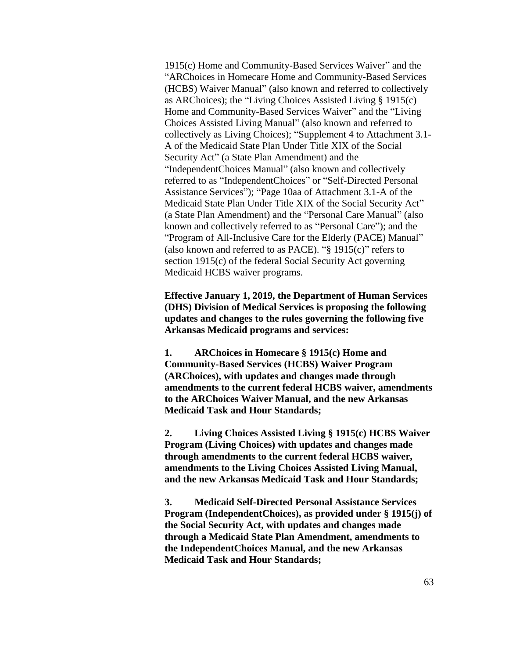1915(c) Home and Community-Based Services Waiver" and the "ARChoices in Homecare Home and Community-Based Services (HCBS) Waiver Manual" (also known and referred to collectively as ARChoices); the "Living Choices Assisted Living § 1915(c) Home and Community-Based Services Waiver" and the "Living Choices Assisted Living Manual" (also known and referred to collectively as Living Choices); "Supplement 4 to Attachment 3.1- A of the Medicaid State Plan Under Title XIX of the Social Security Act" (a State Plan Amendment) and the "IndependentChoices Manual" (also known and collectively referred to as "IndependentChoices" or "Self-Directed Personal Assistance Services"); "Page 10aa of Attachment 3.1-A of the Medicaid State Plan Under Title XIX of the Social Security Act" (a State Plan Amendment) and the "Personal Care Manual" (also known and collectively referred to as "Personal Care"); and the "Program of All-Inclusive Care for the Elderly (PACE) Manual" (also known and referred to as PACE). "§ 1915(c)" refers to section 1915(c) of the federal Social Security Act governing Medicaid HCBS waiver programs.

**Effective January 1, 2019, the Department of Human Services (DHS) Division of Medical Services is proposing the following updates and changes to the rules governing the following five Arkansas Medicaid programs and services:**

**1. ARChoices in Homecare § 1915(c) Home and Community-Based Services (HCBS) Waiver Program (ARChoices), with updates and changes made through amendments to the current federal HCBS waiver, amendments to the ARChoices Waiver Manual, and the new Arkansas Medicaid Task and Hour Standards;**

**2. Living Choices Assisted Living § 1915(c) HCBS Waiver Program (Living Choices) with updates and changes made through amendments to the current federal HCBS waiver, amendments to the Living Choices Assisted Living Manual, and the new Arkansas Medicaid Task and Hour Standards;**

**3. Medicaid Self-Directed Personal Assistance Services Program (IndependentChoices), as provided under § 1915(j) of the Social Security Act, with updates and changes made through a Medicaid State Plan Amendment, amendments to the IndependentChoices Manual, and the new Arkansas Medicaid Task and Hour Standards;**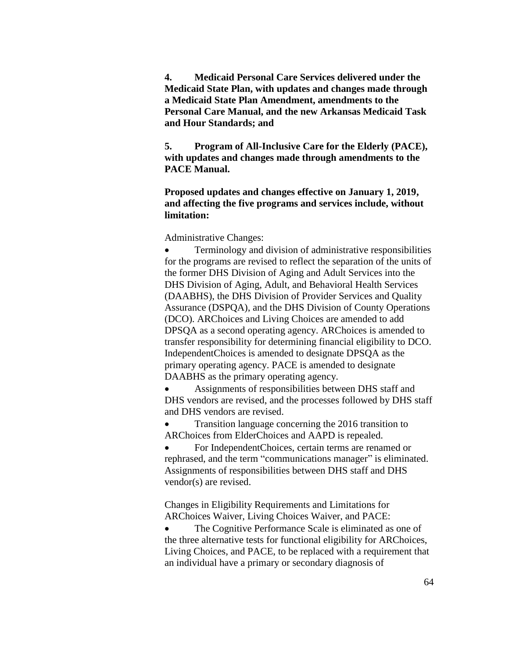**4. Medicaid Personal Care Services delivered under the Medicaid State Plan, with updates and changes made through a Medicaid State Plan Amendment, amendments to the Personal Care Manual, and the new Arkansas Medicaid Task and Hour Standards; and**

**5. Program of All-Inclusive Care for the Elderly (PACE), with updates and changes made through amendments to the PACE Manual.**

**Proposed updates and changes effective on January 1, 2019, and affecting the five programs and services include, without limitation:**

Administrative Changes:

 Terminology and division of administrative responsibilities for the programs are revised to reflect the separation of the units of the former DHS Division of Aging and Adult Services into the DHS Division of Aging, Adult, and Behavioral Health Services (DAABHS), the DHS Division of Provider Services and Quality Assurance (DSPQA), and the DHS Division of County Operations (DCO). ARChoices and Living Choices are amended to add DPSQA as a second operating agency. ARChoices is amended to transfer responsibility for determining financial eligibility to DCO. IndependentChoices is amended to designate DPSQA as the primary operating agency. PACE is amended to designate DAABHS as the primary operating agency.

 Assignments of responsibilities between DHS staff and DHS vendors are revised, and the processes followed by DHS staff and DHS vendors are revised.

• Transition language concerning the 2016 transition to ARChoices from ElderChoices and AAPD is repealed.

 For IndependentChoices, certain terms are renamed or rephrased, and the term "communications manager" is eliminated. Assignments of responsibilities between DHS staff and DHS vendor(s) are revised.

Changes in Eligibility Requirements and Limitations for ARChoices Waiver, Living Choices Waiver, and PACE:

• The Cognitive Performance Scale is eliminated as one of the three alternative tests for functional eligibility for ARChoices, Living Choices, and PACE, to be replaced with a requirement that an individual have a primary or secondary diagnosis of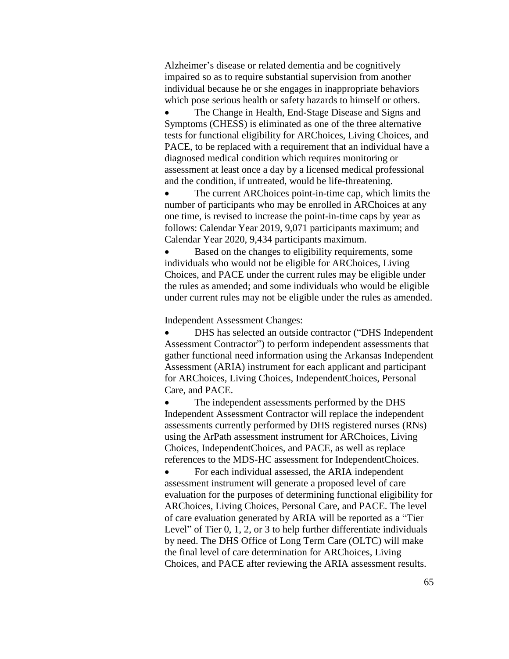Alzheimer's disease or related dementia and be cognitively impaired so as to require substantial supervision from another individual because he or she engages in inappropriate behaviors which pose serious health or safety hazards to himself or others.

 The Change in Health, End-Stage Disease and Signs and Symptoms (CHESS) is eliminated as one of the three alternative tests for functional eligibility for ARChoices, Living Choices, and PACE, to be replaced with a requirement that an individual have a diagnosed medical condition which requires monitoring or assessment at least once a day by a licensed medical professional and the condition, if untreated, would be life-threatening.

 The current ARChoices point-in-time cap, which limits the number of participants who may be enrolled in ARChoices at any one time, is revised to increase the point-in-time caps by year as follows: Calendar Year 2019, 9,071 participants maximum; and Calendar Year 2020, 9,434 participants maximum.

 Based on the changes to eligibility requirements, some individuals who would not be eligible for ARChoices, Living Choices, and PACE under the current rules may be eligible under the rules as amended; and some individuals who would be eligible under current rules may not be eligible under the rules as amended.

Independent Assessment Changes:

 DHS has selected an outside contractor ("DHS Independent Assessment Contractor") to perform independent assessments that gather functional need information using the Arkansas Independent Assessment (ARIA) instrument for each applicant and participant for ARChoices, Living Choices, IndependentChoices, Personal Care, and PACE.

 The independent assessments performed by the DHS Independent Assessment Contractor will replace the independent assessments currently performed by DHS registered nurses (RNs) using the ArPath assessment instrument for ARChoices, Living Choices, IndependentChoices, and PACE, as well as replace references to the MDS-HC assessment for IndependentChoices.

• For each individual assessed, the ARIA independent assessment instrument will generate a proposed level of care evaluation for the purposes of determining functional eligibility for ARChoices, Living Choices, Personal Care, and PACE. The level of care evaluation generated by ARIA will be reported as a "Tier Level" of Tier 0, 1, 2, or 3 to help further differentiate individuals by need. The DHS Office of Long Term Care (OLTC) will make the final level of care determination for ARChoices, Living Choices, and PACE after reviewing the ARIA assessment results.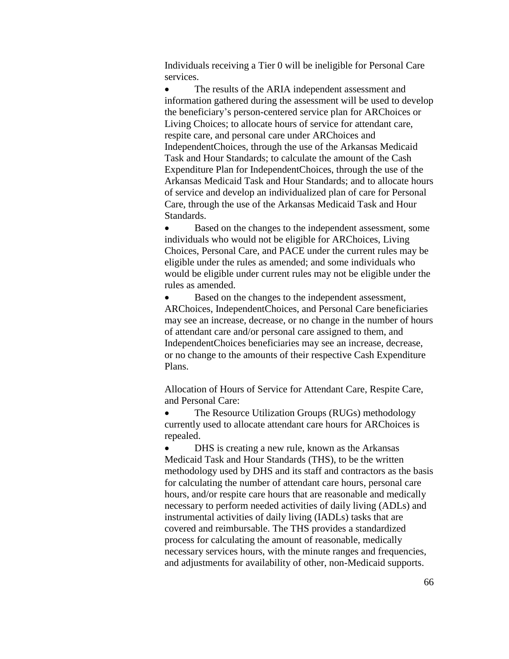Individuals receiving a Tier 0 will be ineligible for Personal Care services.

• The results of the ARIA independent assessment and information gathered during the assessment will be used to develop the beneficiary's person-centered service plan for ARChoices or Living Choices; to allocate hours of service for attendant care, respite care, and personal care under ARChoices and IndependentChoices, through the use of the Arkansas Medicaid Task and Hour Standards; to calculate the amount of the Cash Expenditure Plan for IndependentChoices, through the use of the Arkansas Medicaid Task and Hour Standards; and to allocate hours of service and develop an individualized plan of care for Personal Care, through the use of the Arkansas Medicaid Task and Hour Standards.

 Based on the changes to the independent assessment, some individuals who would not be eligible for ARChoices, Living Choices, Personal Care, and PACE under the current rules may be eligible under the rules as amended; and some individuals who would be eligible under current rules may not be eligible under the rules as amended.

 Based on the changes to the independent assessment, ARChoices, IndependentChoices, and Personal Care beneficiaries may see an increase, decrease, or no change in the number of hours of attendant care and/or personal care assigned to them, and IndependentChoices beneficiaries may see an increase, decrease, or no change to the amounts of their respective Cash Expenditure Plans.

Allocation of Hours of Service for Attendant Care, Respite Care, and Personal Care:

• The Resource Utilization Groups (RUGs) methodology currently used to allocate attendant care hours for ARChoices is repealed.

• DHS is creating a new rule, known as the Arkansas Medicaid Task and Hour Standards (THS), to be the written methodology used by DHS and its staff and contractors as the basis for calculating the number of attendant care hours, personal care hours, and/or respite care hours that are reasonable and medically necessary to perform needed activities of daily living (ADLs) and instrumental activities of daily living (IADLs) tasks that are covered and reimbursable. The THS provides a standardized process for calculating the amount of reasonable, medically necessary services hours, with the minute ranges and frequencies, and adjustments for availability of other, non-Medicaid supports.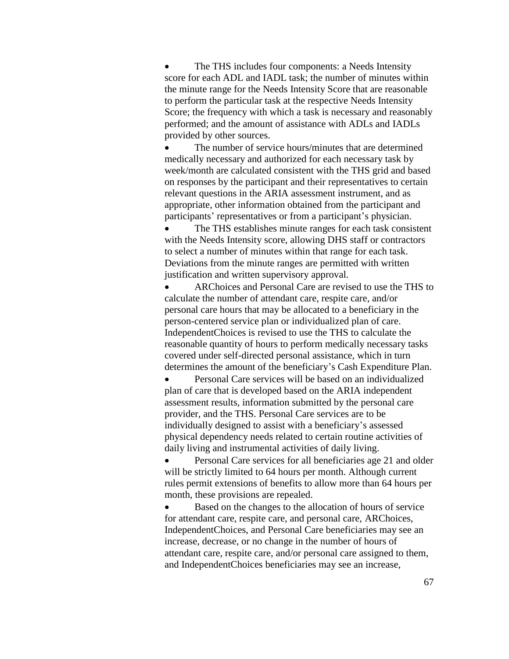The THS includes four components: a Needs Intensity score for each ADL and IADL task; the number of minutes within the minute range for the Needs Intensity Score that are reasonable to perform the particular task at the respective Needs Intensity Score; the frequency with which a task is necessary and reasonably performed; and the amount of assistance with ADLs and IADLs provided by other sources.

 The number of service hours/minutes that are determined medically necessary and authorized for each necessary task by week/month are calculated consistent with the THS grid and based on responses by the participant and their representatives to certain relevant questions in the ARIA assessment instrument, and as appropriate, other information obtained from the participant and participants' representatives or from a participant's physician.

 The THS establishes minute ranges for each task consistent with the Needs Intensity score, allowing DHS staff or contractors to select a number of minutes within that range for each task. Deviations from the minute ranges are permitted with written justification and written supervisory approval.

 ARChoices and Personal Care are revised to use the THS to calculate the number of attendant care, respite care, and/or personal care hours that may be allocated to a beneficiary in the person-centered service plan or individualized plan of care. IndependentChoices is revised to use the THS to calculate the reasonable quantity of hours to perform medically necessary tasks covered under self-directed personal assistance, which in turn determines the amount of the beneficiary's Cash Expenditure Plan.

 Personal Care services will be based on an individualized plan of care that is developed based on the ARIA independent assessment results, information submitted by the personal care provider, and the THS. Personal Care services are to be individually designed to assist with a beneficiary's assessed physical dependency needs related to certain routine activities of daily living and instrumental activities of daily living.

 Personal Care services for all beneficiaries age 21 and older will be strictly limited to 64 hours per month. Although current rules permit extensions of benefits to allow more than 64 hours per month, these provisions are repealed.

 Based on the changes to the allocation of hours of service for attendant care, respite care, and personal care, ARChoices, IndependentChoices, and Personal Care beneficiaries may see an increase, decrease, or no change in the number of hours of attendant care, respite care, and/or personal care assigned to them, and IndependentChoices beneficiaries may see an increase,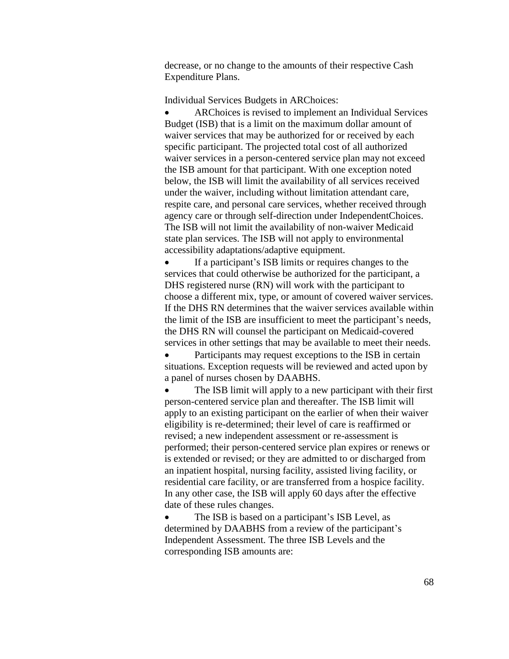decrease, or no change to the amounts of their respective Cash Expenditure Plans.

Individual Services Budgets in ARChoices:

 ARChoices is revised to implement an Individual Services Budget (ISB) that is a limit on the maximum dollar amount of waiver services that may be authorized for or received by each specific participant. The projected total cost of all authorized waiver services in a person-centered service plan may not exceed the ISB amount for that participant. With one exception noted below, the ISB will limit the availability of all services received under the waiver, including without limitation attendant care, respite care, and personal care services, whether received through agency care or through self-direction under IndependentChoices. The ISB will not limit the availability of non-waiver Medicaid state plan services. The ISB will not apply to environmental accessibility adaptations/adaptive equipment.

 If a participant's ISB limits or requires changes to the services that could otherwise be authorized for the participant, a DHS registered nurse (RN) will work with the participant to choose a different mix, type, or amount of covered waiver services. If the DHS RN determines that the waiver services available within the limit of the ISB are insufficient to meet the participant's needs, the DHS RN will counsel the participant on Medicaid-covered services in other settings that may be available to meet their needs.

 Participants may request exceptions to the ISB in certain situations. Exception requests will be reviewed and acted upon by a panel of nurses chosen by DAABHS.

• The ISB limit will apply to a new participant with their first person-centered service plan and thereafter. The ISB limit will apply to an existing participant on the earlier of when their waiver eligibility is re-determined; their level of care is reaffirmed or revised; a new independent assessment or re-assessment is performed; their person-centered service plan expires or renews or is extended or revised; or they are admitted to or discharged from an inpatient hospital, nursing facility, assisted living facility, or residential care facility, or are transferred from a hospice facility. In any other case, the ISB will apply 60 days after the effective date of these rules changes.

 The ISB is based on a participant's ISB Level, as determined by DAABHS from a review of the participant's Independent Assessment. The three ISB Levels and the corresponding ISB amounts are: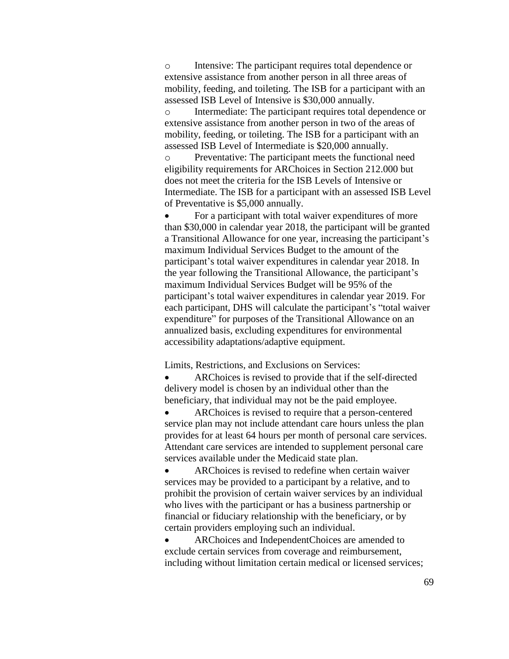o Intensive: The participant requires total dependence or extensive assistance from another person in all three areas of mobility, feeding, and toileting. The ISB for a participant with an assessed ISB Level of Intensive is \$30,000 annually.

o Intermediate: The participant requires total dependence or extensive assistance from another person in two of the areas of mobility, feeding, or toileting. The ISB for a participant with an assessed ISB Level of Intermediate is \$20,000 annually.

o Preventative: The participant meets the functional need eligibility requirements for ARChoices in Section 212.000 but does not meet the criteria for the ISB Levels of Intensive or Intermediate. The ISB for a participant with an assessed ISB Level of Preventative is \$5,000 annually.

 For a participant with total waiver expenditures of more than \$30,000 in calendar year 2018, the participant will be granted a Transitional Allowance for one year, increasing the participant's maximum Individual Services Budget to the amount of the participant's total waiver expenditures in calendar year 2018. In the year following the Transitional Allowance, the participant's maximum Individual Services Budget will be 95% of the participant's total waiver expenditures in calendar year 2019. For each participant, DHS will calculate the participant's "total waiver expenditure" for purposes of the Transitional Allowance on an annualized basis, excluding expenditures for environmental accessibility adaptations/adaptive equipment.

Limits, Restrictions, and Exclusions on Services:

 ARChoices is revised to provide that if the self-directed delivery model is chosen by an individual other than the beneficiary, that individual may not be the paid employee.

 ARChoices is revised to require that a person-centered service plan may not include attendant care hours unless the plan provides for at least 64 hours per month of personal care services. Attendant care services are intended to supplement personal care services available under the Medicaid state plan.

 ARChoices is revised to redefine when certain waiver services may be provided to a participant by a relative, and to prohibit the provision of certain waiver services by an individual who lives with the participant or has a business partnership or financial or fiduciary relationship with the beneficiary, or by certain providers employing such an individual.

 ARChoices and IndependentChoices are amended to exclude certain services from coverage and reimbursement, including without limitation certain medical or licensed services;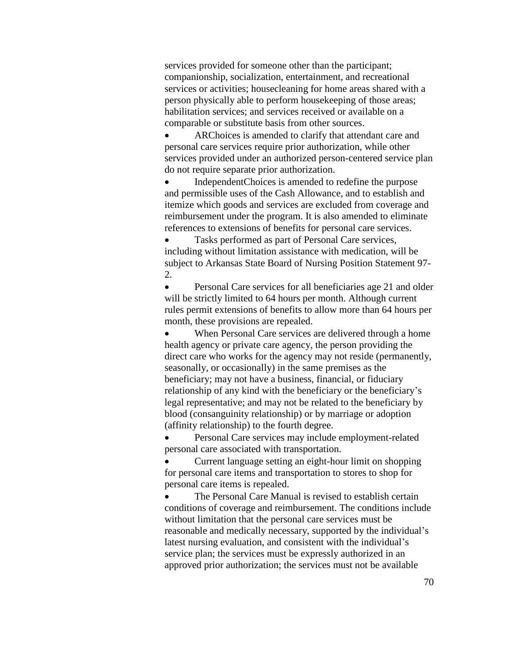services provided for someone other than the participant; companionship, socialization, entertainment, and recreational services or activities; housecleaning for home areas shared with a person physically able to perform housekeeping of those areas; habilitation services; and services received or available on a comparable or substitute basis from other sources.

 ARChoices is amended to clarify that attendant care and personal care services require prior authorization, while other services provided under an authorized person-centered service plan do not require separate prior authorization.

 IndependentChoices is amended to redefine the purpose and permissible uses of the Cash Allowance, and to establish and itemize which goods and services are excluded from coverage and reimbursement under the program. It is also amended to eliminate references to extensions of benefits for personal care services.

 Tasks performed as part of Personal Care services, including without limitation assistance with medication, will be subject to Arkansas State Board of Nursing Position Statement 97- 2.

• Personal Care services for all beneficiaries age 21 and older will be strictly limited to 64 hours per month. Although current rules permit extensions of benefits to allow more than 64 hours per month, these provisions are repealed.

 When Personal Care services are delivered through a home health agency or private care agency, the person providing the direct care who works for the agency may not reside (permanently, seasonally, or occasionally) in the same premises as the beneficiary; may not have a business, financial, or fiduciary relationship of any kind with the beneficiary or the beneficiary's legal representative; and may not be related to the beneficiary by blood (consanguinity relationship) or by marriage or adoption (affinity relationship) to the fourth degree.

 Personal Care services may include employment-related personal care associated with transportation.

 Current language setting an eight-hour limit on shopping for personal care items and transportation to stores to shop for personal care items is repealed.

• The Personal Care Manual is revised to establish certain conditions of coverage and reimbursement. The conditions include without limitation that the personal care services must be reasonable and medically necessary, supported by the individual's latest nursing evaluation, and consistent with the individual's service plan; the services must be expressly authorized in an approved prior authorization; the services must not be available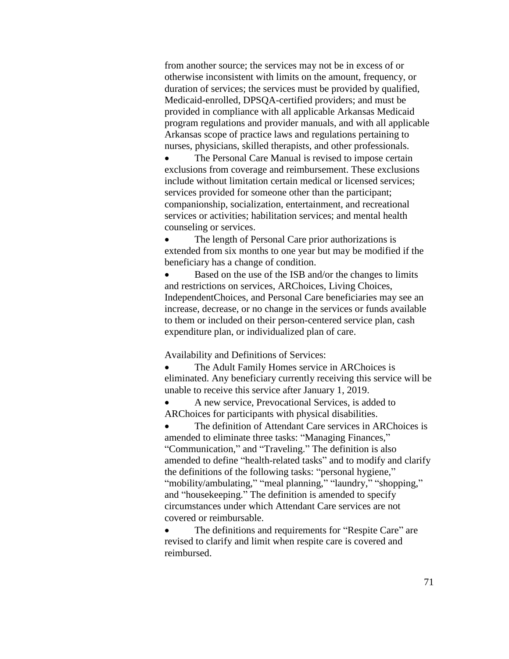from another source; the services may not be in excess of or otherwise inconsistent with limits on the amount, frequency, or duration of services; the services must be provided by qualified, Medicaid-enrolled, DPSQA-certified providers; and must be provided in compliance with all applicable Arkansas Medicaid program regulations and provider manuals, and with all applicable Arkansas scope of practice laws and regulations pertaining to nurses, physicians, skilled therapists, and other professionals.

 The Personal Care Manual is revised to impose certain exclusions from coverage and reimbursement. These exclusions include without limitation certain medical or licensed services; services provided for someone other than the participant; companionship, socialization, entertainment, and recreational services or activities; habilitation services; and mental health counseling or services.

• The length of Personal Care prior authorizations is extended from six months to one year but may be modified if the beneficiary has a change of condition.

 Based on the use of the ISB and/or the changes to limits and restrictions on services, ARChoices, Living Choices, IndependentChoices, and Personal Care beneficiaries may see an increase, decrease, or no change in the services or funds available to them or included on their person-centered service plan, cash expenditure plan, or individualized plan of care.

Availability and Definitions of Services:

 The Adult Family Homes service in ARChoices is eliminated. Any beneficiary currently receiving this service will be unable to receive this service after January 1, 2019.

 A new service, Prevocational Services, is added to ARChoices for participants with physical disabilities.

 The definition of Attendant Care services in ARChoices is amended to eliminate three tasks: "Managing Finances," "Communication," and "Traveling." The definition is also amended to define "health-related tasks" and to modify and clarify the definitions of the following tasks: "personal hygiene," "mobility/ambulating," "meal planning," "laundry," "shopping," and "housekeeping." The definition is amended to specify circumstances under which Attendant Care services are not covered or reimbursable.

 The definitions and requirements for "Respite Care" are revised to clarify and limit when respite care is covered and reimbursed.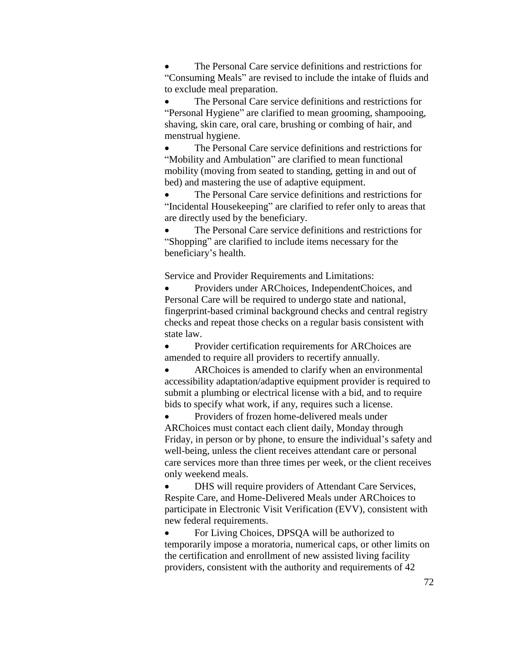The Personal Care service definitions and restrictions for "Consuming Meals" are revised to include the intake of fluids and to exclude meal preparation.

 The Personal Care service definitions and restrictions for "Personal Hygiene" are clarified to mean grooming, shampooing, shaving, skin care, oral care, brushing or combing of hair, and menstrual hygiene.

 The Personal Care service definitions and restrictions for "Mobility and Ambulation" are clarified to mean functional mobility (moving from seated to standing, getting in and out of bed) and mastering the use of adaptive equipment.

• The Personal Care service definitions and restrictions for "Incidental Housekeeping" are clarified to refer only to areas that are directly used by the beneficiary.

 The Personal Care service definitions and restrictions for "Shopping" are clarified to include items necessary for the beneficiary's health.

Service and Provider Requirements and Limitations:

 Providers under ARChoices, IndependentChoices, and Personal Care will be required to undergo state and national, fingerprint-based criminal background checks and central registry checks and repeat those checks on a regular basis consistent with state law.

• Provider certification requirements for ARChoices are amended to require all providers to recertify annually.

 ARChoices is amended to clarify when an environmental accessibility adaptation/adaptive equipment provider is required to submit a plumbing or electrical license with a bid, and to require bids to specify what work, if any, requires such a license.

 Providers of frozen home-delivered meals under ARChoices must contact each client daily, Monday through Friday, in person or by phone, to ensure the individual's safety and well-being, unless the client receives attendant care or personal care services more than three times per week, or the client receives only weekend meals.

 DHS will require providers of Attendant Care Services, Respite Care, and Home-Delivered Meals under ARChoices to participate in Electronic Visit Verification (EVV), consistent with new federal requirements.

• For Living Choices, DPSQA will be authorized to temporarily impose a moratoria, numerical caps, or other limits on the certification and enrollment of new assisted living facility providers, consistent with the authority and requirements of 42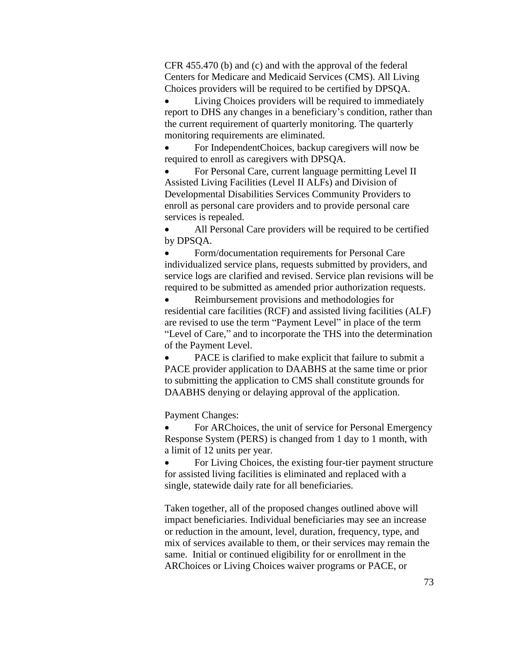CFR 455.470 (b) and (c) and with the approval of the federal Centers for Medicare and Medicaid Services (CMS). All Living Choices providers will be required to be certified by DPSQA.

 Living Choices providers will be required to immediately report to DHS any changes in a beneficiary's condition, rather than the current requirement of quarterly monitoring. The quarterly monitoring requirements are eliminated.

 For IndependentChoices, backup caregivers will now be required to enroll as caregivers with DPSQA.

 For Personal Care, current language permitting Level II Assisted Living Facilities (Level II ALFs) and Division of Developmental Disabilities Services Community Providers to enroll as personal care providers and to provide personal care services is repealed.

 All Personal Care providers will be required to be certified by DPSQA.

 Form/documentation requirements for Personal Care individualized service plans, requests submitted by providers, and service logs are clarified and revised. Service plan revisions will be required to be submitted as amended prior authorization requests.

• Reimbursement provisions and methodologies for residential care facilities (RCF) and assisted living facilities (ALF) are revised to use the term "Payment Level" in place of the term "Level of Care," and to incorporate the THS into the determination of the Payment Level.

 PACE is clarified to make explicit that failure to submit a PACE provider application to DAABHS at the same time or prior to submitting the application to CMS shall constitute grounds for DAABHS denying or delaying approval of the application.

Payment Changes:

 For ARChoices, the unit of service for Personal Emergency Response System (PERS) is changed from 1 day to 1 month, with a limit of 12 units per year.

• For Living Choices, the existing four-tier payment structure for assisted living facilities is eliminated and replaced with a single, statewide daily rate for all beneficiaries.

Taken together, all of the proposed changes outlined above will impact beneficiaries. Individual beneficiaries may see an increase or reduction in the amount, level, duration, frequency, type, and mix of services available to them, or their services may remain the same. Initial or continued eligibility for or enrollment in the ARChoices or Living Choices waiver programs or PACE, or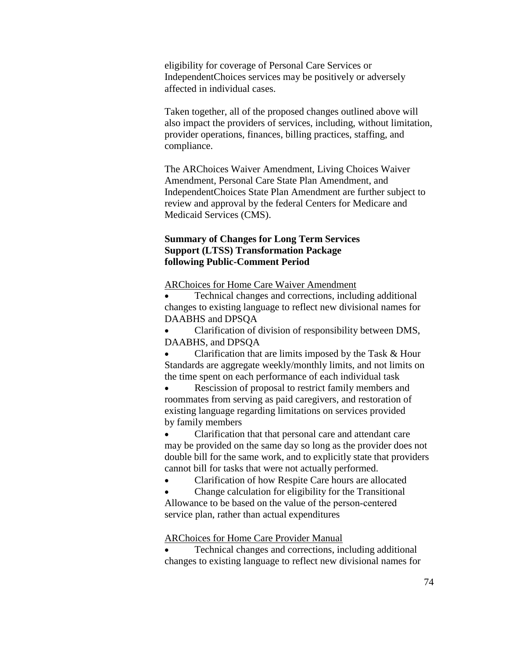eligibility for coverage of Personal Care Services or IndependentChoices services may be positively or adversely affected in individual cases.

Taken together, all of the proposed changes outlined above will also impact the providers of services, including, without limitation, provider operations, finances, billing practices, staffing, and compliance.

The ARChoices Waiver Amendment, Living Choices Waiver Amendment, Personal Care State Plan Amendment, and IndependentChoices State Plan Amendment are further subject to review and approval by the federal Centers for Medicare and Medicaid Services (CMS).

## **Summary of Changes for Long Term Services Support (LTSS) Transformation Package following Public-Comment Period**

ARChoices for Home Care Waiver Amendment

 Technical changes and corrections, including additional changes to existing language to reflect new divisional names for DAABHS and DPSQA

 Clarification of division of responsibility between DMS, DAABHS, and DPSQA

 Clarification that are limits imposed by the Task & Hour Standards are aggregate weekly/monthly limits, and not limits on the time spent on each performance of each individual task

 Rescission of proposal to restrict family members and roommates from serving as paid caregivers, and restoration of existing language regarding limitations on services provided by family members

 Clarification that that personal care and attendant care may be provided on the same day so long as the provider does not double bill for the same work, and to explicitly state that providers cannot bill for tasks that were not actually performed.

Clarification of how Respite Care hours are allocated

 Change calculation for eligibility for the Transitional Allowance to be based on the value of the person‐centered service plan, rather than actual expenditures

ARChoices for Home Care Provider Manual

 Technical changes and corrections, including additional changes to existing language to reflect new divisional names for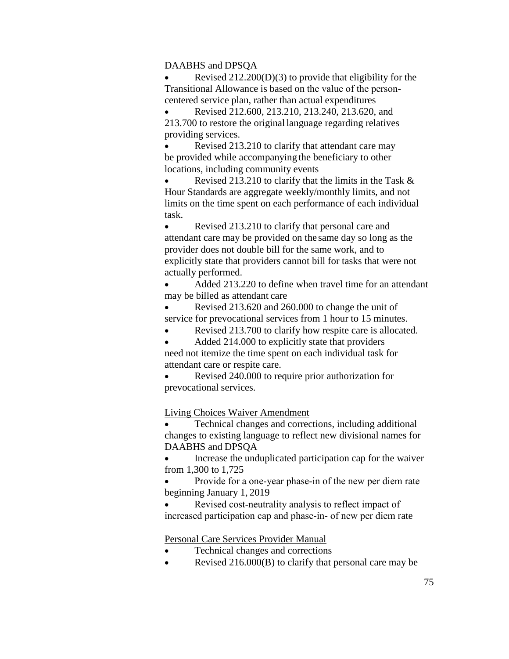#### DAABHS and DPSQA

 Revised 212.200(D)(3) to provide that eligibility for the Transitional Allowance is based on the value of the person‐ centered service plan, rather than actual expenditures

 Revised 212.600, 213.210, 213.240, 213.620, and 213.700 to restore the original language regarding relatives providing services.

 Revised 213.210 to clarify that attendant care may be provided while accompanying the beneficiary to other locations, including community events

 Revised 213.210 to clarify that the limits in the Task & Hour Standards are aggregate weekly/monthly limits, and not limits on the time spent on each performance of each individual task.

 Revised 213.210 to clarify that personal care and attendant care may be provided on the same day so long as the provider does not double bill for the same work, and to explicitly state that providers cannot bill for tasks that were not actually performed.

 Added 213.220 to define when travel time for an attendant may be billed as attendant care

 Revised 213.620 and 260.000 to change the unit of service for prevocational services from 1 hour to 15 minutes.

Revised 213.700 to clarify how respite care is allocated.

 Added 214.000 to explicitly state that providers need not itemize the time spent on each individual task for attendant care or respite care.

 Revised 240.000 to require prior authorization for prevocational services.

Living Choices Waiver Amendment

 Technical changes and corrections, including additional changes to existing language to reflect new divisional names for DAABHS and DPSQA

 Increase the unduplicated participation cap for the waiver from 1,300 to 1,725

 Provide for a one‐year phase‐in of the new per diem rate beginning January 1, 2019

 Revised cost‐neutrality analysis to reflect impact of increased participation cap and phase‐in‐ of new per diem rate

Personal Care Services Provider Manual

- Technical changes and corrections
- Revised 216.000(B) to clarify that personal care may be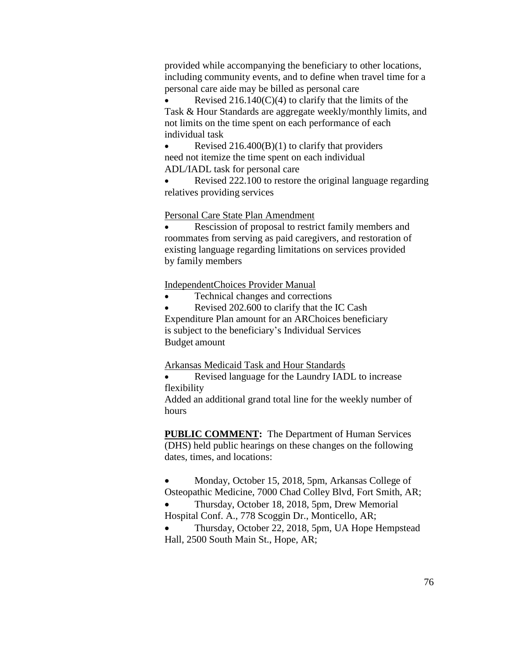provided while accompanying the beneficiary to other locations, including community events, and to define when travel time for a personal care aide may be billed as personal care

Revised  $216.140(C)(4)$  to clarify that the limits of the Task & Hour Standards are aggregate weekly/monthly limits, and not limits on the time spent on each performance of each individual task

Revised  $216.400(B)(1)$  to clarify that providers need not itemize the time spent on each individual ADL/IADL task for personal care

• Revised 222.100 to restore the original language regarding relatives providing services

## Personal Care State Plan Amendment

 Rescission of proposal to restrict family members and roommates from serving as paid caregivers, and restoration of existing language regarding limitations on services provided by family members

IndependentChoices Provider Manual

• Technical changes and corrections

 Revised 202.600 to clarify that the IC Cash Expenditure Plan amount for an ARChoices beneficiary is subject to the beneficiary's Individual Services Budget amount

Arkansas Medicaid Task and Hour Standards

 Revised language for the Laundry IADL to increase flexibility

Added an additional grand total line for the weekly number of hours

**PUBLIC COMMENT:** The Department of Human Services (DHS) held public hearings on these changes on the following dates, times, and locations:

• Monday, October 15, 2018, 5pm, Arkansas College of

Osteopathic Medicine, 7000 Chad Colley Blvd, Fort Smith, AR; Thursday, October 18, 2018, 5pm, Drew Memorial

Hospital Conf. A., 778 Scoggin Dr., Monticello, AR;

 Thursday, October 22, 2018, 5pm, UA Hope Hempstead Hall, 2500 South Main St., Hope, AR;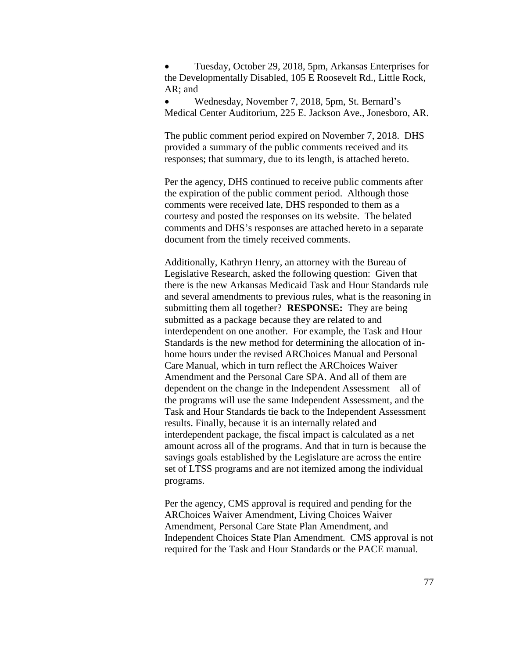Tuesday, October 29, 2018, 5pm, Arkansas Enterprises for the Developmentally Disabled, 105 E Roosevelt Rd., Little Rock, AR; and

 Wednesday, November 7, 2018, 5pm, St. Bernard's Medical Center Auditorium, 225 E. Jackson Ave., Jonesboro, AR.

The public comment period expired on November 7, 2018. DHS provided a summary of the public comments received and its responses; that summary, due to its length, is attached hereto.

Per the agency, DHS continued to receive public comments after the expiration of the public comment period. Although those comments were received late, DHS responded to them as a courtesy and posted the responses on its website. The belated comments and DHS's responses are attached hereto in a separate document from the timely received comments.

Additionally, Kathryn Henry, an attorney with the Bureau of Legislative Research, asked the following question: Given that there is the new Arkansas Medicaid Task and Hour Standards rule and several amendments to previous rules, what is the reasoning in submitting them all together? **RESPONSE:** They are being submitted as a package because they are related to and interdependent on one another. For example, the Task and Hour Standards is the new method for determining the allocation of inhome hours under the revised ARChoices Manual and Personal Care Manual, which in turn reflect the ARChoices Waiver Amendment and the Personal Care SPA. And all of them are dependent on the change in the Independent Assessment – all of the programs will use the same Independent Assessment, and the Task and Hour Standards tie back to the Independent Assessment results. Finally, because it is an internally related and interdependent package, the fiscal impact is calculated as a net amount across all of the programs. And that in turn is because the savings goals established by the Legislature are across the entire set of LTSS programs and are not itemized among the individual programs.

Per the agency, CMS approval is required and pending for the ARChoices Waiver Amendment, Living Choices Waiver Amendment, Personal Care State Plan Amendment, and Independent Choices State Plan Amendment. CMS approval is not required for the Task and Hour Standards or the PACE manual.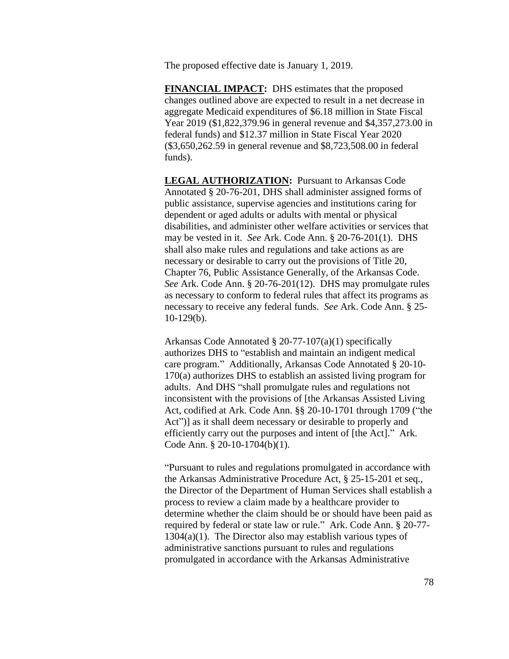The proposed effective date is January 1, 2019.

**FINANCIAL IMPACT:** DHS estimates that the proposed changes outlined above are expected to result in a net decrease in aggregate Medicaid expenditures of \$6.18 million in State Fiscal Year 2019 (\$1,822,379.96 in general revenue and \$4,357,273.00 in federal funds) and \$12.37 million in State Fiscal Year 2020 (\$3,650,262.59 in general revenue and \$8,723,508.00 in federal funds).

**LEGAL AUTHORIZATION:** Pursuant to Arkansas Code Annotated § 20-76-201, DHS shall administer assigned forms of public assistance, supervise agencies and institutions caring for dependent or aged adults or adults with mental or physical disabilities, and administer other welfare activities or services that may be vested in it. *See* Ark. Code Ann. § 20-76-201(1). DHS shall also make rules and regulations and take actions as are necessary or desirable to carry out the provisions of Title 20, Chapter 76, Public Assistance Generally, of the Arkansas Code. *See* Ark. Code Ann. § 20-76-201(12). DHS may promulgate rules as necessary to conform to federal rules that affect its programs as necessary to receive any federal funds. *See* Ark. Code Ann. § 25-  $10-129(b)$ .

Arkansas Code Annotated § 20-77-107(a)(1) specifically authorizes DHS to "establish and maintain an indigent medical care program." Additionally, Arkansas Code Annotated § 20-10- 170(a) authorizes DHS to establish an assisted living program for adults. And DHS "shall promulgate rules and regulations not inconsistent with the provisions of [the Arkansas Assisted Living Act, codified at Ark. Code Ann. §§ 20-10-1701 through 1709 ("the Act") as it shall deem necessary or desirable to properly and efficiently carry out the purposes and intent of [the Act]." Ark. Code Ann. § 20-10-1704(b)(1).

"Pursuant to rules and regulations promulgated in accordance with the Arkansas Administrative Procedure Act, § 25-15-201 et seq., the Director of the Department of Human Services shall establish a process to review a claim made by a healthcare provider to determine whether the claim should be or should have been paid as required by federal or state law or rule." Ark. Code Ann. § 20-77-  $1304(a)(1)$ . The Director also may establish various types of administrative sanctions pursuant to rules and regulations promulgated in accordance with the Arkansas Administrative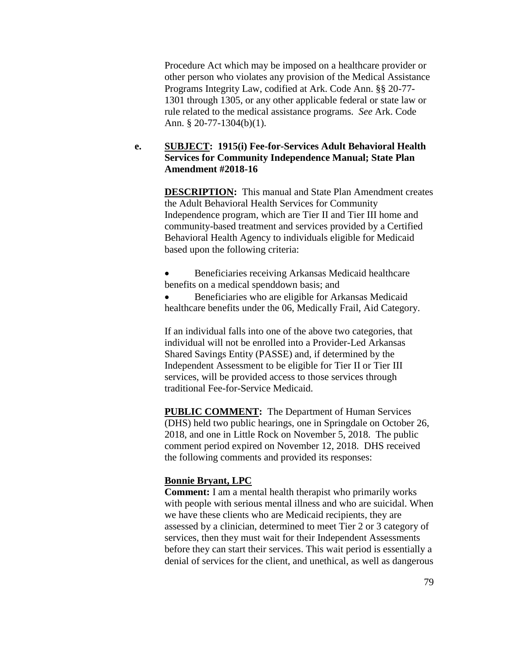Procedure Act which may be imposed on a healthcare provider or other person who violates any provision of the Medical Assistance Programs Integrity Law, codified at Ark. Code Ann. §§ 20-77- 1301 through 1305, or any other applicable federal or state law or rule related to the medical assistance programs. *See* Ark. Code Ann. § 20-77-1304(b)(1).

# **e. SUBJECT: 1915(i) Fee-for-Services Adult Behavioral Health Services for Community Independence Manual; State Plan Amendment #2018-16**

**DESCRIPTION:** This manual and State Plan Amendment creates the Adult Behavioral Health Services for Community Independence program, which are Tier II and Tier III home and community-based treatment and services provided by a Certified Behavioral Health Agency to individuals eligible for Medicaid based upon the following criteria:

 Beneficiaries receiving Arkansas Medicaid healthcare benefits on a medical spenddown basis; and

 Beneficiaries who are eligible for Arkansas Medicaid healthcare benefits under the 06, Medically Frail, Aid Category.

If an individual falls into one of the above two categories, that individual will not be enrolled into a Provider-Led Arkansas Shared Savings Entity (PASSE) and, if determined by the Independent Assessment to be eligible for Tier II or Tier III services, will be provided access to those services through traditional Fee-for-Service Medicaid.

**PUBLIC COMMENT:** The Department of Human Services (DHS) held two public hearings, one in Springdale on October 26, 2018, and one in Little Rock on November 5, 2018. The public comment period expired on November 12, 2018. DHS received the following comments and provided its responses:

### **Bonnie Bryant, LPC**

**Comment:** I am a mental health therapist who primarily works with people with serious mental illness and who are suicidal. When we have these clients who are Medicaid recipients, they are assessed by a clinician, determined to meet Tier 2 or 3 category of services, then they must wait for their Independent Assessments before they can start their services. This wait period is essentially a denial of services for the client, and unethical, as well as dangerous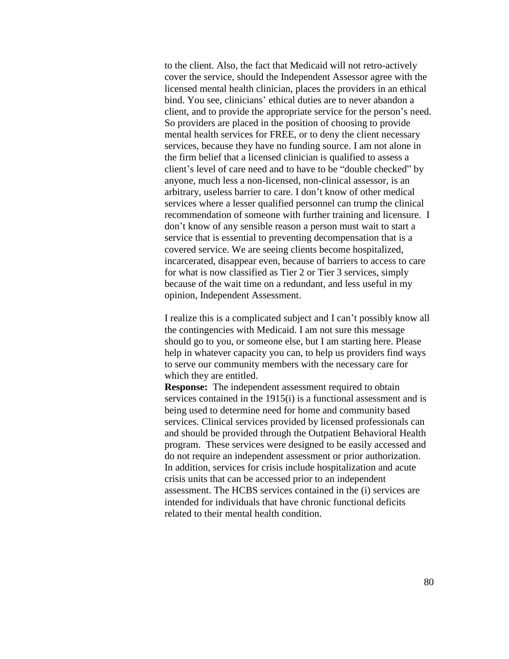to the client. Also, the fact that Medicaid will not retro-actively cover the service, should the Independent Assessor agree with the licensed mental health clinician, places the providers in an ethical bind. You see, clinicians' ethical duties are to never abandon a client, and to provide the appropriate service for the person's need. So providers are placed in the position of choosing to provide mental health services for FREE, or to deny the client necessary services, because they have no funding source. I am not alone in the firm belief that a licensed clinician is qualified to assess a client's level of care need and to have to be "double checked" by anyone, much less a non-licensed, non-clinical assessor, is an arbitrary, useless barrier to care. I don't know of other medical services where a lesser qualified personnel can trump the clinical recommendation of someone with further training and licensure. I don't know of any sensible reason a person must wait to start a service that is essential to preventing decompensation that is a covered service. We are seeing clients become hospitalized, incarcerated, disappear even, because of barriers to access to care for what is now classified as Tier 2 or Tier 3 services, simply because of the wait time on a redundant, and less useful in my opinion, Independent Assessment.

I realize this is a complicated subject and I can't possibly know all the contingencies with Medicaid. I am not sure this message should go to you, or someone else, but I am starting here. Please help in whatever capacity you can, to help us providers find ways to serve our community members with the necessary care for which they are entitled.

**Response:** The independent assessment required to obtain services contained in the 1915(i) is a functional assessment and is being used to determine need for home and community based services. Clinical services provided by licensed professionals can and should be provided through the Outpatient Behavioral Health program. These services were designed to be easily accessed and do not require an independent assessment or prior authorization. In addition, services for crisis include hospitalization and acute crisis units that can be accessed prior to an independent assessment. The HCBS services contained in the (i) services are intended for individuals that have chronic functional deficits related to their mental health condition.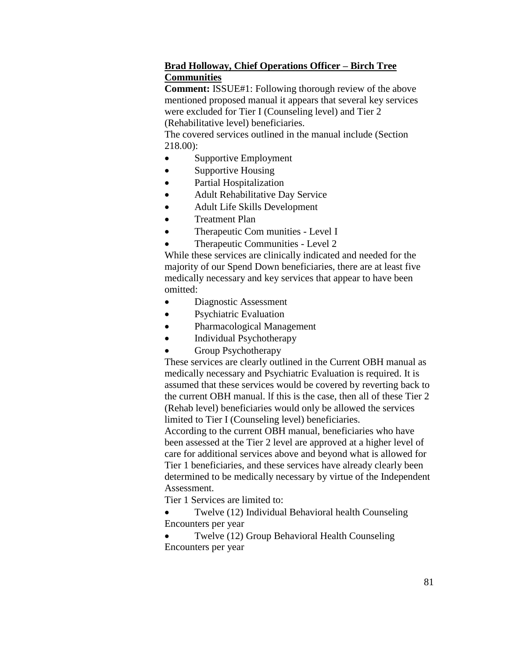# **Brad Holloway, Chief Operations Officer – Birch Tree Communities**

**Comment:** ISSUE#1: Following thorough review of the above mentioned proposed manual it appears that several key services were excluded for Tier I (Counseling level) and Tier 2 (Rehabilitative level) beneficiaries.

The covered services outlined in the manual include (Section 218.00):

- Supportive Employment
- Supportive Housing
- Partial Hospitalization
- Adult Rehabilitative Day Service
- Adult Life Skills Development
- Treatment Plan
- Therapeutic Com munities Level I
- Therapeutic Communities Level 2

While these services are clinically indicated and needed for the majority of our Spend Down beneficiaries, there are at least five medically necessary and key services that appear to have been omitted:

- Diagnostic Assessment
- Psychiatric Evaluation
- Pharmacological Management
- Individual Psychotherapy
- Group Psychotherapy

These services are clearly outlined in the Current OBH manual as medically necessary and Psychiatric Evaluation is required. It is assumed that these services would be covered by reverting back to the current OBH manual. lf this is the case, then all of these Tier 2 (Rehab level) beneficiaries would only be allowed the services limited to Tier I (Counseling level) beneficiaries.

According to the current OBH manual, beneficiaries who have been assessed at the Tier 2 level are approved at a higher level of care for additional services above and beyond what is allowed for Tier 1 beneficiaries, and these services have already clearly been determined to be medically necessary by virtue of the Independent Assessment.

Tier 1 Services are limited to:

 Twelve (12) Individual Behavioral health Counseling Encounters per year

 Twelve (12) Group Behavioral Health Counseling Encounters per year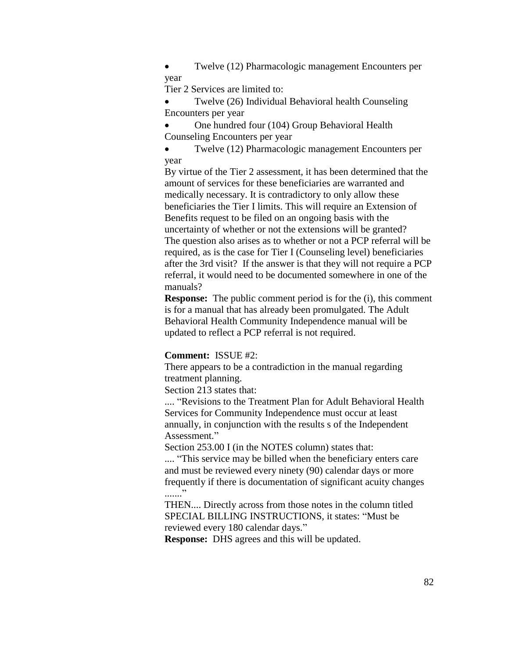• Twelve (12) Pharmacologic management Encounters per year

Tier 2 Services are limited to:

 Twelve (26) Individual Behavioral health Counseling Encounters per year

 One hundred four (104) Group Behavioral Health Counseling Encounters per year

 Twelve (12) Pharmacologic management Encounters per year

By virtue of the Tier 2 assessment, it has been determined that the amount of services for these beneficiaries are warranted and medically necessary. It is contradictory to only allow these beneficiaries the Tier I limits. This will require an Extension of Benefits request to be filed on an ongoing basis with the uncertainty of whether or not the extensions will be granted? The question also arises as to whether or not a PCP referral will be required, as is the case for Tier I (Counseling level) beneficiaries after the 3rd visit? If the answer is that they will not require a PCP referral, it would need to be documented somewhere in one of the manuals?

**Response:** The public comment period is for the (i), this comment is for a manual that has already been promulgated. The Adult Behavioral Health Community Independence manual will be updated to reflect a PCP referral is not required.

#### **Comment:** ISSUE #2:

There appears to be a contradiction in the manual regarding treatment planning.

Section 213 states that:

.... "Revisions to the Treatment Plan for Adult Behavioral Health Services for Community Independence must occur at least annually, in conjunction with the results s of the Independent Assessment."

Section 253.00 I (in the NOTES column) states that:

.... "This service may be billed when the beneficiary enters care and must be reviewed every ninety (90) calendar days or more frequently if there is documentation of significant acuity changes ........

THEN.... Directly across from those notes in the column titled SPECIAL BILLING INSTRUCTIONS, it states: "Must be reviewed every 180 calendar days."

**Response:** DHS agrees and this will be updated.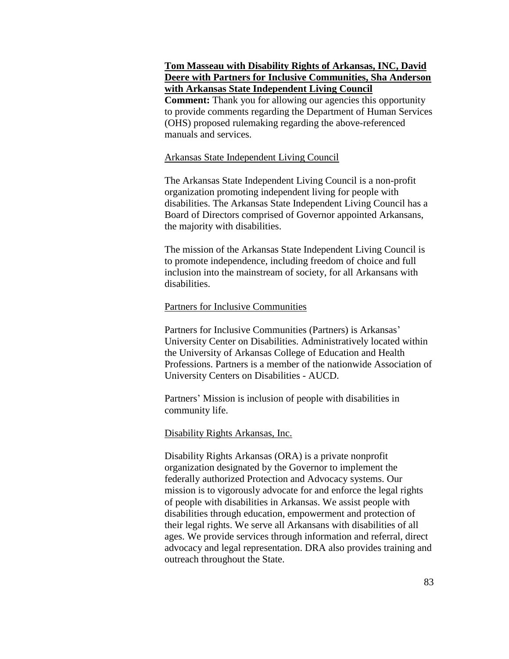### **Tom Masseau with Disability Rights of Arkansas, INC, David Deere with Partners for Inclusive Communities, Sha Anderson with Arkansas State Independent Living Council**

**Comment:** Thank you for allowing our agencies this opportunity to provide comments regarding the Department of Human Services (OHS) proposed rulemaking regarding the above-referenced manuals and services.

#### Arkansas State Independent Living Council

The Arkansas State Independent Living Council is a non-profit organization promoting independent living for people with disabilities. The Arkansas State Independent Living Council has a Board of Directors comprised of Governor appointed Arkansans, the majority with disabilities.

The mission of the Arkansas State Independent Living Council is to promote independence, including freedom of choice and full inclusion into the mainstream of society, for all Arkansans with disabilities.

#### Partners for Inclusive Communities

Partners for Inclusive Communities (Partners) is Arkansas' University Center on Disabilities. Administratively located within the University of Arkansas College of Education and Health Professions. Partners is a member of the nationwide Association of University Centers on Disabilities - AUCD.

Partners' Mission is inclusion of people with disabilities in community life.

#### Disability Rights Arkansas, Inc.

Disability Rights Arkansas (ORA) is a private nonprofit organization designated by the Governor to implement the federally authorized Protection and Advocacy systems. Our mission is to vigorously advocate for and enforce the legal rights of people with disabilities in Arkansas. We assist people with disabilities through education, empowerment and protection of their legal rights. We serve all Arkansans with disabilities of all ages. We provide services through information and referral, direct advocacy and legal representation. DRA also provides training and outreach throughout the State.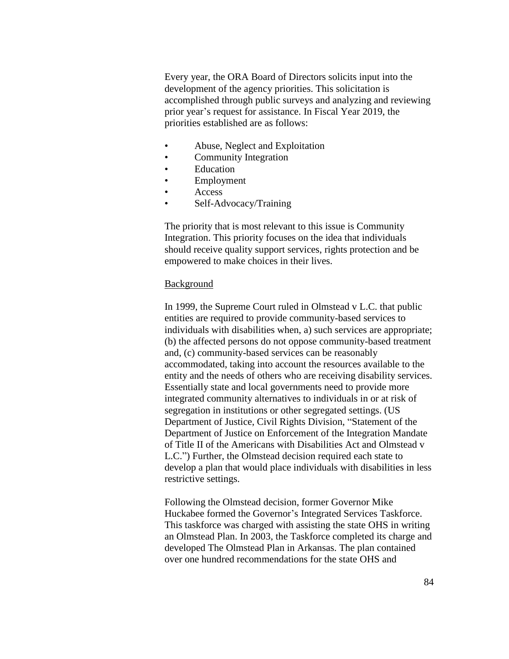Every year, the ORA Board of Directors solicits input into the development of the agency priorities. This solicitation is accomplished through public surveys and analyzing and reviewing prior year's request for assistance. In Fiscal Year 2019, the priorities established are as follows:

- Abuse, Neglect and Exploitation
- Community Integration
- **Education**
- **Employment**
- Access
- Self-Advocacy/Training

The priority that is most relevant to this issue is Community Integration. This priority focuses on the idea that individuals should receive quality support services, rights protection and be empowered to make choices in their lives.

#### **Background**

In 1999, the Supreme Court ruled in Olmstead v L.C. that public entities are required to provide community-based services to individuals with disabilities when, a) such services are appropriate; (b) the affected persons do not oppose community-based treatment and, (c) community-based services can be reasonably accommodated, taking into account the resources available to the entity and the needs of others who are receiving disability services. Essentially state and local governments need to provide more integrated community alternatives to individuals in or at risk of segregation in institutions or other segregated settings. (US Department of Justice, Civil Rights Division, "Statement of the Department of Justice on Enforcement of the Integration Mandate of Title II of the Americans with Disabilities Act and Olmstead v L.C.") Further, the Olmstead decision required each state to develop a plan that would place individuals with disabilities in less restrictive settings.

Following the Olmstead decision, former Governor Mike Huckabee formed the Governor's Integrated Services Taskforce. This taskforce was charged with assisting the state OHS in writing an Olmstead Plan. In 2003, the Taskforce completed its charge and developed The Olmstead Plan in Arkansas. The plan contained over one hundred recommendations for the state OHS and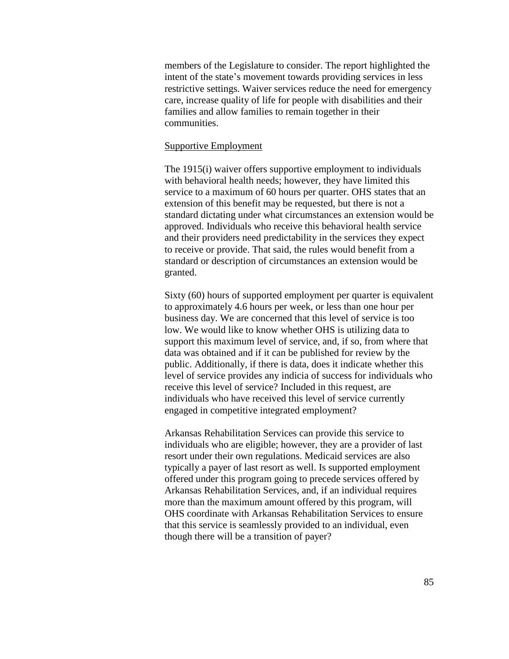members of the Legislature to consider. The report highlighted the intent of the state's movement towards providing services in less restrictive settings. Waiver services reduce the need for emergency care, increase quality of life for people with disabilities and their families and allow families to remain together in their communities.

#### Supportive Employment

The 1915(i) waiver offers supportive employment to individuals with behavioral health needs; however, they have limited this service to a maximum of 60 hours per quarter. OHS states that an extension of this benefit may be requested, but there is not a standard dictating under what circumstances an extension would be approved. Individuals who receive this behavioral health service and their providers need predictability in the services they expect to receive or provide. That said, the rules would benefit from a standard or description of circumstances an extension would be granted.

Sixty (60) hours of supported employment per quarter is equivalent to approximately 4.6 hours per week, or less than one hour per business day. We are concerned that this level of service is too low. We would like to know whether OHS is utilizing data to support this maximum level of service, and, if so, from where that data was obtained and if it can be published for review by the public. Additionally, if there is data, does it indicate whether this level of service provides any indicia of success for individuals who receive this level of service? Included in this request, are individuals who have received this level of service currently engaged in competitive integrated employment?

Arkansas Rehabilitation Services can provide this service to individuals who are eligible; however, they are a provider of last resort under their own regulations. Medicaid services are also typically a payer of last resort as well. Is supported employment offered under this program going to precede services offered by Arkansas Rehabilitation Services, and, if an individual requires more than the maximum amount offered by this program, will OHS coordinate with Arkansas Rehabilitation Services to ensure that this service is seamlessly provided to an individual, even though there will be a transition of payer?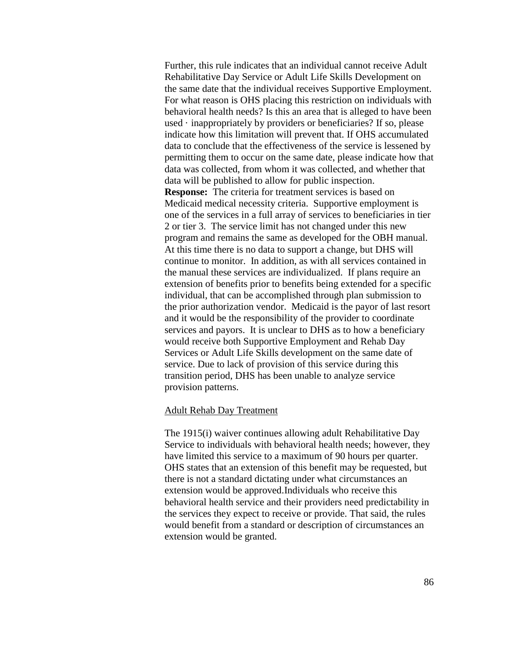Further, this rule indicates that an individual cannot receive Adult Rehabilitative Day Service or Adult Life Skills Development on the same date that the individual receives Supportive Employment. For what reason is OHS placing this restriction on individuals with behavioral health needs? Is this an area that is alleged to have been used  $\cdot$  inappropriately by providers or beneficiaries? If so, please indicate how this limitation will prevent that. If OHS accumulated data to conclude that the effectiveness of the service is lessened by permitting them to occur on the same date, please indicate how that data was collected, from whom it was collected, and whether that data will be published to allow for public inspection. **Response:** The criteria for treatment services is based on Medicaid medical necessity criteria. Supportive employment is one of the services in a full array of services to beneficiaries in tier 2 or tier 3. The service limit has not changed under this new program and remains the same as developed for the OBH manual. At this time there is no data to support a change, but DHS will continue to monitor. In addition, as with all services contained in the manual these services are individualized. If plans require an extension of benefits prior to benefits being extended for a specific individual, that can be accomplished through plan submission to the prior authorization vendor. Medicaid is the payor of last resort and it would be the responsibility of the provider to coordinate services and payors. It is unclear to DHS as to how a beneficiary would receive both Supportive Employment and Rehab Day Services or Adult Life Skills development on the same date of service. Due to lack of provision of this service during this transition period, DHS has been unable to analyze service provision patterns.

#### Adult Rehab Day Treatment

The 1915(i) waiver continues allowing adult Rehabilitative Day Service to individuals with behavioral health needs; however, they have limited this service to a maximum of 90 hours per quarter. OHS states that an extension of this benefit may be requested, but there is not a standard dictating under what circumstances an extension would be approved.Individuals who receive this behavioral health service and their providers need predictability in the services they expect to receive or provide. That said, the rules would benefit from a standard or description of circumstances an extension would be granted.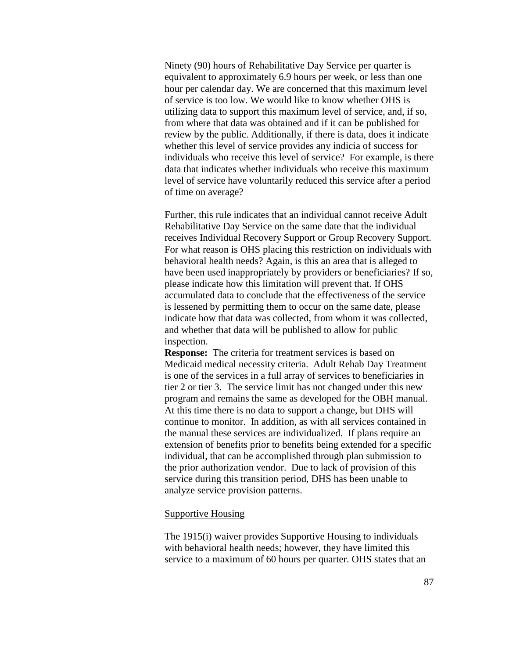Ninety (90) hours of Rehabilitative Day Service per quarter is equivalent to approximately 6.9 hours per week, or less than one hour per calendar day. We are concerned that this maximum level of service is too low. We would like to know whether OHS is utilizing data to support this maximum level of service, and, if so, from where that data was obtained and if it can be published for review by the public. Additionally, if there is data, does it indicate whether this level of service provides any indicia of success for individuals who receive this level of service? For example, is there data that indicates whether individuals who receive this maximum level of service have voluntarily reduced this service after a period of time on average?

Further, this rule indicates that an individual cannot receive Adult Rehabilitative Day Service on the same date that the individual receives Individual Recovery Support or Group Recovery Support. For what reason is OHS placing this restriction on individuals with behavioral health needs? Again, is this an area that is alleged to have been used inappropriately by providers or beneficiaries? If so, please indicate how this limitation will prevent that. If OHS accumulated data to conclude that the effectiveness of the service is lessened by permitting them to occur on the same date, please indicate how that data was collected, from whom it was collected, and whether that data will be published to allow for public inspection.

**Response:** The criteria for treatment services is based on Medicaid medical necessity criteria. Adult Rehab Day Treatment is one of the services in a full array of services to beneficiaries in tier 2 or tier 3. The service limit has not changed under this new program and remains the same as developed for the OBH manual. At this time there is no data to support a change, but DHS will continue to monitor. In addition, as with all services contained in the manual these services are individualized. If plans require an extension of benefits prior to benefits being extended for a specific individual, that can be accomplished through plan submission to the prior authorization vendor. Due to lack of provision of this service during this transition period, DHS has been unable to analyze service provision patterns.

#### Supportive Housing

The 1915(i) waiver provides Supportive Housing to individuals with behavioral health needs; however, they have limited this service to a maximum of 60 hours per quarter. OHS states that an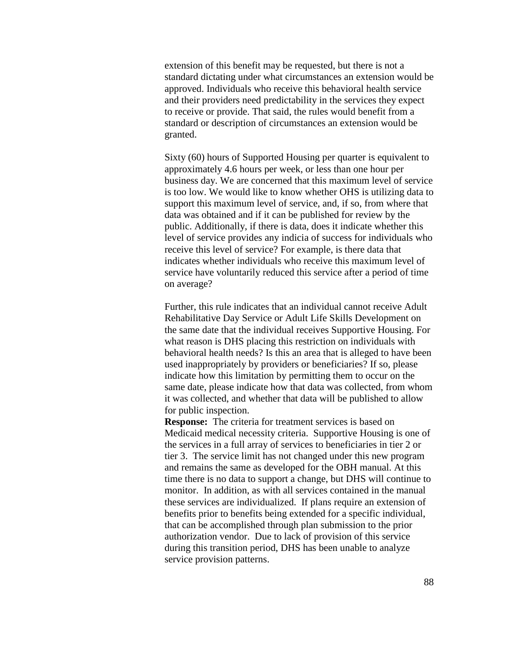extension of this benefit may be requested, but there is not a standard dictating under what circumstances an extension would be approved. Individuals who receive this behavioral health service and their providers need predictability in the services they expect to receive or provide. That said, the rules would benefit from a standard or description of circumstances an extension would be granted.

Sixty (60) hours of Supported Housing per quarter is equivalent to approximately 4.6 hours per week, or less than one hour per business day. We are concerned that this maximum level of service is too low. We would like to know whether OHS is utilizing data to support this maximum level of service, and, if so, from where that data was obtained and if it can be published for review by the public. Additionally, if there is data, does it indicate whether this level of service provides any indicia of success for individuals who receive this level of service? For example, is there data that indicates whether individuals who receive this maximum level of service have voluntarily reduced this service after a period of time on average?

Further, this rule indicates that an individual cannot receive Adult Rehabilitative Day Service or Adult Life Skills Development on the same date that the individual receives Supportive Housing. For what reason is DHS placing this restriction on individuals with behavioral health needs? Is this an area that is alleged to have been used inappropriately by providers or beneficiaries? If so, please indicate how this limitation by permitting them to occur on the same date, please indicate how that data was collected, from whom it was collected, and whether that data will be published to allow for public inspection.

**Response:** The criteria for treatment services is based on Medicaid medical necessity criteria. Supportive Housing is one of the services in a full array of services to beneficiaries in tier 2 or tier 3. The service limit has not changed under this new program and remains the same as developed for the OBH manual. At this time there is no data to support a change, but DHS will continue to monitor. In addition, as with all services contained in the manual these services are individualized. If plans require an extension of benefits prior to benefits being extended for a specific individual, that can be accomplished through plan submission to the prior authorization vendor. Due to lack of provision of this service during this transition period, DHS has been unable to analyze service provision patterns.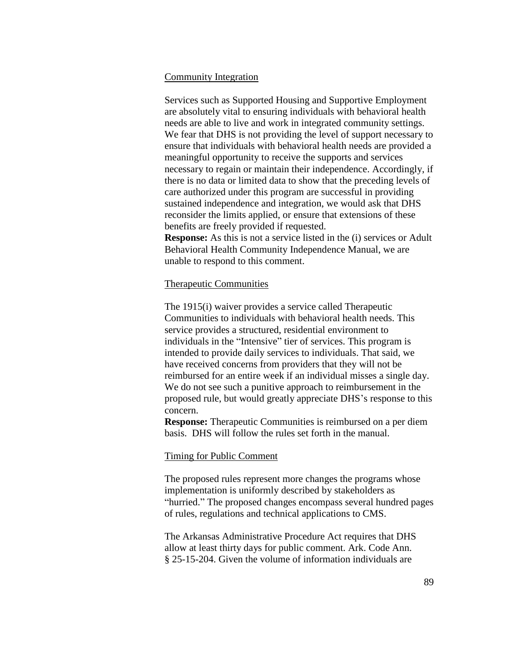### Community Integration

Services such as Supported Housing and Supportive Employment are absolutely vital to ensuring individuals with behavioral health needs are able to live and work in integrated community settings. We fear that DHS is not providing the level of support necessary to ensure that individuals with behavioral health needs are provided a meaningful opportunity to receive the supports and services necessary to regain or maintain their independence. Accordingly, if there is no data or limited data to show that the preceding levels of care authorized under this program are successful in providing sustained independence and integration, we would ask that DHS reconsider the limits applied, or ensure that extensions of these benefits are freely provided if requested.

**Response:** As this is not a service listed in the (i) services or Adult Behavioral Health Community Independence Manual, we are unable to respond to this comment.

#### Therapeutic Communities

The 1915(i) waiver provides a service called Therapeutic Communities to individuals with behavioral health needs. This service provides a structured, residential environment to individuals in the "Intensive" tier of services. This program is intended to provide daily services to individuals. That said, we have received concerns from providers that they will not be reimbursed for an entire week if an individual misses a single day. We do not see such a punitive approach to reimbursement in the proposed rule, but would greatly appreciate DHS's response to this concern.

**Response:** Therapeutic Communities is reimbursed on a per diem basis. DHS will follow the rules set forth in the manual.

#### Timing for Public Comment

The proposed rules represent more changes the programs whose implementation is uniformly described by stakeholders as "hurried." The proposed changes encompass several hundred pages of rules, regulations and technical applications to CMS.

The Arkansas Administrative Procedure Act requires that DHS allow at least thirty days for public comment. Ark. Code Ann. § 25-15-204. Given the volume of information individuals are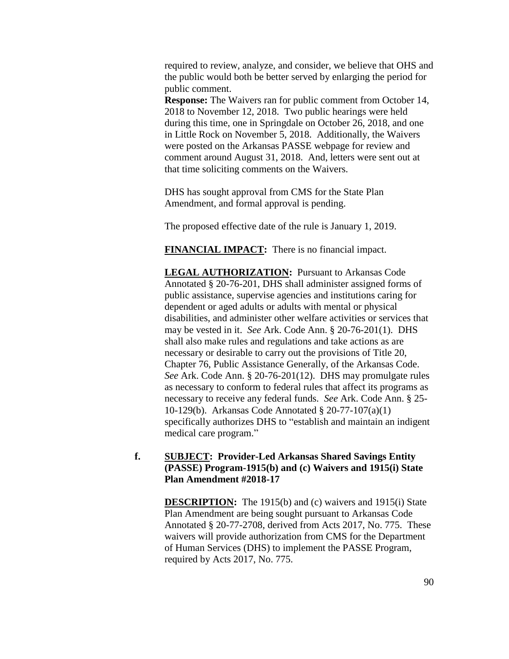required to review, analyze, and consider, we believe that OHS and the public would both be better served by enlarging the period for public comment.

**Response:** The Waivers ran for public comment from October 14, 2018 to November 12, 2018. Two public hearings were held during this time, one in Springdale on October 26, 2018, and one in Little Rock on November 5, 2018. Additionally, the Waivers were posted on the Arkansas PASSE webpage for review and comment around August 31, 2018. And, letters were sent out at that time soliciting comments on the Waivers.

DHS has sought approval from CMS for the State Plan Amendment, and formal approval is pending.

The proposed effective date of the rule is January 1, 2019.

**FINANCIAL IMPACT:** There is no financial impact.

**LEGAL AUTHORIZATION:** Pursuant to Arkansas Code Annotated § 20-76-201, DHS shall administer assigned forms of public assistance, supervise agencies and institutions caring for dependent or aged adults or adults with mental or physical disabilities, and administer other welfare activities or services that may be vested in it. *See* Ark. Code Ann. § 20-76-201(1). DHS shall also make rules and regulations and take actions as are necessary or desirable to carry out the provisions of Title 20, Chapter 76, Public Assistance Generally, of the Arkansas Code. *See* Ark. Code Ann. § 20-76-201(12). DHS may promulgate rules as necessary to conform to federal rules that affect its programs as necessary to receive any federal funds. *See* Ark. Code Ann. § 25- 10-129(b). Arkansas Code Annotated § 20-77-107(a)(1) specifically authorizes DHS to "establish and maintain an indigent medical care program."

# **f. SUBJECT: Provider-Led Arkansas Shared Savings Entity (PASSE) Program-1915(b) and (c) Waivers and 1915(i) State Plan Amendment #2018-17**

**DESCRIPTION:** The 1915(b) and (c) waivers and 1915(i) State Plan Amendment are being sought pursuant to Arkansas Code Annotated § 20-77-2708, derived from Acts 2017, No. 775. These waivers will provide authorization from CMS for the Department of Human Services (DHS) to implement the PASSE Program, required by Acts 2017, No. 775.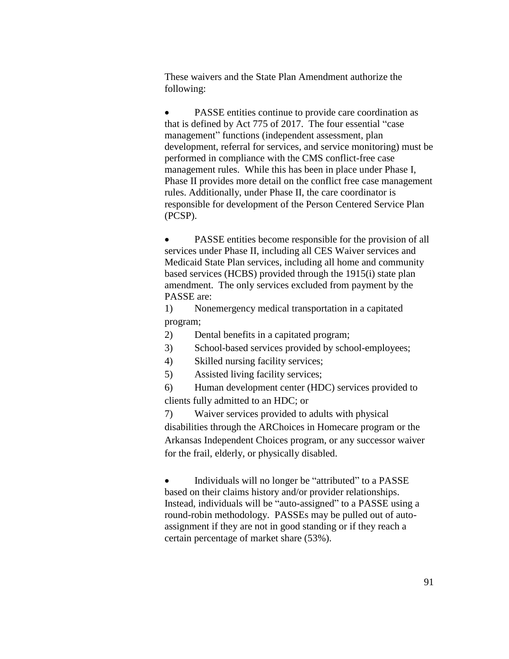These waivers and the State Plan Amendment authorize the following:

• PASSE entities continue to provide care coordination as that is defined by Act 775 of 2017. The four essential "case management" functions (independent assessment, plan development, referral for services, and service monitoring) must be performed in compliance with the CMS conflict-free case management rules. While this has been in place under Phase I, Phase II provides more detail on the conflict free case management rules. Additionally, under Phase II, the care coordinator is responsible for development of the Person Centered Service Plan (PCSP).

 PASSE entities become responsible for the provision of all services under Phase II, including all CES Waiver services and Medicaid State Plan services, including all home and community based services (HCBS) provided through the 1915(i) state plan amendment. The only services excluded from payment by the PASSE are:

1) Nonemergency medical transportation in a capitated program;

- 2) Dental benefits in a capitated program;
- 3) School-based services provided by school-employees;
- 4) Skilled nursing facility services;
- 5) Assisted living facility services;

6) Human development center (HDC) services provided to clients fully admitted to an HDC; or

7) Waiver services provided to adults with physical disabilities through the ARChoices in Homecare program or the Arkansas Independent Choices program, or any successor waiver for the frail, elderly, or physically disabled.

• Individuals will no longer be "attributed" to a PASSE based on their claims history and/or provider relationships. Instead, individuals will be "auto-assigned" to a PASSE using a round-robin methodology. PASSEs may be pulled out of autoassignment if they are not in good standing or if they reach a certain percentage of market share (53%).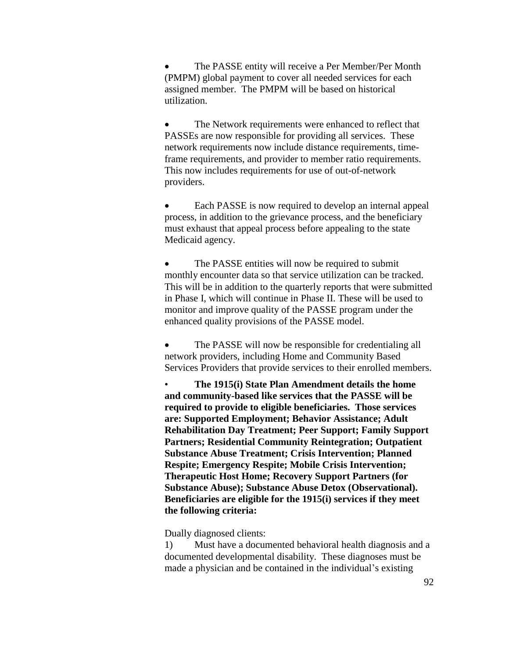The PASSE entity will receive a Per Member/Per Month (PMPM) global payment to cover all needed services for each assigned member. The PMPM will be based on historical utilization.

• The Network requirements were enhanced to reflect that PASSEs are now responsible for providing all services. These network requirements now include distance requirements, timeframe requirements, and provider to member ratio requirements. This now includes requirements for use of out-of-network providers.

 Each PASSE is now required to develop an internal appeal process, in addition to the grievance process, and the beneficiary must exhaust that appeal process before appealing to the state Medicaid agency.

• The PASSE entities will now be required to submit monthly encounter data so that service utilization can be tracked. This will be in addition to the quarterly reports that were submitted in Phase I, which will continue in Phase II. These will be used to monitor and improve quality of the PASSE program under the enhanced quality provisions of the PASSE model.

 The PASSE will now be responsible for credentialing all network providers, including Home and Community Based Services Providers that provide services to their enrolled members.

• **The 1915(i) State Plan Amendment details the home and community-based like services that the PASSE will be required to provide to eligible beneficiaries. Those services are: Supported Employment; Behavior Assistance; Adult Rehabilitation Day Treatment; Peer Support; Family Support Partners; Residential Community Reintegration; Outpatient Substance Abuse Treatment; Crisis Intervention; Planned Respite; Emergency Respite; Mobile Crisis Intervention; Therapeutic Host Home; Recovery Support Partners (for Substance Abuse); Substance Abuse Detox (Observational). Beneficiaries are eligible for the 1915(i) services if they meet the following criteria:**

Dually diagnosed clients:

1) Must have a documented behavioral health diagnosis and a documented developmental disability. These diagnoses must be made a physician and be contained in the individual's existing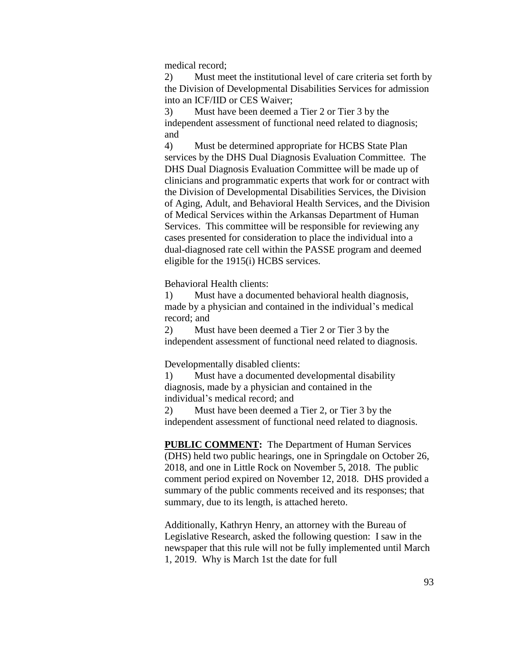medical record;

2) Must meet the institutional level of care criteria set forth by the Division of Developmental Disabilities Services for admission into an ICF/IID or CES Waiver;

3) Must have been deemed a Tier 2 or Tier 3 by the independent assessment of functional need related to diagnosis; and

4) Must be determined appropriate for HCBS State Plan services by the DHS Dual Diagnosis Evaluation Committee. The DHS Dual Diagnosis Evaluation Committee will be made up of clinicians and programmatic experts that work for or contract with the Division of Developmental Disabilities Services, the Division of Aging, Adult, and Behavioral Health Services, and the Division of Medical Services within the Arkansas Department of Human Services. This committee will be responsible for reviewing any cases presented for consideration to place the individual into a dual-diagnosed rate cell within the PASSE program and deemed eligible for the 1915(i) HCBS services.

Behavioral Health clients:

1) Must have a documented behavioral health diagnosis, made by a physician and contained in the individual's medical record; and

2) Must have been deemed a Tier 2 or Tier 3 by the independent assessment of functional need related to diagnosis.

Developmentally disabled clients:

1) Must have a documented developmental disability diagnosis, made by a physician and contained in the individual's medical record; and

2) Must have been deemed a Tier 2, or Tier 3 by the independent assessment of functional need related to diagnosis.

**PUBLIC COMMENT:** The Department of Human Services (DHS) held two public hearings, one in Springdale on October 26, 2018, and one in Little Rock on November 5, 2018. The public comment period expired on November 12, 2018. DHS provided a summary of the public comments received and its responses; that summary, due to its length, is attached hereto.

Additionally, Kathryn Henry, an attorney with the Bureau of Legislative Research, asked the following question: I saw in the newspaper that this rule will not be fully implemented until March 1, 2019. Why is March 1st the date for full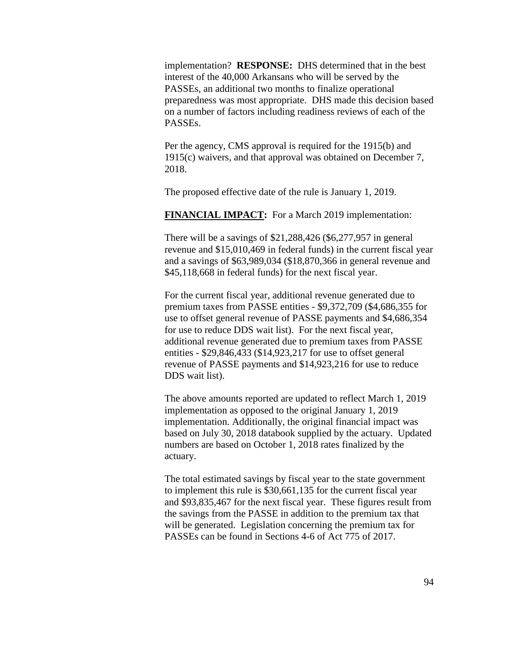implementation? **RESPONSE:** DHS determined that in the best interest of the 40,000 Arkansans who will be served by the PASSEs, an additional two months to finalize operational preparedness was most appropriate. DHS made this decision based on a number of factors including readiness reviews of each of the PASSEs.

Per the agency, CMS approval is required for the 1915(b) and 1915(c) waivers, and that approval was obtained on December 7, 2018.

The proposed effective date of the rule is January 1, 2019.

**FINANCIAL IMPACT:** For a March 2019 implementation:

There will be a savings of \$21,288,426 (\$6,277,957 in general revenue and \$15,010,469 in federal funds) in the current fiscal year and a savings of \$63,989,034 (\$18,870,366 in general revenue and \$45,118,668 in federal funds) for the next fiscal year.

For the current fiscal year, additional revenue generated due to premium taxes from PASSE entities - \$9,372,709 (\$4,686,355 for use to offset general revenue of PASSE payments and \$4,686,354 for use to reduce DDS wait list). For the next fiscal year, additional revenue generated due to premium taxes from PASSE entities - \$29,846,433 (\$14,923,217 for use to offset general revenue of PASSE payments and \$14,923,216 for use to reduce DDS wait list).

The above amounts reported are updated to reflect March 1, 2019 implementation as opposed to the original January 1, 2019 implementation. Additionally, the original financial impact was based on July 30, 2018 databook supplied by the actuary. Updated numbers are based on October 1, 2018 rates finalized by the actuary.

The total estimated savings by fiscal year to the state government to implement this rule is \$30,661,135 for the current fiscal year and \$93,835,467 for the next fiscal year. These figures result from the savings from the PASSE in addition to the premium tax that will be generated. Legislation concerning the premium tax for PASSEs can be found in Sections 4-6 of Act 775 of 2017.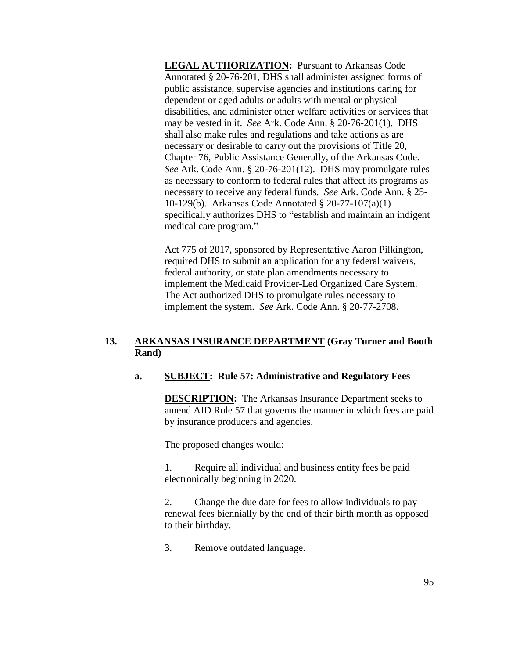**LEGAL AUTHORIZATION:** Pursuant to Arkansas Code Annotated § 20-76-201, DHS shall administer assigned forms of public assistance, supervise agencies and institutions caring for dependent or aged adults or adults with mental or physical disabilities, and administer other welfare activities or services that may be vested in it. *See* Ark. Code Ann. § 20-76-201(1). DHS shall also make rules and regulations and take actions as are necessary or desirable to carry out the provisions of Title 20, Chapter 76, Public Assistance Generally, of the Arkansas Code. *See* Ark. Code Ann. § 20-76-201(12). DHS may promulgate rules as necessary to conform to federal rules that affect its programs as necessary to receive any federal funds. *See* Ark. Code Ann. § 25- 10-129(b). Arkansas Code Annotated § 20-77-107(a)(1) specifically authorizes DHS to "establish and maintain an indigent medical care program."

Act 775 of 2017, sponsored by Representative Aaron Pilkington, required DHS to submit an application for any federal waivers, federal authority, or state plan amendments necessary to implement the Medicaid Provider-Led Organized Care System. The Act authorized DHS to promulgate rules necessary to implement the system. *See* Ark. Code Ann. § 20-77-2708.

# **13. ARKANSAS INSURANCE DEPARTMENT (Gray Turner and Booth Rand)**

## **a. SUBJECT: Rule 57: Administrative and Regulatory Fees**

**DESCRIPTION:** The Arkansas Insurance Department seeks to amend AID Rule 57 that governs the manner in which fees are paid by insurance producers and agencies.

The proposed changes would:

1. Require all individual and business entity fees be paid electronically beginning in 2020.

2. Change the due date for fees to allow individuals to pay renewal fees biennially by the end of their birth month as opposed to their birthday.

3. Remove outdated language.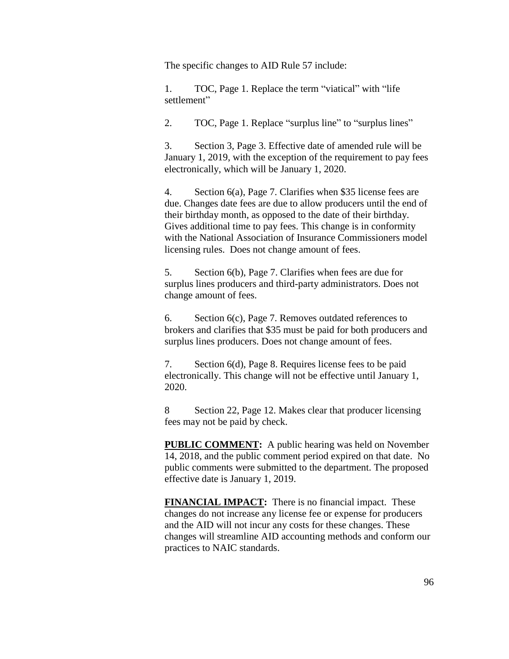The specific changes to AID Rule 57 include:

1. TOC, Page 1. Replace the term "viatical" with "life settlement"

2. TOC, Page 1. Replace "surplus line" to "surplus lines"

3. Section 3, Page 3. Effective date of amended rule will be January 1, 2019, with the exception of the requirement to pay fees electronically, which will be January 1, 2020.

4. Section 6(a), Page 7. Clarifies when \$35 license fees are due. Changes date fees are due to allow producers until the end of their birthday month, as opposed to the date of their birthday. Gives additional time to pay fees. This change is in conformity with the National Association of Insurance Commissioners model licensing rules. Does not change amount of fees.

5. Section 6(b), Page 7. Clarifies when fees are due for surplus lines producers and third-party administrators. Does not change amount of fees.

6. Section 6(c), Page 7. Removes outdated references to brokers and clarifies that \$35 must be paid for both producers and surplus lines producers. Does not change amount of fees.

7. Section 6(d), Page 8. Requires license fees to be paid electronically. This change will not be effective until January 1, 2020.

8 Section 22, Page 12. Makes clear that producer licensing fees may not be paid by check.

**PUBLIC COMMENT:** A public hearing was held on November 14, 2018, and the public comment period expired on that date. No public comments were submitted to the department. The proposed effective date is January 1, 2019.

**FINANCIAL IMPACT:** There is no financial impact. These changes do not increase any license fee or expense for producers and the AID will not incur any costs for these changes. These changes will streamline AID accounting methods and conform our practices to NAIC standards.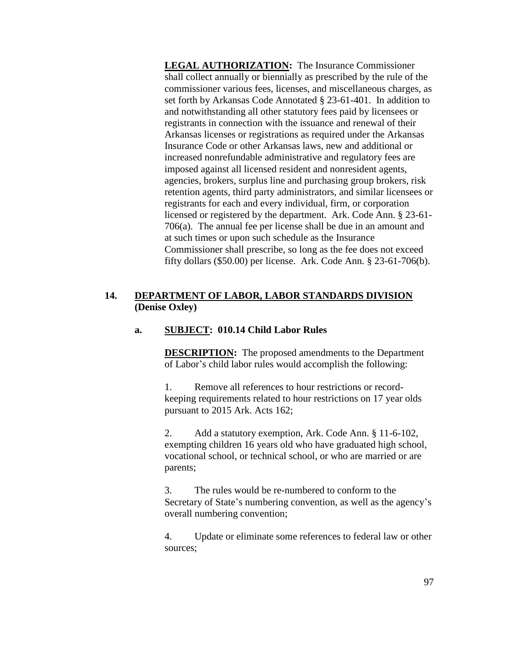**LEGAL AUTHORIZATION:** The Insurance Commissioner shall collect annually or biennially as prescribed by the rule of the commissioner various fees, licenses, and miscellaneous charges, as set forth by Arkansas Code Annotated § 23-61-401. In addition to and notwithstanding all other statutory fees paid by licensees or registrants in connection with the issuance and renewal of their Arkansas licenses or registrations as required under the Arkansas Insurance Code or other Arkansas laws, new and additional or increased nonrefundable administrative and regulatory fees are imposed against all licensed resident and nonresident agents, agencies, brokers, surplus line and purchasing group brokers, risk retention agents, third party administrators, and similar licensees or registrants for each and every individual, firm, or corporation licensed or registered by the department. Ark. Code Ann. § 23-61- 706(a). The annual fee per license shall be due in an amount and at such times or upon such schedule as the Insurance Commissioner shall prescribe, so long as the fee does not exceed fifty dollars (\$50.00) per license. Ark. Code Ann. § 23-61-706(b).

## **14. DEPARTMENT OF LABOR, LABOR STANDARDS DIVISION (Denise Oxley)**

## **a. SUBJECT: 010.14 Child Labor Rules**

**DESCRIPTION:** The proposed amendments to the Department of Labor's child labor rules would accomplish the following:

1. Remove all references to hour restrictions or recordkeeping requirements related to hour restrictions on 17 year olds pursuant to 2015 Ark. Acts 162;

2. Add a statutory exemption, Ark. Code Ann. § 11-6-102, exempting children 16 years old who have graduated high school, vocational school, or technical school, or who are married or are parents;

3. The rules would be re-numbered to conform to the Secretary of State's numbering convention, as well as the agency's overall numbering convention;

4. Update or eliminate some references to federal law or other sources;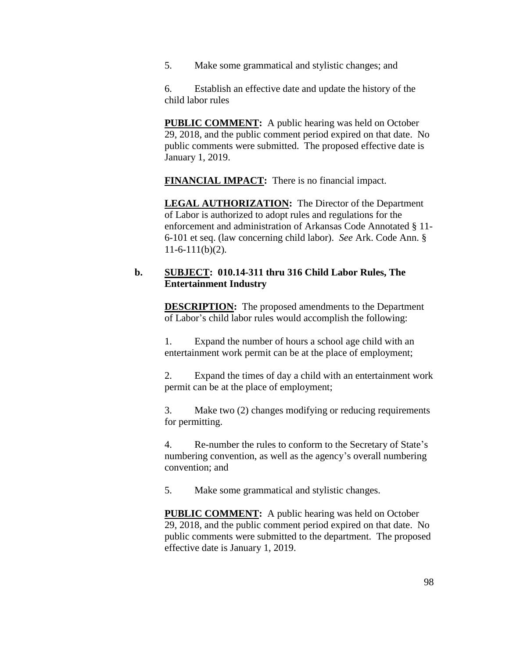5. Make some grammatical and stylistic changes; and

6. Establish an effective date and update the history of the child labor rules

**PUBLIC COMMENT:** A public hearing was held on October 29, 2018, and the public comment period expired on that date. No public comments were submitted. The proposed effective date is January 1, 2019.

**FINANCIAL IMPACT:** There is no financial impact.

**LEGAL AUTHORIZATION:** The Director of the Department of Labor is authorized to adopt rules and regulations for the enforcement and administration of Arkansas Code Annotated § 11- 6-101 et seq. (law concerning child labor). *See* Ark. Code Ann. §  $11-6-111(b)(2)$ .

### **b. SUBJECT: 010.14-311 thru 316 Child Labor Rules, The Entertainment Industry**

**DESCRIPTION:** The proposed amendments to the Department of Labor's child labor rules would accomplish the following:

1. Expand the number of hours a school age child with an entertainment work permit can be at the place of employment;

2. Expand the times of day a child with an entertainment work permit can be at the place of employment;

3. Make two (2) changes modifying or reducing requirements for permitting.

4. Re-number the rules to conform to the Secretary of State's numbering convention, as well as the agency's overall numbering convention; and

5. Make some grammatical and stylistic changes.

**PUBLIC COMMENT:** A public hearing was held on October 29, 2018, and the public comment period expired on that date. No public comments were submitted to the department. The proposed effective date is January 1, 2019.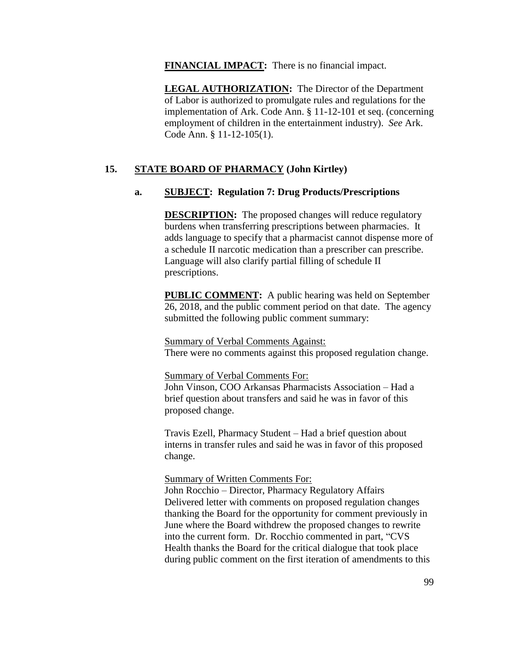**FINANCIAL IMPACT:** There is no financial impact.

**LEGAL AUTHORIZATION:** The Director of the Department of Labor is authorized to promulgate rules and regulations for the implementation of Ark. Code Ann. § 11-12-101 et seq. (concerning employment of children in the entertainment industry). *See* Ark. Code Ann. § 11-12-105(1).

# **15. STATE BOARD OF PHARMACY (John Kirtley)**

# **a. SUBJECT: Regulation 7: Drug Products/Prescriptions**

**DESCRIPTION:** The proposed changes will reduce regulatory burdens when transferring prescriptions between pharmacies. It adds language to specify that a pharmacist cannot dispense more of a schedule II narcotic medication than a prescriber can prescribe. Language will also clarify partial filling of schedule II prescriptions.

**PUBLIC COMMENT:** A public hearing was held on September 26, 2018, and the public comment period on that date. The agency submitted the following public comment summary:

Summary of Verbal Comments Against:

There were no comments against this proposed regulation change.

#### Summary of Verbal Comments For:

John Vinson, COO Arkansas Pharmacists Association – Had a brief question about transfers and said he was in favor of this proposed change.

Travis Ezell, Pharmacy Student – Had a brief question about interns in transfer rules and said he was in favor of this proposed change.

Summary of Written Comments For:

John Rocchio – Director, Pharmacy Regulatory Affairs Delivered letter with comments on proposed regulation changes thanking the Board for the opportunity for comment previously in June where the Board withdrew the proposed changes to rewrite into the current form. Dr. Rocchio commented in part, "CVS Health thanks the Board for the critical dialogue that took place during public comment on the first iteration of amendments to this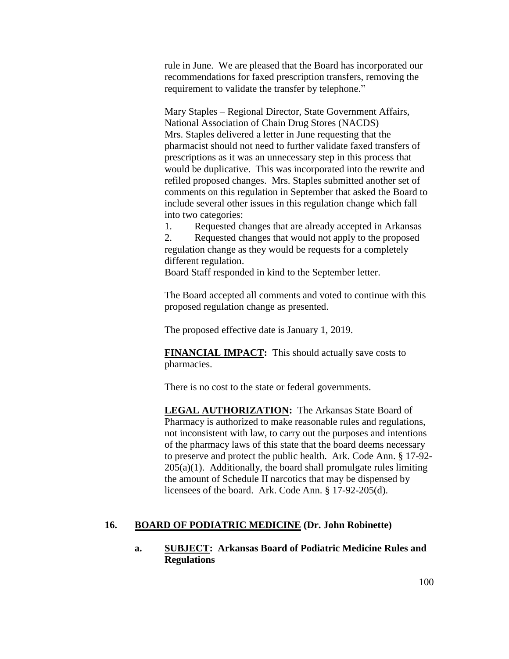rule in June. We are pleased that the Board has incorporated our recommendations for faxed prescription transfers, removing the requirement to validate the transfer by telephone."

Mary Staples – Regional Director, State Government Affairs, National Association of Chain Drug Stores (NACDS) Mrs. Staples delivered a letter in June requesting that the pharmacist should not need to further validate faxed transfers of prescriptions as it was an unnecessary step in this process that would be duplicative. This was incorporated into the rewrite and refiled proposed changes. Mrs. Staples submitted another set of comments on this regulation in September that asked the Board to include several other issues in this regulation change which fall into two categories:

1. Requested changes that are already accepted in Arkansas 2. Requested changes that would not apply to the proposed regulation change as they would be requests for a completely different regulation.

Board Staff responded in kind to the September letter.

The Board accepted all comments and voted to continue with this proposed regulation change as presented.

The proposed effective date is January 1, 2019.

**FINANCIAL IMPACT:** This should actually save costs to pharmacies.

There is no cost to the state or federal governments.

**LEGAL AUTHORIZATION:** The Arkansas State Board of Pharmacy is authorized to make reasonable rules and regulations, not inconsistent with law, to carry out the purposes and intentions of the pharmacy laws of this state that the board deems necessary to preserve and protect the public health. Ark. Code Ann. § 17-92-  $205(a)(1)$ . Additionally, the board shall promulgate rules limiting the amount of Schedule II narcotics that may be dispensed by licensees of the board. Ark. Code Ann. § 17-92-205(d).

#### **16. BOARD OF PODIATRIC MEDICINE (Dr. John Robinette)**

## **a. SUBJECT: Arkansas Board of Podiatric Medicine Rules and Regulations**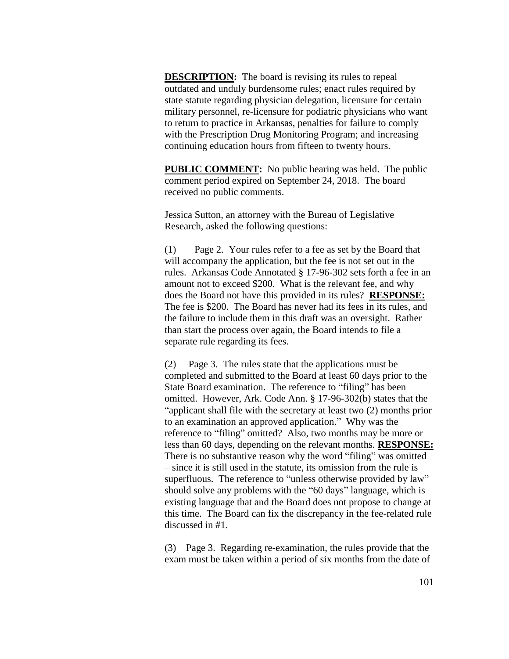**DESCRIPTION:** The board is revising its rules to repeal outdated and unduly burdensome rules; enact rules required by state statute regarding physician delegation, licensure for certain military personnel, re-licensure for podiatric physicians who want to return to practice in Arkansas, penalties for failure to comply with the Prescription Drug Monitoring Program; and increasing continuing education hours from fifteen to twenty hours.

**PUBLIC COMMENT:** No public hearing was held. The public comment period expired on September 24, 2018. The board received no public comments.

Jessica Sutton, an attorney with the Bureau of Legislative Research, asked the following questions:

(1) Page 2. Your rules refer to a fee as set by the Board that will accompany the application, but the fee is not set out in the rules. Arkansas Code Annotated § 17-96-302 sets forth a fee in an amount not to exceed \$200. What is the relevant fee, and why does the Board not have this provided in its rules? **RESPONSE:**  The fee is \$200. The Board has never had its fees in its rules, and the failure to include them in this draft was an oversight. Rather than start the process over again, the Board intends to file a separate rule regarding its fees.

(2) Page 3. The rules state that the applications must be completed and submitted to the Board at least 60 days prior to the State Board examination. The reference to "filing" has been omitted. However, Ark. Code Ann. § 17-96-302(b) states that the "applicant shall file with the secretary at least two (2) months prior to an examination an approved application." Why was the reference to "filing" omitted? Also, two months may be more or less than 60 days, depending on the relevant months. **RESPONSE:**  There is no substantive reason why the word "filing" was omitted – since it is still used in the statute, its omission from the rule is superfluous. The reference to "unless otherwise provided by law" should solve any problems with the "60 days" language, which is existing language that and the Board does not propose to change at this time. The Board can fix the discrepancy in the fee-related rule discussed in #1.

(3) Page 3. Regarding re-examination, the rules provide that the exam must be taken within a period of six months from the date of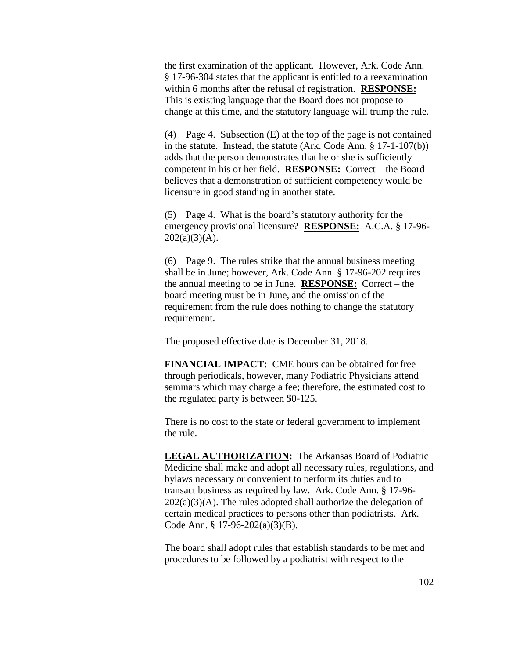the first examination of the applicant. However, Ark. Code Ann. § 17-96-304 states that the applicant is entitled to a reexamination within 6 months after the refusal of registration. **RESPONSE:**  This is existing language that the Board does not propose to change at this time, and the statutory language will trump the rule.

(4) Page 4. Subsection (E) at the top of the page is not contained in the statute. Instead, the statute (Ark. Code Ann. § 17-1-107(b)) adds that the person demonstrates that he or she is sufficiently competent in his or her field. **RESPONSE:** Correct – the Board believes that a demonstration of sufficient competency would be licensure in good standing in another state.

(5) Page 4. What is the board's statutory authority for the emergency provisional licensure? **RESPONSE:** A.C.A. § 17-96-  $202(a)(3)(A)$ .

(6) Page 9. The rules strike that the annual business meeting shall be in June; however, Ark. Code Ann. § 17-96-202 requires the annual meeting to be in June. **RESPONSE:** Correct – the board meeting must be in June, and the omission of the requirement from the rule does nothing to change the statutory requirement.

The proposed effective date is December 31, 2018.

**FINANCIAL IMPACT:** CME hours can be obtained for free through periodicals, however, many Podiatric Physicians attend seminars which may charge a fee; therefore, the estimated cost to the regulated party is between \$0-125.

There is no cost to the state or federal government to implement the rule.

**LEGAL AUTHORIZATION:** The Arkansas Board of Podiatric Medicine shall make and adopt all necessary rules, regulations, and bylaws necessary or convenient to perform its duties and to transact business as required by law. Ark. Code Ann. § 17-96-  $202(a)(3)(A)$ . The rules adopted shall authorize the delegation of certain medical practices to persons other than podiatrists. Ark. Code Ann. § 17-96-202(a)(3)(B).

The board shall adopt rules that establish standards to be met and procedures to be followed by a podiatrist with respect to the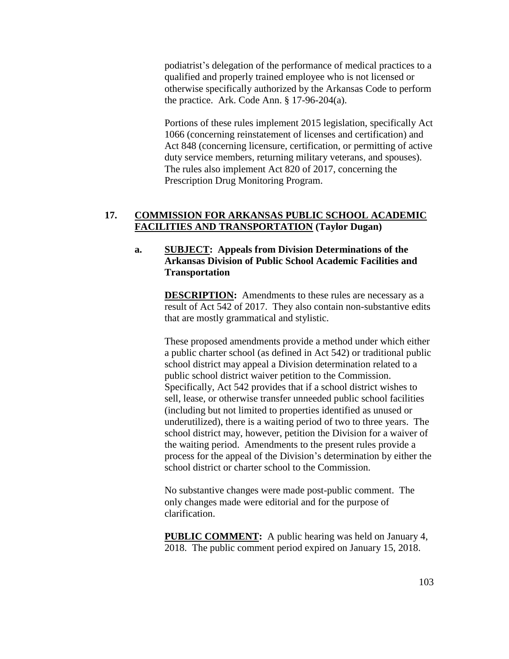podiatrist's delegation of the performance of medical practices to a qualified and properly trained employee who is not licensed or otherwise specifically authorized by the Arkansas Code to perform the practice. Ark. Code Ann. § 17-96-204(a).

Portions of these rules implement 2015 legislation, specifically Act 1066 (concerning reinstatement of licenses and certification) and Act 848 (concerning licensure, certification, or permitting of active duty service members, returning military veterans, and spouses). The rules also implement Act 820 of 2017, concerning the Prescription Drug Monitoring Program.

## **17. COMMISSION FOR ARKANSAS PUBLIC SCHOOL ACADEMIC FACILITIES AND TRANSPORTATION (Taylor Dugan)**

# **a. SUBJECT: Appeals from Division Determinations of the Arkansas Division of Public School Academic Facilities and Transportation**

**DESCRIPTION:** Amendments to these rules are necessary as a result of Act 542 of 2017. They also contain non-substantive edits that are mostly grammatical and stylistic.

These proposed amendments provide a method under which either a public charter school (as defined in Act 542) or traditional public school district may appeal a Division determination related to a public school district waiver petition to the Commission. Specifically, Act 542 provides that if a school district wishes to sell, lease, or otherwise transfer unneeded public school facilities (including but not limited to properties identified as unused or underutilized), there is a waiting period of two to three years. The school district may, however, petition the Division for a waiver of the waiting period. Amendments to the present rules provide a process for the appeal of the Division's determination by either the school district or charter school to the Commission.

No substantive changes were made post-public comment. The only changes made were editorial and for the purpose of clarification.

**PUBLIC COMMENT:** A public hearing was held on January 4, 2018. The public comment period expired on January 15, 2018.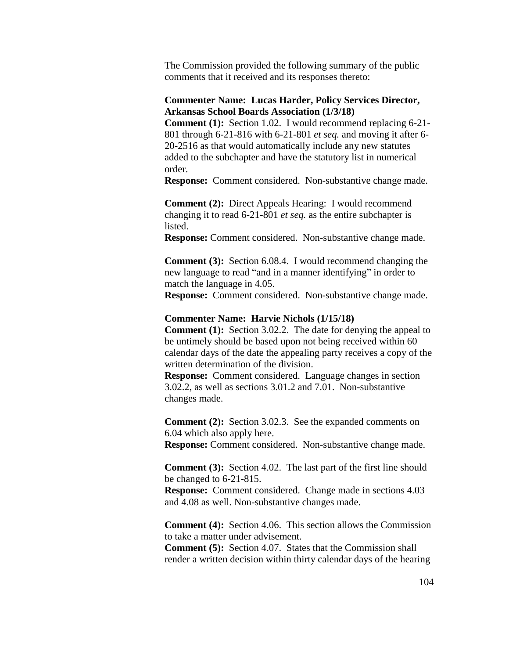The Commission provided the following summary of the public comments that it received and its responses thereto:

### **Commenter Name: Lucas Harder, Policy Services Director, Arkansas School Boards Association (1/3/18)**

**Comment (1):** Section 1.02. I would recommend replacing 6-21- 801 through 6-21-816 with 6-21-801 *et seq.* and moving it after 6- 20-2516 as that would automatically include any new statutes added to the subchapter and have the statutory list in numerical order.

**Response:** Comment considered. Non-substantive change made.

**Comment** (2): Direct Appeals Hearing: I would recommend changing it to read 6-21-801 *et seq.* as the entire subchapter is listed.

**Response:** Comment considered. Non-substantive change made.

**Comment (3):** Section 6.08.4. I would recommend changing the new language to read "and in a manner identifying" in order to match the language in 4.05.

**Response:** Comment considered. Non-substantive change made.

#### **Commenter Name: Harvie Nichols (1/15/18)**

**Comment** (1): Section 3.02.2. The date for denying the appeal to be untimely should be based upon not being received within 60 calendar days of the date the appealing party receives a copy of the written determination of the division.

**Response:** Comment considered. Language changes in section 3.02.2, as well as sections 3.01.2 and 7.01. Non-substantive changes made.

**Comment** (2): Section 3.02.3. See the expanded comments on 6.04 which also apply here.

**Response:** Comment considered. Non-substantive change made.

**Comment (3):** Section 4.02. The last part of the first line should be changed to 6-21-815.

**Response:** Comment considered. Change made in sections 4.03 and 4.08 as well. Non-substantive changes made.

**Comment (4):** Section 4.06. This section allows the Commission to take a matter under advisement.

**Comment (5):** Section 4.07. States that the Commission shall render a written decision within thirty calendar days of the hearing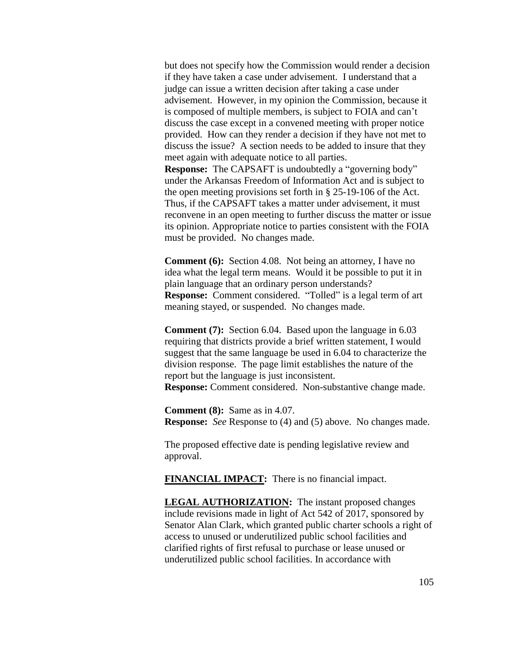but does not specify how the Commission would render a decision if they have taken a case under advisement. I understand that a judge can issue a written decision after taking a case under advisement. However, in my opinion the Commission, because it is composed of multiple members, is subject to FOIA and can't discuss the case except in a convened meeting with proper notice provided. How can they render a decision if they have not met to discuss the issue? A section needs to be added to insure that they meet again with adequate notice to all parties. **Response:** The CAPSAFT is undoubtedly a "governing body"

under the Arkansas Freedom of Information Act and is subject to the open meeting provisions set forth in § 25-19-106 of the Act. Thus, if the CAPSAFT takes a matter under advisement, it must reconvene in an open meeting to further discuss the matter or issue its opinion. Appropriate notice to parties consistent with the FOIA must be provided. No changes made.

**Comment (6):** Section 4.08. Not being an attorney, I have no idea what the legal term means. Would it be possible to put it in plain language that an ordinary person understands? **Response:** Comment considered. "Tolled" is a legal term of art meaning stayed, or suspended. No changes made.

**Comment (7):** Section 6.04. Based upon the language in 6.03 requiring that districts provide a brief written statement, I would suggest that the same language be used in 6.04 to characterize the division response. The page limit establishes the nature of the report but the language is just inconsistent. **Response:** Comment considered. Non-substantive change made.

**Comment (8):** Same as in 4.07. **Response:** *See* Response to (4) and (5) above. No changes made.

The proposed effective date is pending legislative review and approval.

**FINANCIAL IMPACT:** There is no financial impact.

**LEGAL AUTHORIZATION:** The instant proposed changes include revisions made in light of Act 542 of 2017, sponsored by Senator Alan Clark, which granted public charter schools a right of access to unused or underutilized public school facilities and clarified rights of first refusal to purchase or lease unused or underutilized public school facilities. In accordance with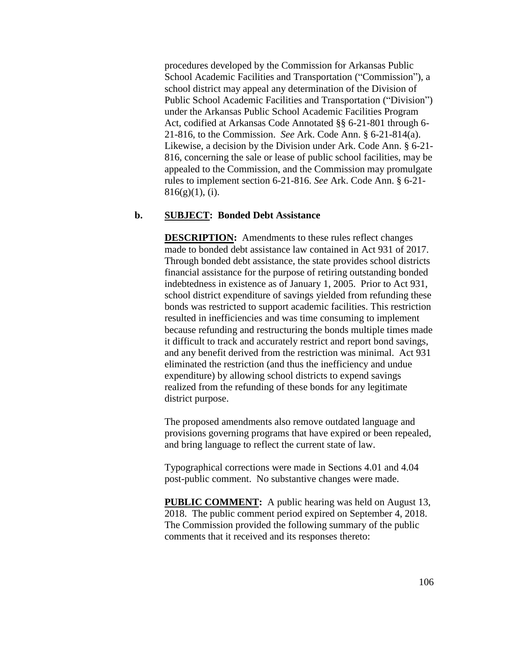procedures developed by the Commission for Arkansas Public School Academic Facilities and Transportation ("Commission"), a school district may appeal any determination of the Division of Public School Academic Facilities and Transportation ("Division") under the Arkansas Public School Academic Facilities Program Act, codified at Arkansas Code Annotated §§ 6-21-801 through 6- 21-816, to the Commission. *See* Ark. Code Ann. § 6-21-814(a). Likewise, a decision by the Division under Ark. Code Ann. § 6-21- 816, concerning the sale or lease of public school facilities, may be appealed to the Commission, and the Commission may promulgate rules to implement section 6-21-816. *See* Ark. Code Ann. § 6-21-  $816(g)(1)$ , (i).

### **b. SUBJECT: Bonded Debt Assistance**

**DESCRIPTION:** Amendments to these rules reflect changes made to bonded debt assistance law contained in Act 931 of 2017. Through bonded debt assistance, the state provides school districts financial assistance for the purpose of retiring outstanding bonded indebtedness in existence as of January 1, 2005. Prior to Act 931, school district expenditure of savings yielded from refunding these bonds was restricted to support academic facilities. This restriction resulted in inefficiencies and was time consuming to implement because refunding and restructuring the bonds multiple times made it difficult to track and accurately restrict and report bond savings, and any benefit derived from the restriction was minimal. Act 931 eliminated the restriction (and thus the inefficiency and undue expenditure) by allowing school districts to expend savings realized from the refunding of these bonds for any legitimate district purpose.

The proposed amendments also remove outdated language and provisions governing programs that have expired or been repealed, and bring language to reflect the current state of law.

Typographical corrections were made in Sections 4.01 and 4.04 post-public comment. No substantive changes were made.

**PUBLIC COMMENT:** A public hearing was held on August 13, 2018. The public comment period expired on September 4, 2018. The Commission provided the following summary of the public comments that it received and its responses thereto: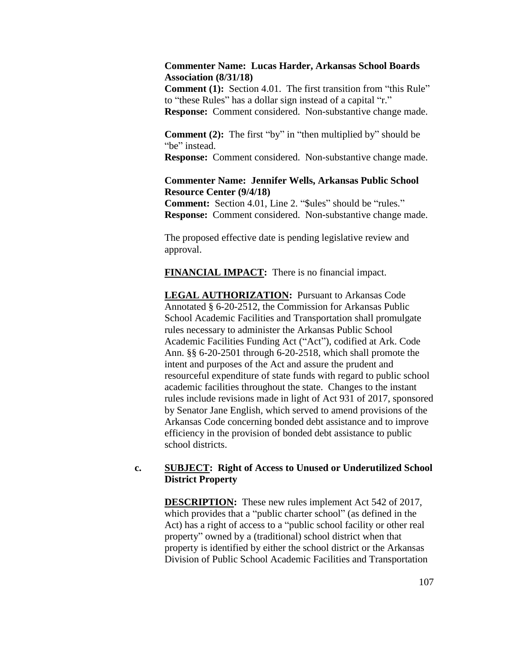### **Commenter Name: Lucas Harder, Arkansas School Boards Association (8/31/18)**

**Comment** (1): Section 4.01. The first transition from "this Rule" to "these Rules" has a dollar sign instead of a capital "r." **Response:** Comment considered. Non-substantive change made.

**Comment (2):** The first "by" in "then multiplied by" should be "be" instead.

**Response:** Comment considered. Non-substantive change made.

### **Commenter Name: Jennifer Wells, Arkansas Public School Resource Center (9/4/18)**

**Comment:** Section 4.01, Line 2. "\$ules" should be "rules." **Response:** Comment considered. Non-substantive change made.

The proposed effective date is pending legislative review and approval.

**FINANCIAL IMPACT:** There is no financial impact.

**LEGAL AUTHORIZATION:** Pursuant to Arkansas Code Annotated § 6-20-2512, the Commission for Arkansas Public School Academic Facilities and Transportation shall promulgate rules necessary to administer the Arkansas Public School Academic Facilities Funding Act ("Act"), codified at Ark. Code Ann. §§ 6-20-2501 through 6-20-2518, which shall promote the intent and purposes of the Act and assure the prudent and resourceful expenditure of state funds with regard to public school academic facilities throughout the state. Changes to the instant rules include revisions made in light of Act 931 of 2017, sponsored by Senator Jane English, which served to amend provisions of the Arkansas Code concerning bonded debt assistance and to improve efficiency in the provision of bonded debt assistance to public school districts.

## **c. SUBJECT: Right of Access to Unused or Underutilized School District Property**

**DESCRIPTION:** These new rules implement Act 542 of 2017, which provides that a "public charter school" (as defined in the Act) has a right of access to a "public school facility or other real property" owned by a (traditional) school district when that property is identified by either the school district or the Arkansas Division of Public School Academic Facilities and Transportation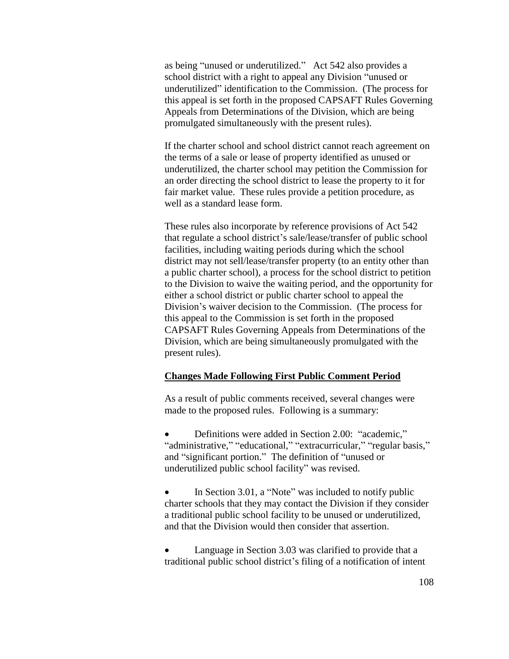as being "unused or underutilized." Act 542 also provides a school district with a right to appeal any Division "unused or underutilized" identification to the Commission. (The process for this appeal is set forth in the proposed CAPSAFT Rules Governing Appeals from Determinations of the Division, which are being promulgated simultaneously with the present rules).

If the charter school and school district cannot reach agreement on the terms of a sale or lease of property identified as unused or underutilized, the charter school may petition the Commission for an order directing the school district to lease the property to it for fair market value. These rules provide a petition procedure, as well as a standard lease form.

These rules also incorporate by reference provisions of Act 542 that regulate a school district's sale/lease/transfer of public school facilities, including waiting periods during which the school district may not sell/lease/transfer property (to an entity other than a public charter school), a process for the school district to petition to the Division to waive the waiting period, and the opportunity for either a school district or public charter school to appeal the Division's waiver decision to the Commission. (The process for this appeal to the Commission is set forth in the proposed CAPSAFT Rules Governing Appeals from Determinations of the Division, which are being simultaneously promulgated with the present rules).

#### **Changes Made Following First Public Comment Period**

As a result of public comments received, several changes were made to the proposed rules. Following is a summary:

 Definitions were added in Section 2.00: "academic," "administrative," "educational," "extracurricular," "regular basis," and "significant portion." The definition of "unused or underutilized public school facility" was revised.

 In Section 3.01, a "Note" was included to notify public charter schools that they may contact the Division if they consider a traditional public school facility to be unused or underutilized, and that the Division would then consider that assertion.

 Language in Section 3.03 was clarified to provide that a traditional public school district's filing of a notification of intent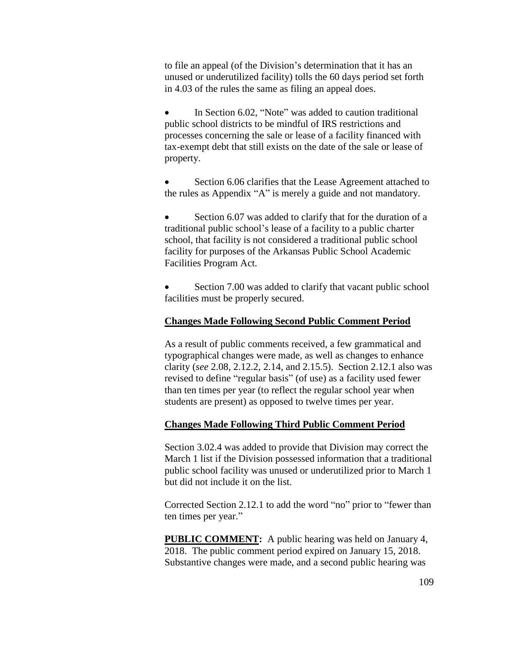to file an appeal (of the Division's determination that it has an unused or underutilized facility) tolls the 60 days period set forth in 4.03 of the rules the same as filing an appeal does.

 In Section 6.02, "Note" was added to caution traditional public school districts to be mindful of IRS restrictions and processes concerning the sale or lease of a facility financed with tax-exempt debt that still exists on the date of the sale or lease of property.

 Section 6.06 clarifies that the Lease Agreement attached to the rules as Appendix "A" is merely a guide and not mandatory.

Section 6.07 was added to clarify that for the duration of a traditional public school's lease of a facility to a public charter school, that facility is not considered a traditional public school facility for purposes of the Arkansas Public School Academic Facilities Program Act.

Section 7.00 was added to clarify that vacant public school facilities must be properly secured.

#### **Changes Made Following Second Public Comment Period**

As a result of public comments received, a few grammatical and typographical changes were made, as well as changes to enhance clarity (*see* 2.08, 2.12.2, 2.14, and 2.15.5). Section 2.12.1 also was revised to define "regular basis" (of use) as a facility used fewer than ten times per year (to reflect the regular school year when students are present) as opposed to twelve times per year.

#### **Changes Made Following Third Public Comment Period**

Section 3.02.4 was added to provide that Division may correct the March 1 list if the Division possessed information that a traditional public school facility was unused or underutilized prior to March 1 but did not include it on the list.

Corrected Section 2.12.1 to add the word "no" prior to "fewer than ten times per year."

**PUBLIC COMMENT:** A public hearing was held on January 4, 2018. The public comment period expired on January 15, 2018. Substantive changes were made, and a second public hearing was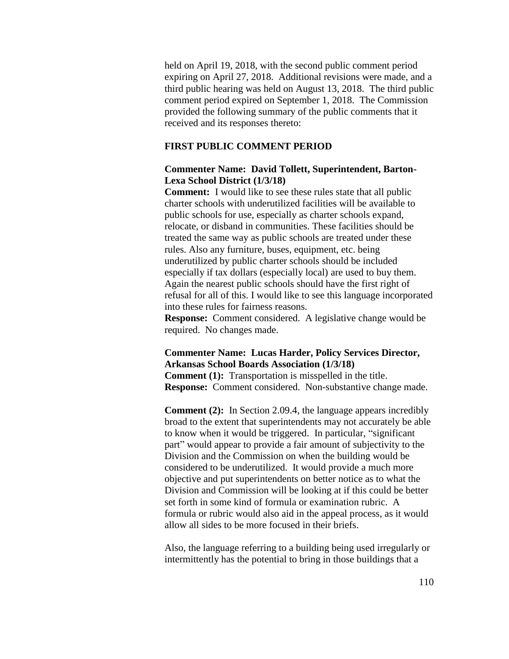held on April 19, 2018, with the second public comment period expiring on April 27, 2018. Additional revisions were made, and a third public hearing was held on August 13, 2018. The third public comment period expired on September 1, 2018. The Commission provided the following summary of the public comments that it received and its responses thereto:

#### **FIRST PUBLIC COMMENT PERIOD**

### **Commenter Name: David Tollett, Superintendent, Barton-Lexa School District (1/3/18)**

**Comment:** I would like to see these rules state that all public charter schools with underutilized facilities will be available to public schools for use, especially as charter schools expand, relocate, or disband in communities. These facilities should be treated the same way as public schools are treated under these rules. Also any furniture, buses, equipment, etc. being underutilized by public charter schools should be included especially if tax dollars (especially local) are used to buy them. Again the nearest public schools should have the first right of refusal for all of this. I would like to see this language incorporated into these rules for fairness reasons.

**Response:** Comment considered. A legislative change would be required. No changes made.

### **Commenter Name: Lucas Harder, Policy Services Director, Arkansas School Boards Association (1/3/18)**

**Comment (1):** Transportation is misspelled in the title. **Response:** Comment considered. Non-substantive change made.

**Comment (2):** In Section 2.09.4, the language appears incredibly broad to the extent that superintendents may not accurately be able to know when it would be triggered. In particular, "significant part" would appear to provide a fair amount of subjectivity to the Division and the Commission on when the building would be considered to be underutilized. It would provide a much more objective and put superintendents on better notice as to what the Division and Commission will be looking at if this could be better set forth in some kind of formula or examination rubric. A formula or rubric would also aid in the appeal process, as it would allow all sides to be more focused in their briefs.

Also, the language referring to a building being used irregularly or intermittently has the potential to bring in those buildings that a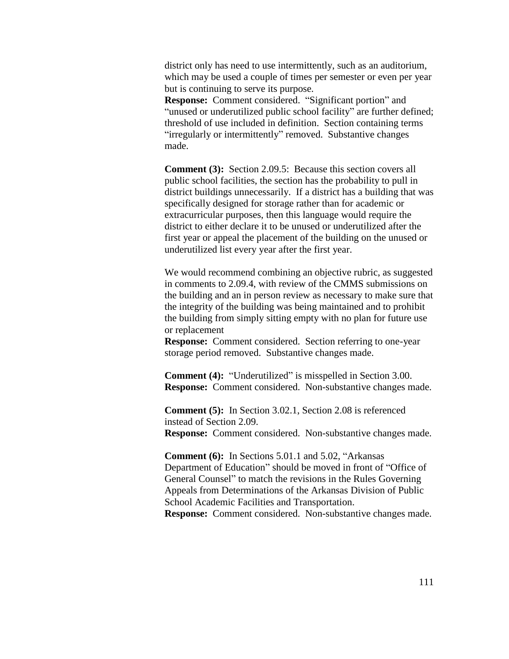district only has need to use intermittently, such as an auditorium, which may be used a couple of times per semester or even per year but is continuing to serve its purpose.

**Response:** Comment considered. "Significant portion" and "unused or underutilized public school facility" are further defined; threshold of use included in definition. Section containing terms "irregularly or intermittently" removed. Substantive changes made.

**Comment (3):** Section 2.09.5: Because this section covers all public school facilities, the section has the probability to pull in district buildings unnecessarily. If a district has a building that was specifically designed for storage rather than for academic or extracurricular purposes, then this language would require the district to either declare it to be unused or underutilized after the first year or appeal the placement of the building on the unused or underutilized list every year after the first year.

We would recommend combining an objective rubric, as suggested in comments to 2.09.4, with review of the CMMS submissions on the building and an in person review as necessary to make sure that the integrity of the building was being maintained and to prohibit the building from simply sitting empty with no plan for future use or replacement

**Response:** Comment considered. Section referring to one-year storage period removed. Substantive changes made.

**Comment (4):** "Underutilized" is misspelled in Section 3.00. **Response:** Comment considered. Non-substantive changes made.

**Comment (5):** In Section 3.02.1, Section 2.08 is referenced instead of Section 2.09. **Response:** Comment considered. Non-substantive changes made.

**Comment (6):** In Sections 5.01.1 and 5.02, "Arkansas Department of Education" should be moved in front of "Office of General Counsel" to match the revisions in the Rules Governing Appeals from Determinations of the Arkansas Division of Public School Academic Facilities and Transportation. **Response:** Comment considered. Non-substantive changes made.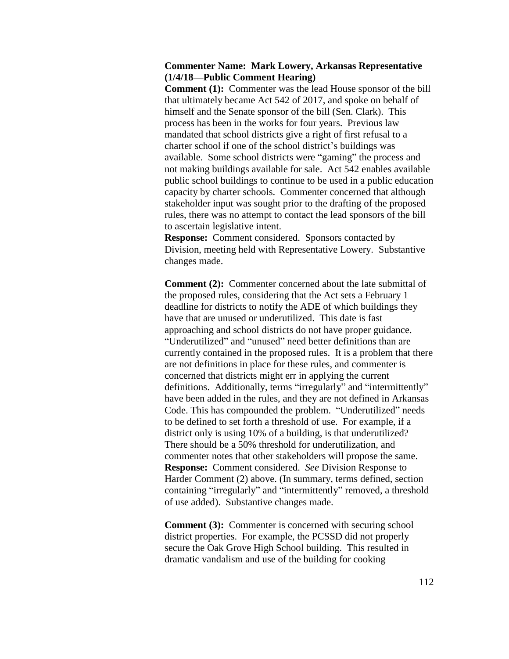### **Commenter Name: Mark Lowery, Arkansas Representative (1/4/18—Public Comment Hearing)**

**Comment (1):** Commenter was the lead House sponsor of the bill that ultimately became Act 542 of 2017, and spoke on behalf of himself and the Senate sponsor of the bill (Sen. Clark). This process has been in the works for four years. Previous law mandated that school districts give a right of first refusal to a charter school if one of the school district's buildings was available. Some school districts were "gaming" the process and not making buildings available for sale. Act 542 enables available public school buildings to continue to be used in a public education capacity by charter schools. Commenter concerned that although stakeholder input was sought prior to the drafting of the proposed rules, there was no attempt to contact the lead sponsors of the bill to ascertain legislative intent.

**Response:** Comment considered. Sponsors contacted by Division, meeting held with Representative Lowery. Substantive changes made.

**Comment (2):** Commenter concerned about the late submittal of the proposed rules, considering that the Act sets a February 1 deadline for districts to notify the ADE of which buildings they have that are unused or underutilized. This date is fast approaching and school districts do not have proper guidance. "Underutilized" and "unused" need better definitions than are currently contained in the proposed rules. It is a problem that there are not definitions in place for these rules, and commenter is concerned that districts might err in applying the current definitions. Additionally, terms "irregularly" and "intermittently" have been added in the rules, and they are not defined in Arkansas Code. This has compounded the problem. "Underutilized" needs to be defined to set forth a threshold of use. For example, if a district only is using 10% of a building, is that underutilized? There should be a 50% threshold for underutilization, and commenter notes that other stakeholders will propose the same. **Response:** Comment considered. *See* Division Response to Harder Comment (2) above. (In summary, terms defined, section containing "irregularly" and "intermittently" removed, a threshold of use added). Substantive changes made.

**Comment (3):** Commenter is concerned with securing school district properties. For example, the PCSSD did not properly secure the Oak Grove High School building. This resulted in dramatic vandalism and use of the building for cooking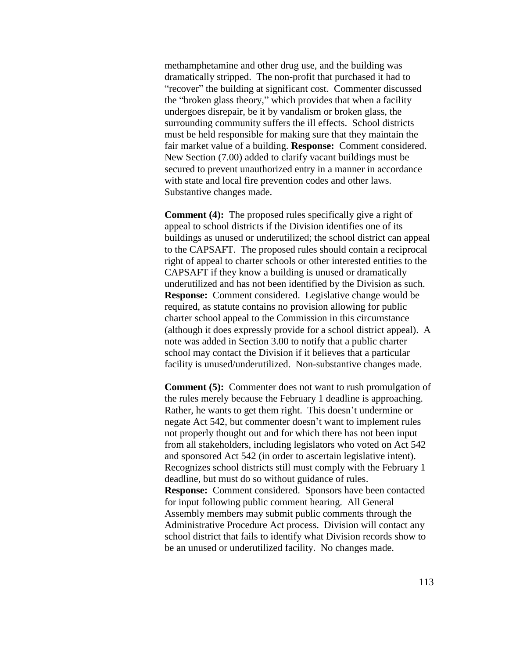methamphetamine and other drug use, and the building was dramatically stripped. The non-profit that purchased it had to "recover" the building at significant cost. Commenter discussed the "broken glass theory," which provides that when a facility undergoes disrepair, be it by vandalism or broken glass, the surrounding community suffers the ill effects. School districts must be held responsible for making sure that they maintain the fair market value of a building. **Response:** Comment considered. New Section (7.00) added to clarify vacant buildings must be secured to prevent unauthorized entry in a manner in accordance with state and local fire prevention codes and other laws. Substantive changes made.

**Comment (4):** The proposed rules specifically give a right of appeal to school districts if the Division identifies one of its buildings as unused or underutilized; the school district can appeal to the CAPSAFT. The proposed rules should contain a reciprocal right of appeal to charter schools or other interested entities to the CAPSAFT if they know a building is unused or dramatically underutilized and has not been identified by the Division as such. **Response:** Comment considered. Legislative change would be required, as statute contains no provision allowing for public charter school appeal to the Commission in this circumstance (although it does expressly provide for a school district appeal). A note was added in Section 3.00 to notify that a public charter school may contact the Division if it believes that a particular facility is unused/underutilized. Non-substantive changes made.

**Comment (5):** Commenter does not want to rush promulgation of the rules merely because the February 1 deadline is approaching. Rather, he wants to get them right. This doesn't undermine or negate Act 542, but commenter doesn't want to implement rules not properly thought out and for which there has not been input from all stakeholders, including legislators who voted on Act 542 and sponsored Act 542 (in order to ascertain legislative intent). Recognizes school districts still must comply with the February 1 deadline, but must do so without guidance of rules. **Response:** Comment considered. Sponsors have been contacted for input following public comment hearing. All General Assembly members may submit public comments through the Administrative Procedure Act process. Division will contact any school district that fails to identify what Division records show to be an unused or underutilized facility. No changes made.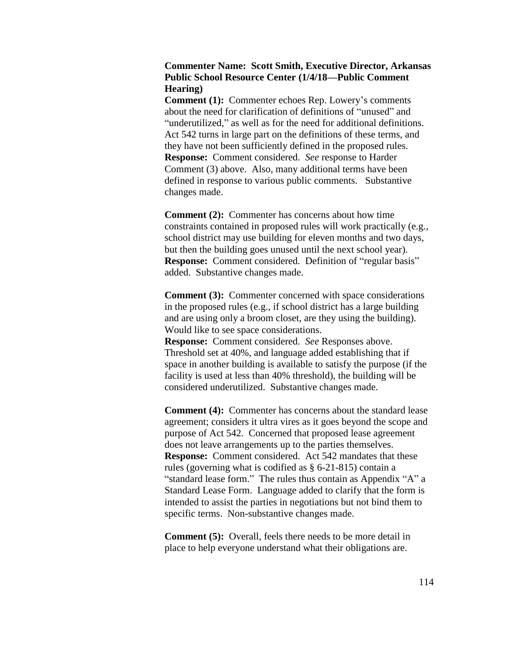## **Commenter Name: Scott Smith, Executive Director, Arkansas Public School Resource Center (1/4/18—Public Comment Hearing)**

**Comment (1):** Commenter echoes Rep. Lowery's comments about the need for clarification of definitions of "unused" and "underutilized," as well as for the need for additional definitions. Act 542 turns in large part on the definitions of these terms, and they have not been sufficiently defined in the proposed rules. **Response:** Comment considered. *See* response to Harder Comment (3) above. Also, many additional terms have been defined in response to various public comments. Substantive changes made.

**Comment** (2): Commenter has concerns about how time constraints contained in proposed rules will work practically (e.g., school district may use building for eleven months and two days, but then the building goes unused until the next school year). **Response:** Comment considered. Definition of "regular basis" added. Substantive changes made.

**Comment** (3): Commenter concerned with space considerations in the proposed rules (e.g., if school district has a large building and are using only a broom closet, are they using the building). Would like to see space considerations.

**Response:** Comment considered. *See* Responses above. Threshold set at 40%, and language added establishing that if space in another building is available to satisfy the purpose (if the facility is used at less than 40% threshold), the building will be considered underutilized. Substantive changes made.

**Comment** (4): Commenter has concerns about the standard lease agreement; considers it ultra vires as it goes beyond the scope and purpose of Act 542. Concerned that proposed lease agreement does not leave arrangements up to the parties themselves. **Response:** Comment considered. Act 542 mandates that these rules (governing what is codified as § 6-21-815) contain a "standard lease form." The rules thus contain as Appendix "A" a Standard Lease Form. Language added to clarify that the form is intended to assist the parties in negotiations but not bind them to specific terms. Non-substantive changes made.

**Comment** (5): Overall, feels there needs to be more detail in place to help everyone understand what their obligations are.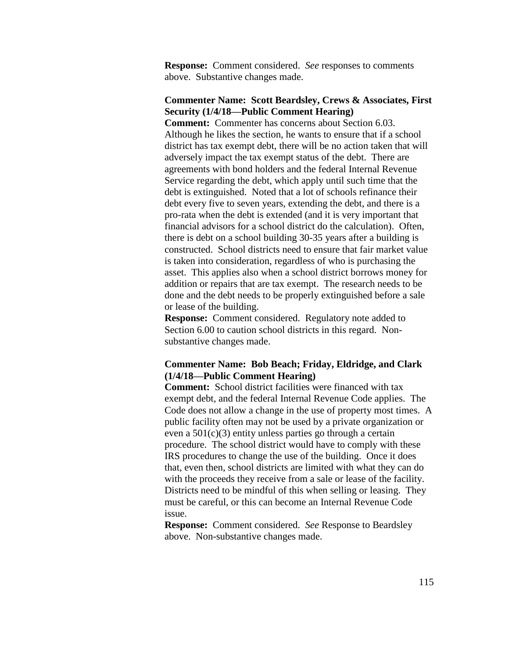**Response:** Comment considered. *See* responses to comments above. Substantive changes made.

### **Commenter Name: Scott Beardsley, Crews & Associates, First Security (1/4/18—Public Comment Hearing)**

**Comment:** Commenter has concerns about Section 6.03. Although he likes the section, he wants to ensure that if a school district has tax exempt debt, there will be no action taken that will adversely impact the tax exempt status of the debt. There are agreements with bond holders and the federal Internal Revenue Service regarding the debt, which apply until such time that the debt is extinguished. Noted that a lot of schools refinance their debt every five to seven years, extending the debt, and there is a pro-rata when the debt is extended (and it is very important that financial advisors for a school district do the calculation). Often, there is debt on a school building 30-35 years after a building is constructed. School districts need to ensure that fair market value is taken into consideration, regardless of who is purchasing the asset. This applies also when a school district borrows money for addition or repairs that are tax exempt. The research needs to be done and the debt needs to be properly extinguished before a sale or lease of the building.

**Response:** Comment considered. Regulatory note added to Section 6.00 to caution school districts in this regard. Nonsubstantive changes made.

## **Commenter Name: Bob Beach; Friday, Eldridge, and Clark (1/4/18—Public Comment Hearing)**

**Comment:** School district facilities were financed with tax exempt debt, and the federal Internal Revenue Code applies. The Code does not allow a change in the use of property most times. A public facility often may not be used by a private organization or even a  $501(c)(3)$  entity unless parties go through a certain procedure. The school district would have to comply with these IRS procedures to change the use of the building. Once it does that, even then, school districts are limited with what they can do with the proceeds they receive from a sale or lease of the facility. Districts need to be mindful of this when selling or leasing. They must be careful, or this can become an Internal Revenue Code issue.

**Response:** Comment considered. *See* Response to Beardsley above. Non-substantive changes made.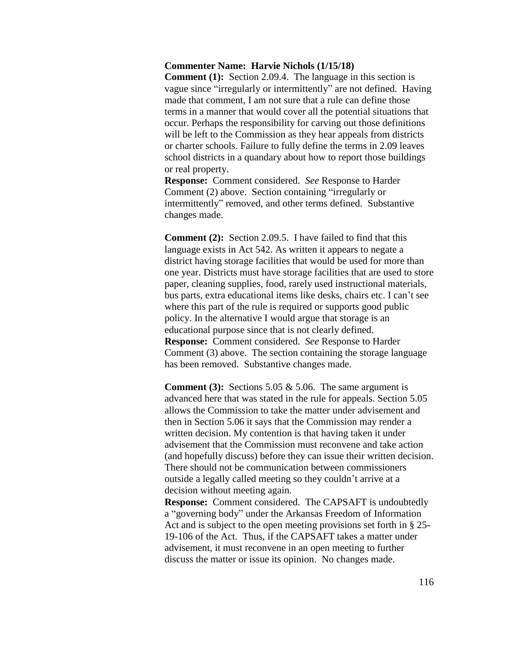#### **Commenter Name: Harvie Nichols (1/15/18)**

**Comment (1):** Section 2.09.4. The language in this section is vague since "irregularly or intermittently" are not defined. Having made that comment, I am not sure that a rule can define those terms in a manner that would cover all the potential situations that occur. Perhaps the responsibility for carving out those definitions will be left to the Commission as they hear appeals from districts or charter schools. Failure to fully define the terms in 2.09 leaves school districts in a quandary about how to report those buildings or real property.

**Response:** Comment considered. *See* Response to Harder Comment (2) above. Section containing "irregularly or intermittently" removed, and other terms defined. Substantive changes made.

**Comment (2):** Section 2.09.5. I have failed to find that this language exists in Act 542. As written it appears to negate a district having storage facilities that would be used for more than one year. Districts must have storage facilities that are used to store paper, cleaning supplies, food, rarely used instructional materials, bus parts, extra educational items like desks, chairs etc. I can't see where this part of the rule is required or supports good public policy. In the alternative I would argue that storage is an educational purpose since that is not clearly defined. **Response:** Comment considered. *See* Response to Harder Comment (3) above. The section containing the storage language has been removed. Substantive changes made.

**Comment (3):** Sections 5.05 & 5.06. The same argument is advanced here that was stated in the rule for appeals. Section 5.05 allows the Commission to take the matter under advisement and then in Section 5.06 it says that the Commission may render a written decision. My contention is that having taken it under advisement that the Commission must reconvene and take action (and hopefully discuss) before they can issue their written decision. There should not be communication between commissioners outside a legally called meeting so they couldn't arrive at a decision without meeting again.

**Response:** Comment considered. The CAPSAFT is undoubtedly a "governing body" under the Arkansas Freedom of Information Act and is subject to the open meeting provisions set forth in § 25- 19-106 of the Act. Thus, if the CAPSAFT takes a matter under advisement, it must reconvene in an open meeting to further discuss the matter or issue its opinion. No changes made.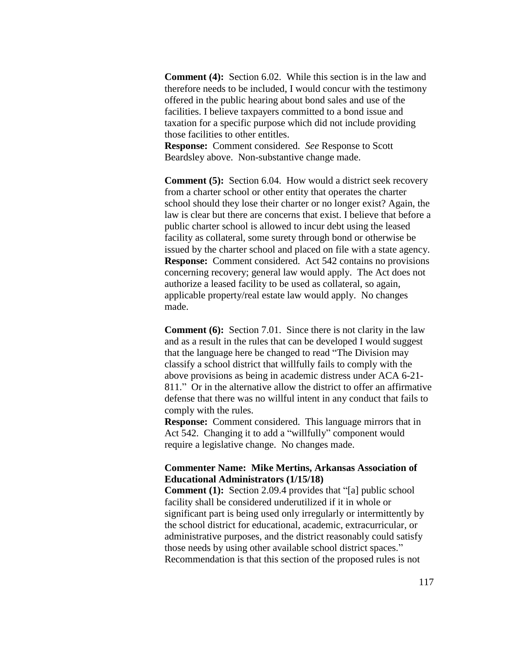**Comment (4):** Section 6.02. While this section is in the law and therefore needs to be included, I would concur with the testimony offered in the public hearing about bond sales and use of the facilities. I believe taxpayers committed to a bond issue and taxation for a specific purpose which did not include providing those facilities to other entitles.

**Response:** Comment considered. *See* Response to Scott Beardsley above. Non-substantive change made.

**Comment (5):** Section 6.04. How would a district seek recovery from a charter school or other entity that operates the charter school should they lose their charter or no longer exist? Again, the law is clear but there are concerns that exist. I believe that before a public charter school is allowed to incur debt using the leased facility as collateral, some surety through bond or otherwise be issued by the charter school and placed on file with a state agency. **Response:** Comment considered. Act 542 contains no provisions concerning recovery; general law would apply. The Act does not authorize a leased facility to be used as collateral, so again, applicable property/real estate law would apply. No changes made.

**Comment (6):** Section 7.01. Since there is not clarity in the law and as a result in the rules that can be developed I would suggest that the language here be changed to read "The Division may classify a school district that willfully fails to comply with the above provisions as being in academic distress under ACA 6-21- 811." Or in the alternative allow the district to offer an affirmative defense that there was no willful intent in any conduct that fails to comply with the rules.

**Response:** Comment considered. This language mirrors that in Act 542. Changing it to add a "willfully" component would require a legislative change. No changes made.

#### **Commenter Name: Mike Mertins, Arkansas Association of Educational Administrators (1/15/18)**

**Comment (1):** Section 2.09.4 provides that "[a] public school facility shall be considered underutilized if it in whole or significant part is being used only irregularly or intermittently by the school district for educational, academic, extracurricular, or administrative purposes, and the district reasonably could satisfy those needs by using other available school district spaces." Recommendation is that this section of the proposed rules is not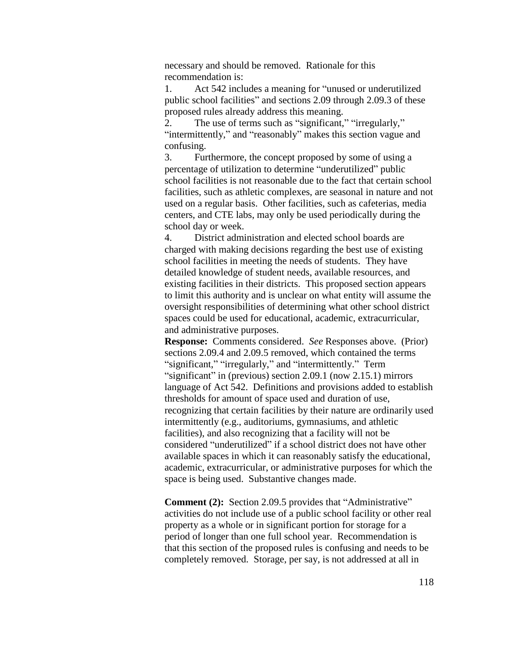necessary and should be removed.Rationale for this recommendation is:

1. Act 542 includes a meaning for "unused or underutilized public school facilities" and sections 2.09 through 2.09.3 of these proposed rules already address this meaning.

2. The use of terms such as "significant," "irregularly," "intermittently," and "reasonably" makes this section vague and confusing.

3. Furthermore, the concept proposed by some of using a percentage of utilization to determine "underutilized" public school facilities is not reasonable due to the fact that certain school facilities, such as athletic complexes, are seasonal in nature and not used on a regular basis. Other facilities, such as cafeterias, media centers, and CTE labs, may only be used periodically during the school day or week.

4. District administration and elected school boards are charged with making decisions regarding the best use of existing school facilities in meeting the needs of students. They have detailed knowledge of student needs, available resources, and existing facilities in their districts. This proposed section appears to limit this authority and is unclear on what entity will assume the oversight responsibilities of determining what other school district spaces could be used for educational, academic, extracurricular, and administrative purposes.

**Response:** Comments considered. *See* Responses above. (Prior) sections 2.09.4 and 2.09.5 removed, which contained the terms "significant," "irregularly," and "intermittently." Term "significant" in (previous) section 2.09.1 (now 2.15.1) mirrors language of Act 542. Definitions and provisions added to establish thresholds for amount of space used and duration of use, recognizing that certain facilities by their nature are ordinarily used intermittently (e.g., auditoriums, gymnasiums, and athletic facilities), and also recognizing that a facility will not be considered "underutilized" if a school district does not have other available spaces in which it can reasonably satisfy the educational, academic, extracurricular, or administrative purposes for which the space is being used. Substantive changes made.

**Comment (2):** Section 2.09.5 provides that "Administrative" activities do not include use of a public school facility or other real property as a whole or in significant portion for storage for a period of longer than one full school year. Recommendation is that this section of the proposed rules is confusing and needs to be completely removed. Storage, per say, is not addressed at all in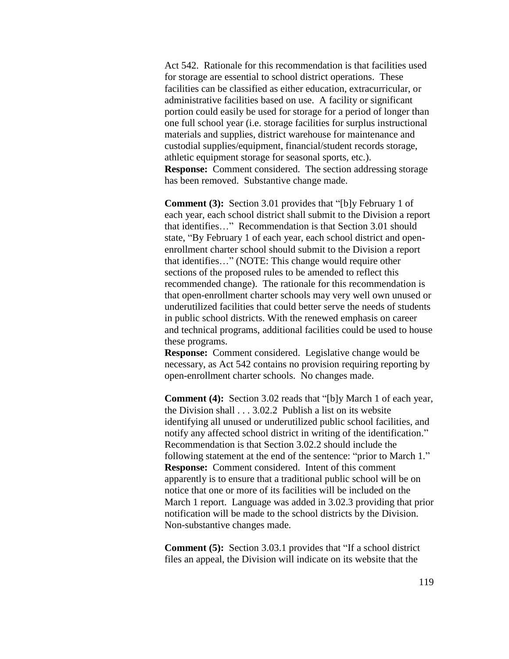Act 542. Rationale for this recommendation is that facilities used for storage are essential to school district operations. These facilities can be classified as either education, extracurricular, or administrative facilities based on use. A facility or significant portion could easily be used for storage for a period of longer than one full school year (i.e. storage facilities for surplus instructional materials and supplies, district warehouse for maintenance and custodial supplies/equipment, financial/student records storage, athletic equipment storage for seasonal sports, etc.). **Response:** Comment considered. The section addressing storage has been removed. Substantive change made.

**Comment (3):** Section 3.01 provides that "[b]y February 1 of each year, each school district shall submit to the Division a report that identifies…" Recommendation is that Section 3.01 should state, "By February 1 of each year, each school district and openenrollment charter school should submit to the Division a report that identifies…" (NOTE: This change would require other sections of the proposed rules to be amended to reflect this recommended change). The rationale for this recommendation is that open-enrollment charter schools may very well own unused or underutilized facilities that could better serve the needs of students in public school districts. With the renewed emphasis on career and technical programs, additional facilities could be used to house these programs.

**Response:** Comment considered. Legislative change would be necessary, as Act 542 contains no provision requiring reporting by open-enrollment charter schools. No changes made.

**Comment (4):** Section 3.02 reads that "[b]y March 1 of each year, the Division shall . . . 3.02.2 Publish a list on its website identifying all unused or underutilized public school facilities, and notify any affected school district in writing of the identification." Recommendation is that Section 3.02.2 should include the following statement at the end of the sentence: "prior to March 1." **Response:** Comment considered. Intent of this comment apparently is to ensure that a traditional public school will be on notice that one or more of its facilities will be included on the March 1 report. Language was added in 3.02.3 providing that prior notification will be made to the school districts by the Division. Non-substantive changes made.

**Comment (5):** Section 3.03.1 provides that "If a school district files an appeal, the Division will indicate on its website that the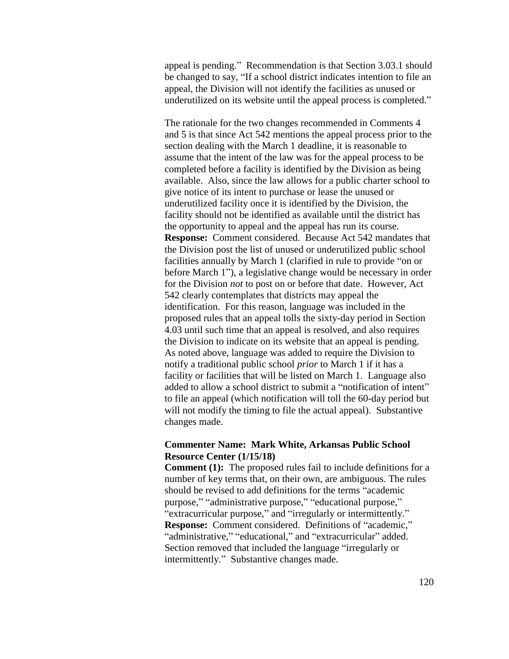appeal is pending." Recommendation is that Section 3.03.1 should be changed to say, "If a school district indicates intention to file an appeal, the Division will not identify the facilities as unused or underutilized on its website until the appeal process is completed."

The rationale for the two changes recommended in Comments 4 and 5 is that since Act 542 mentions the appeal process prior to the section dealing with the March 1 deadline, it is reasonable to assume that the intent of the law was for the appeal process to be completed before a facility is identified by the Division as being available. Also, since the law allows for a public charter school to give notice of its intent to purchase or lease the unused or underutilized facility once it is identified by the Division, the facility should not be identified as available until the district has the opportunity to appeal and the appeal has run its course. **Response:** Comment considered. Because Act 542 mandates that the Division post the list of unused or underutilized public school facilities annually by March 1 (clarified in rule to provide "on or before March 1"), a legislative change would be necessary in order for the Division *not* to post on or before that date. However, Act 542 clearly contemplates that districts may appeal the identification. For this reason, language was included in the proposed rules that an appeal tolls the sixty-day period in Section 4.03 until such time that an appeal is resolved, and also requires the Division to indicate on its website that an appeal is pending. As noted above, language was added to require the Division to notify a traditional public school *prior* to March 1 if it has a facility or facilities that will be listed on March 1. Language also added to allow a school district to submit a "notification of intent" to file an appeal (which notification will toll the 60-day period but will not modify the timing to file the actual appeal). Substantive changes made.

### **Commenter Name: Mark White, Arkansas Public School Resource Center (1/15/18)**

**Comment (1):** The proposed rules fail to include definitions for a number of key terms that, on their own, are ambiguous. The rules should be revised to add definitions for the terms "academic purpose," "administrative purpose," "educational purpose," "extracurricular purpose," and "irregularly or intermittently." **Response:** Comment considered. Definitions of "academic," "administrative," "educational," and "extracurricular" added. Section removed that included the language "irregularly or intermittently." Substantive changes made.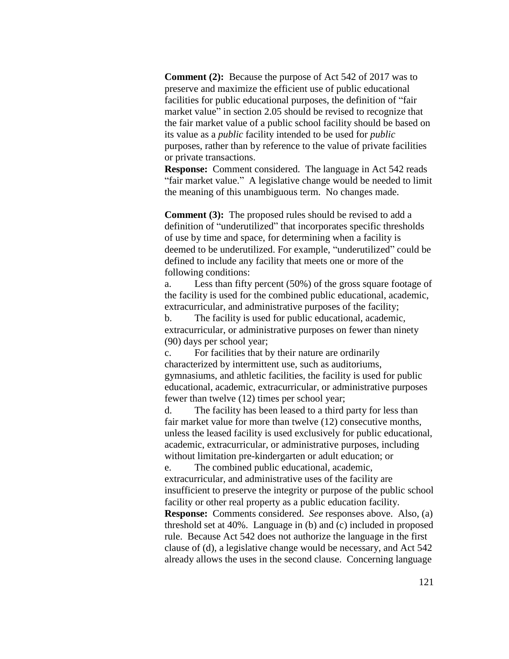**Comment (2):** Because the purpose of Act 542 of 2017 was to preserve and maximize the efficient use of public educational facilities for public educational purposes, the definition of "fair market value" in section 2.05 should be revised to recognize that the fair market value of a public school facility should be based on its value as a *public* facility intended to be used for *public* purposes, rather than by reference to the value of private facilities or private transactions.

**Response:** Comment considered. The language in Act 542 reads "fair market value." A legislative change would be needed to limit the meaning of this unambiguous term. No changes made.

**Comment (3):** The proposed rules should be revised to add a definition of "underutilized" that incorporates specific thresholds of use by time and space, for determining when a facility is deemed to be underutilized. For example, "underutilized" could be defined to include any facility that meets one or more of the following conditions:

a. Less than fifty percent (50%) of the gross square footage of the facility is used for the combined public educational, academic, extracurricular, and administrative purposes of the facility;

b. The facility is used for public educational, academic, extracurricular, or administrative purposes on fewer than ninety (90) days per school year;

c. For facilities that by their nature are ordinarily characterized by intermittent use, such as auditoriums, gymnasiums, and athletic facilities, the facility is used for public educational, academic, extracurricular, or administrative purposes fewer than twelve (12) times per school year;

d. The facility has been leased to a third party for less than fair market value for more than twelve (12) consecutive months, unless the leased facility is used exclusively for public educational, academic, extracurricular, or administrative purposes, including without limitation pre-kindergarten or adult education; or

e. The combined public educational, academic, extracurricular, and administrative uses of the facility are insufficient to preserve the integrity or purpose of the public school facility or other real property as a public education facility.

**Response:** Comments considered. *See* responses above. Also, (a) threshold set at 40%. Language in (b) and (c) included in proposed rule. Because Act 542 does not authorize the language in the first clause of (d), a legislative change would be necessary, and Act 542 already allows the uses in the second clause. Concerning language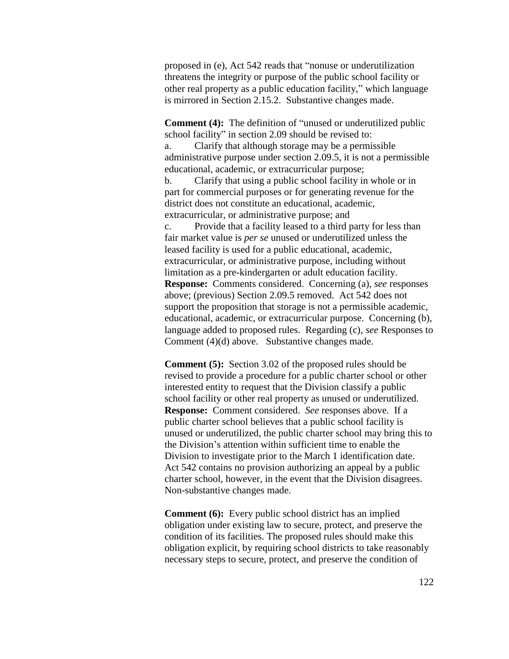proposed in (e), Act 542 reads that "nonuse or underutilization threatens the integrity or purpose of the public school facility or other real property as a public education facility," which language is mirrored in Section 2.15.2. Substantive changes made.

**Comment (4):** The definition of "unused or underutilized public school facility" in section 2.09 should be revised to: a. Clarify that although storage may be a permissible administrative purpose under section 2.09.5, it is not a permissible educational, academic, or extracurricular purpose; b. Clarify that using a public school facility in whole or in part for commercial purposes or for generating revenue for the district does not constitute an educational, academic, extracurricular, or administrative purpose; and c. Provide that a facility leased to a third party for less than fair market value is *per se* unused or underutilized unless the leased facility is used for a public educational, academic, extracurricular, or administrative purpose, including without limitation as a pre-kindergarten or adult education facility. **Response:** Comments considered. Concerning (a), *see* responses above; (previous) Section 2.09.5 removed. Act 542 does not support the proposition that storage is not a permissible academic, educational, academic, or extracurricular purpose. Concerning (b), language added to proposed rules. Regarding (c), *see* Responses to Comment (4)(d) above. Substantive changes made.

**Comment (5):** Section 3.02 of the proposed rules should be revised to provide a procedure for a public charter school or other interested entity to request that the Division classify a public school facility or other real property as unused or underutilized. **Response:** Comment considered. *See* responses above. If a public charter school believes that a public school facility is unused or underutilized, the public charter school may bring this to the Division's attention within sufficient time to enable the Division to investigate prior to the March 1 identification date. Act 542 contains no provision authorizing an appeal by a public charter school, however, in the event that the Division disagrees. Non-substantive changes made.

**Comment (6):** Every public school district has an implied obligation under existing law to secure, protect, and preserve the condition of its facilities. The proposed rules should make this obligation explicit, by requiring school districts to take reasonably necessary steps to secure, protect, and preserve the condition of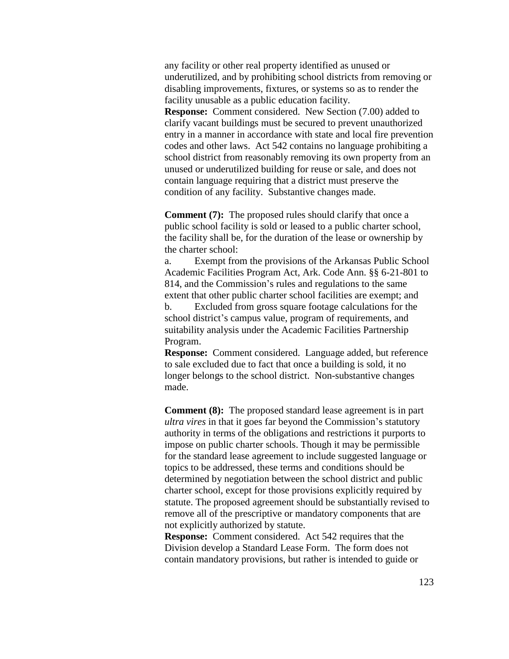any facility or other real property identified as unused or underutilized, and by prohibiting school districts from removing or disabling improvements, fixtures, or systems so as to render the facility unusable as a public education facility.

**Response:** Comment considered. New Section (7.00) added to clarify vacant buildings must be secured to prevent unauthorized entry in a manner in accordance with state and local fire prevention codes and other laws. Act 542 contains no language prohibiting a school district from reasonably removing its own property from an unused or underutilized building for reuse or sale, and does not contain language requiring that a district must preserve the condition of any facility. Substantive changes made.

**Comment (7):** The proposed rules should clarify that once a public school facility is sold or leased to a public charter school, the facility shall be, for the duration of the lease or ownership by the charter school:

a. Exempt from the provisions of the Arkansas Public School Academic Facilities Program Act, Ark. Code Ann. §§ 6-21-801 to 814, and the Commission's rules and regulations to the same extent that other public charter school facilities are exempt; and b. Excluded from gross square footage calculations for the school district's campus value, program of requirements, and suitability analysis under the Academic Facilities Partnership Program.

**Response:** Comment considered. Language added, but reference to sale excluded due to fact that once a building is sold, it no longer belongs to the school district. Non-substantive changes made.

**Comment (8):** The proposed standard lease agreement is in part *ultra vires* in that it goes far beyond the Commission's statutory authority in terms of the obligations and restrictions it purports to impose on public charter schools. Though it may be permissible for the standard lease agreement to include suggested language or topics to be addressed, these terms and conditions should be determined by negotiation between the school district and public charter school, except for those provisions explicitly required by statute. The proposed agreement should be substantially revised to remove all of the prescriptive or mandatory components that are not explicitly authorized by statute.

**Response:** Comment considered. Act 542 requires that the Division develop a Standard Lease Form. The form does not contain mandatory provisions, but rather is intended to guide or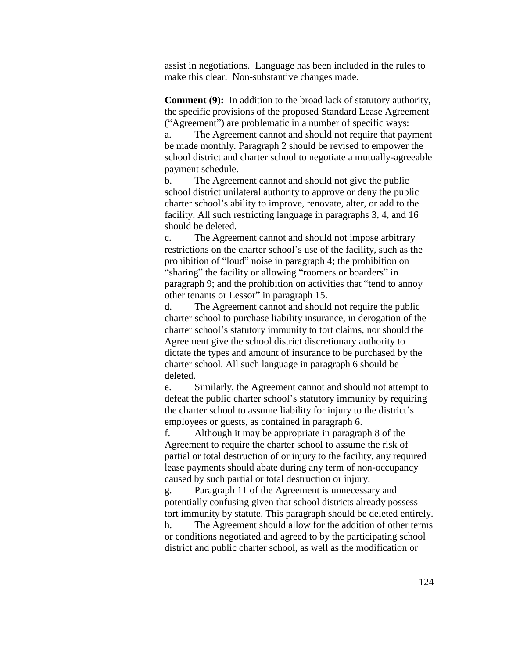assist in negotiations. Language has been included in the rules to make this clear. Non-substantive changes made.

**Comment (9):** In addition to the broad lack of statutory authority, the specific provisions of the proposed Standard Lease Agreement ("Agreement") are problematic in a number of specific ways:

a. The Agreement cannot and should not require that payment be made monthly. Paragraph 2 should be revised to empower the school district and charter school to negotiate a mutually-agreeable payment schedule.

b. The Agreement cannot and should not give the public school district unilateral authority to approve or deny the public charter school's ability to improve, renovate, alter, or add to the facility. All such restricting language in paragraphs 3, 4, and 16 should be deleted.

c. The Agreement cannot and should not impose arbitrary restrictions on the charter school's use of the facility, such as the prohibition of "loud" noise in paragraph 4; the prohibition on "sharing" the facility or allowing "roomers or boarders" in paragraph 9; and the prohibition on activities that "tend to annoy other tenants or Lessor" in paragraph 15.

d. The Agreement cannot and should not require the public charter school to purchase liability insurance, in derogation of the charter school's statutory immunity to tort claims, nor should the Agreement give the school district discretionary authority to dictate the types and amount of insurance to be purchased by the charter school. All such language in paragraph 6 should be deleted.

e. Similarly, the Agreement cannot and should not attempt to defeat the public charter school's statutory immunity by requiring the charter school to assume liability for injury to the district's employees or guests, as contained in paragraph 6.

f. Although it may be appropriate in paragraph 8 of the Agreement to require the charter school to assume the risk of partial or total destruction of or injury to the facility, any required lease payments should abate during any term of non-occupancy caused by such partial or total destruction or injury.

g. Paragraph 11 of the Agreement is unnecessary and potentially confusing given that school districts already possess tort immunity by statute. This paragraph should be deleted entirely. h. The Agreement should allow for the addition of other terms

or conditions negotiated and agreed to by the participating school district and public charter school, as well as the modification or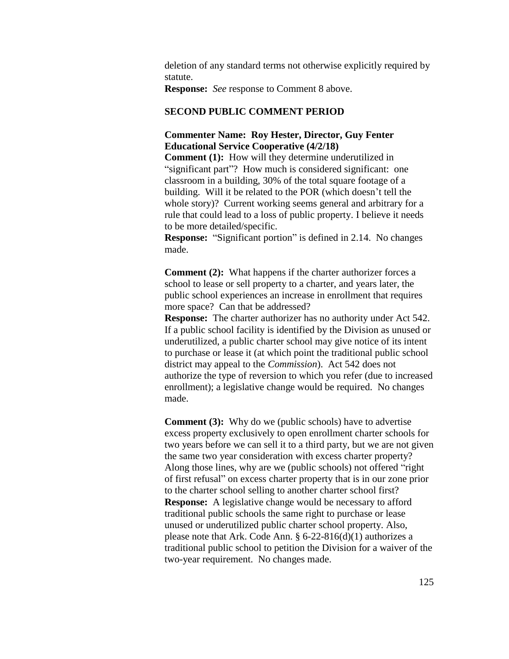deletion of any standard terms not otherwise explicitly required by statute.

**Response:** *See* response to Comment 8 above.

### **SECOND PUBLIC COMMENT PERIOD**

### **Commenter Name: Roy Hester, Director, Guy Fenter Educational Service Cooperative (4/2/18)**

**Comment (1):** How will they determine underutilized in "significant part"? How much is considered significant: one classroom in a building, 30% of the total square footage of a building. Will it be related to the POR (which doesn't tell the whole story)? Current working seems general and arbitrary for a rule that could lead to a loss of public property. I believe it needs to be more detailed/specific.

**Response:** "Significant portion" is defined in 2.14. No changes made.

**Comment (2):** What happens if the charter authorizer forces a school to lease or sell property to a charter, and years later, the public school experiences an increase in enrollment that requires more space? Can that be addressed?

**Response:** The charter authorizer has no authority under Act 542. If a public school facility is identified by the Division as unused or underutilized, a public charter school may give notice of its intent to purchase or lease it (at which point the traditional public school district may appeal to the *Commission*). Act 542 does not authorize the type of reversion to which you refer (due to increased enrollment); a legislative change would be required. No changes made.

**Comment (3):** Why do we (public schools) have to advertise excess property exclusively to open enrollment charter schools for two years before we can sell it to a third party, but we are not given the same two year consideration with excess charter property? Along those lines, why are we (public schools) not offered "right of first refusal" on excess charter property that is in our zone prior to the charter school selling to another charter school first? **Response:** A legislative change would be necessary to afford traditional public schools the same right to purchase or lease unused or underutilized public charter school property. Also, please note that Ark. Code Ann. § 6-22-816(d)(1) authorizes a traditional public school to petition the Division for a waiver of the two-year requirement. No changes made.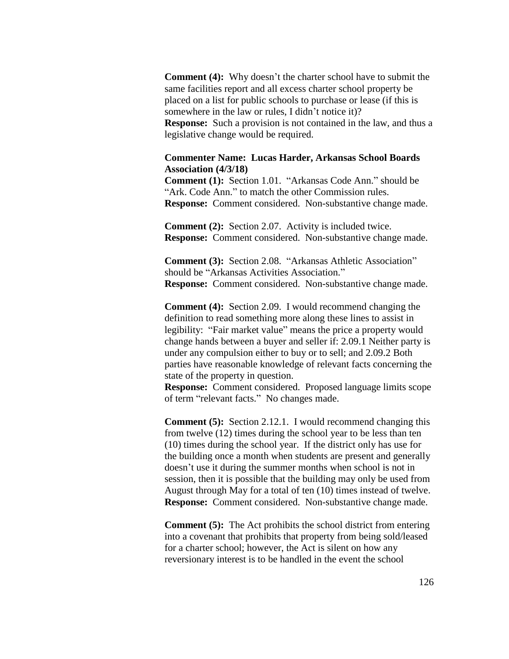**Comment (4):** Why doesn't the charter school have to submit the same facilities report and all excess charter school property be placed on a list for public schools to purchase or lease (if this is somewhere in the law or rules, I didn't notice it)? **Response:** Such a provision is not contained in the law, and thus a legislative change would be required.

#### **Commenter Name: Lucas Harder, Arkansas School Boards Association (4/3/18)**

**Comment (1):** Section 1.01. "Arkansas Code Ann." should be "Ark. Code Ann." to match the other Commission rules. **Response:** Comment considered. Non-substantive change made.

**Comment (2):** Section 2.07. Activity is included twice. **Response:** Comment considered. Non-substantive change made.

**Comment (3):** Section 2.08. "Arkansas Athletic Association" should be "Arkansas Activities Association." **Response:** Comment considered. Non-substantive change made.

**Comment (4):** Section 2.09. I would recommend changing the definition to read something more along these lines to assist in legibility: "Fair market value" means the price a property would change hands between a buyer and seller if: 2.09.1 Neither party is under any compulsion either to buy or to sell; and 2.09.2 Both parties have reasonable knowledge of relevant facts concerning the state of the property in question.

**Response:** Comment considered. Proposed language limits scope of term "relevant facts." No changes made.

**Comment (5):** Section 2.12.1. I would recommend changing this from twelve (12) times during the school year to be less than ten (10) times during the school year. If the district only has use for the building once a month when students are present and generally doesn't use it during the summer months when school is not in session, then it is possible that the building may only be used from August through May for a total of ten (10) times instead of twelve. **Response:** Comment considered. Non-substantive change made.

**Comment (5):** The Act prohibits the school district from entering into a covenant that prohibits that property from being sold/leased for a charter school; however, the Act is silent on how any reversionary interest is to be handled in the event the school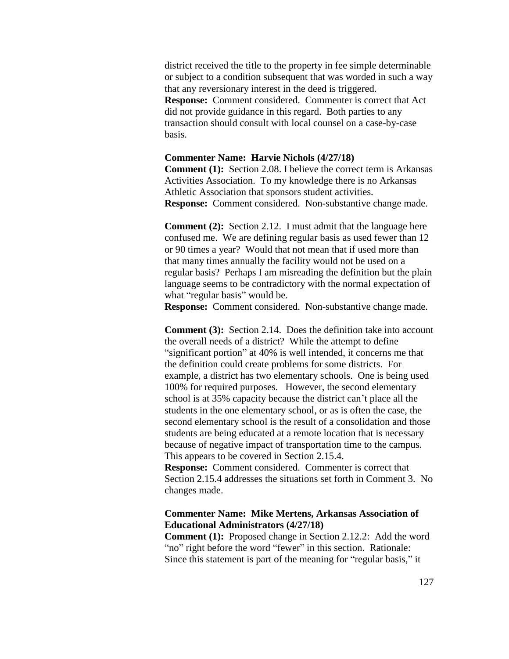district received the title to the property in fee simple determinable or subject to a condition subsequent that was worded in such a way that any reversionary interest in the deed is triggered. **Response:** Comment considered. Commenter is correct that Act did not provide guidance in this regard. Both parties to any transaction should consult with local counsel on a case-by-case basis.

#### **Commenter Name: Harvie Nichols (4/27/18)**

**Comment (1):** Section 2.08. I believe the correct term is Arkansas Activities Association. To my knowledge there is no Arkansas Athletic Association that sponsors student activities. **Response:** Comment considered. Non-substantive change made.

**Comment (2):** Section 2.12. I must admit that the language here confused me. We are defining regular basis as used fewer than 12 or 90 times a year? Would that not mean that if used more than that many times annually the facility would not be used on a regular basis? Perhaps I am misreading the definition but the plain language seems to be contradictory with the normal expectation of what "regular basis" would be.

**Response:** Comment considered. Non-substantive change made.

**Comment (3):** Section 2.14. Does the definition take into account the overall needs of a district? While the attempt to define "significant portion" at 40% is well intended, it concerns me that the definition could create problems for some districts. For example, a district has two elementary schools. One is being used 100% for required purposes. However, the second elementary school is at 35% capacity because the district can't place all the students in the one elementary school, or as is often the case, the second elementary school is the result of a consolidation and those students are being educated at a remote location that is necessary because of negative impact of transportation time to the campus. This appears to be covered in Section 2.15.4.

**Response:** Comment considered. Commenter is correct that Section 2.15.4 addresses the situations set forth in Comment 3. No changes made.

### **Commenter Name: Mike Mertens, Arkansas Association of Educational Administrators (4/27/18)**

**Comment (1):** Proposed change in Section 2.12.2: Add the word "no" right before the word "fewer" in this section. Rationale: Since this statement is part of the meaning for "regular basis," it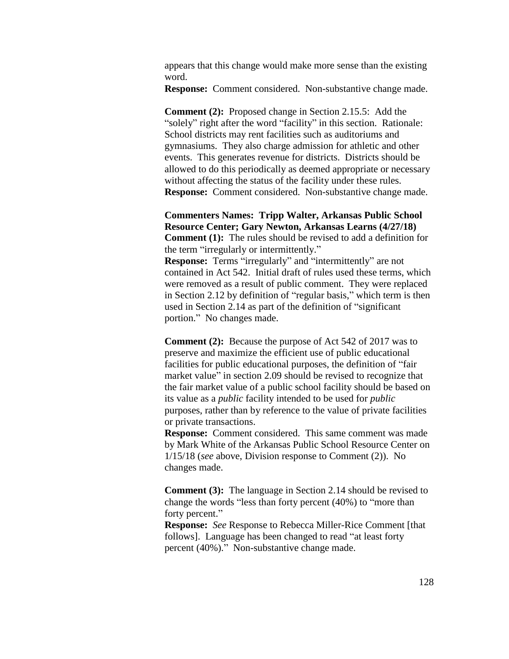appears that this change would make more sense than the existing word.

**Response:** Comment considered. Non-substantive change made.

**Comment (2):** Proposed change in Section 2.15.5: Add the "solely" right after the word "facility" in this section. Rationale: School districts may rent facilities such as auditoriums and gymnasiums. They also charge admission for athletic and other events. This generates revenue for districts. Districts should be allowed to do this periodically as deemed appropriate or necessary without affecting the status of the facility under these rules. **Response:** Comment considered. Non-substantive change made.

**Commenters Names: Tripp Walter, Arkansas Public School Resource Center; Gary Newton, Arkansas Learns (4/27/18) Comment (1):** The rules should be revised to add a definition for the term "irregularly or intermittently."

**Response:** Terms "irregularly" and "intermittently" are not contained in Act 542. Initial draft of rules used these terms, which were removed as a result of public comment. They were replaced in Section 2.12 by definition of "regular basis," which term is then used in Section 2.14 as part of the definition of "significant portion." No changes made.

**Comment (2):** Because the purpose of Act 542 of 2017 was to preserve and maximize the efficient use of public educational facilities for public educational purposes, the definition of "fair market value" in section 2.09 should be revised to recognize that the fair market value of a public school facility should be based on its value as a *public* facility intended to be used for *public*  purposes, rather than by reference to the value of private facilities or private transactions.

**Response:** Comment considered. This same comment was made by Mark White of the Arkansas Public School Resource Center on 1/15/18 (*see* above, Division response to Comment (2)). No changes made.

**Comment (3):** The language in Section 2.14 should be revised to change the words "less than forty percent (40%) to "more than forty percent."

**Response:** *See* Response to Rebecca Miller-Rice Comment [that follows]. Language has been changed to read "at least forty percent (40%)." Non-substantive change made.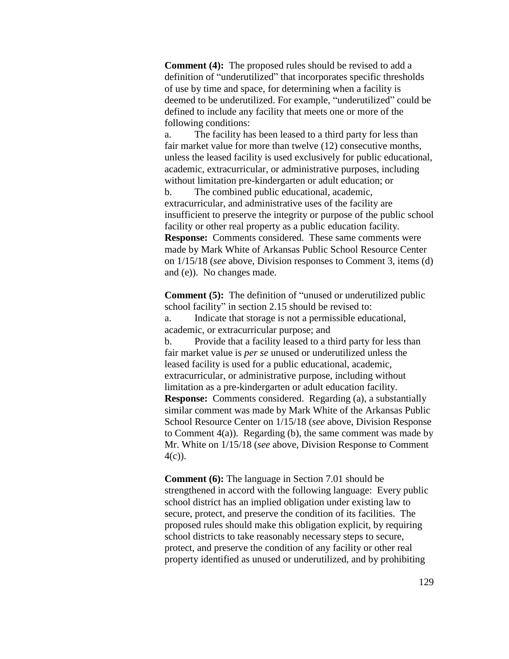**Comment (4):** The proposed rules should be revised to add a definition of "underutilized" that incorporates specific thresholds of use by time and space, for determining when a facility is deemed to be underutilized. For example, "underutilized" could be defined to include any facility that meets one or more of the following conditions:

a. The facility has been leased to a third party for less than fair market value for more than twelve (12) consecutive months, unless the leased facility is used exclusively for public educational, academic, extracurricular, or administrative purposes, including without limitation pre-kindergarten or adult education; or

b. The combined public educational, academic, extracurricular, and administrative uses of the facility are insufficient to preserve the integrity or purpose of the public school facility or other real property as a public education facility. **Response:** Comments considered. These same comments were made by Mark White of Arkansas Public School Resource Center on 1/15/18 (*see* above, Division responses to Comment 3, items (d) and (e)). No changes made.

**Comment (5):** The definition of "unused or underutilized public school facility" in section 2.15 should be revised to: a. Indicate that storage is not a permissible educational, academic, or extracurricular purpose; and b. Provide that a facility leased to a third party for less than

fair market value is *per se* unused or underutilized unless the leased facility is used for a public educational, academic, extracurricular, or administrative purpose, including without limitation as a pre-kindergarten or adult education facility. **Response:** Comments considered. Regarding (a), a substantially similar comment was made by Mark White of the Arkansas Public School Resource Center on 1/15/18 (*see* above, Division Response to Comment  $4(a)$ ). Regarding (b), the same comment was made by Mr. White on 1/15/18 (*see* above, Division Response to Comment 4(c)).

**Comment (6):** The language in Section 7.01 should be strengthened in accord with the following language: Every public school district has an implied obligation under existing law to secure, protect, and preserve the condition of its facilities. The proposed rules should make this obligation explicit, by requiring school districts to take reasonably necessary steps to secure, protect, and preserve the condition of any facility or other real property identified as unused or underutilized, and by prohibiting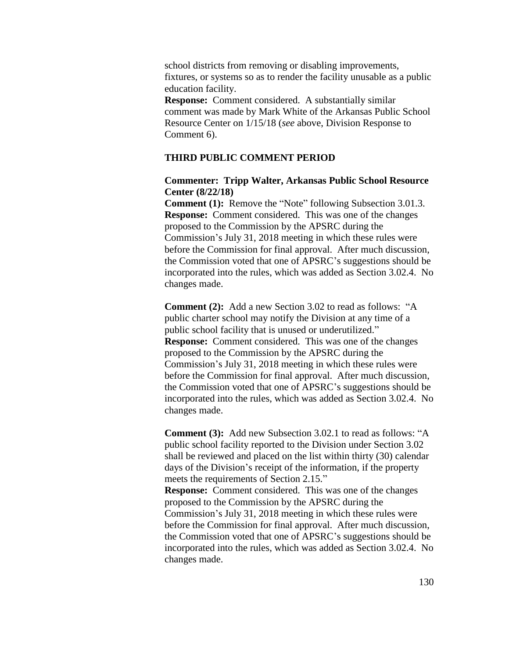school districts from removing or disabling improvements, fixtures, or systems so as to render the facility unusable as a public education facility.

**Response:** Comment considered. A substantially similar comment was made by Mark White of the Arkansas Public School Resource Center on 1/15/18 (*see* above, Division Response to Comment 6).

#### **THIRD PUBLIC COMMENT PERIOD**

#### **Commenter: Tripp Walter, Arkansas Public School Resource Center (8/22/18)**

**Comment (1):** Remove the "Note" following Subsection 3.01.3. **Response:** Comment considered. This was one of the changes proposed to the Commission by the APSRC during the Commission's July 31, 2018 meeting in which these rules were before the Commission for final approval. After much discussion, the Commission voted that one of APSRC's suggestions should be incorporated into the rules, which was added as Section 3.02.4. No changes made.

**Comment (2):** Add a new Section 3.02 to read as follows: "A public charter school may notify the Division at any time of a public school facility that is unused or underutilized." **Response:** Comment considered. This was one of the changes proposed to the Commission by the APSRC during the Commission's July 31, 2018 meeting in which these rules were before the Commission for final approval. After much discussion, the Commission voted that one of APSRC's suggestions should be incorporated into the rules, which was added as Section 3.02.4. No changes made.

**Comment (3):** Add new Subsection 3.02.1 to read as follows: "A public school facility reported to the Division under Section 3.02 shall be reviewed and placed on the list within thirty (30) calendar days of the Division's receipt of the information, if the property meets the requirements of Section 2.15." **Response:** Comment considered. This was one of the changes proposed to the Commission by the APSRC during the Commission's July 31, 2018 meeting in which these rules were before the Commission for final approval. After much discussion, the Commission voted that one of APSRC's suggestions should be incorporated into the rules, which was added as Section 3.02.4. No changes made.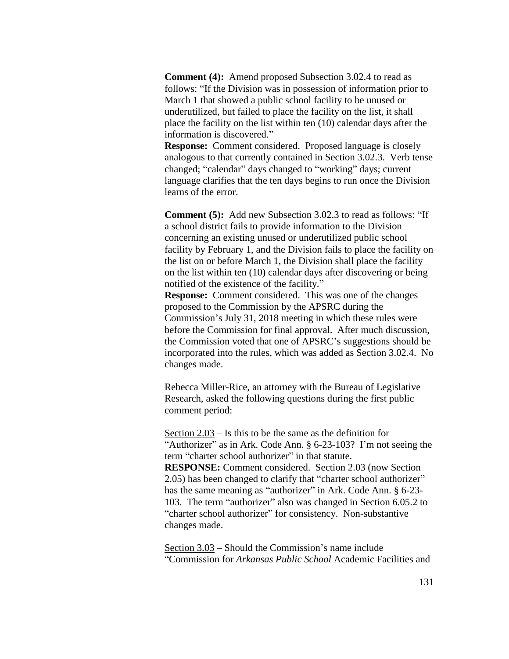**Comment (4):** Amend proposed Subsection 3.02.4 to read as follows: "If the Division was in possession of information prior to March 1 that showed a public school facility to be unused or underutilized, but failed to place the facility on the list, it shall place the facility on the list within ten (10) calendar days after the information is discovered."

**Response:** Comment considered. Proposed language is closely analogous to that currently contained in Section 3.02.3. Verb tense changed; "calendar" days changed to "working" days; current language clarifies that the ten days begins to run once the Division learns of the error.

**Comment (5):** Add new Subsection 3.02.3 to read as follows: "If a school district fails to provide information to the Division concerning an existing unused or underutilized public school facility by February 1, and the Division fails to place the facility on the list on or before March 1, the Division shall place the facility on the list within ten (10) calendar days after discovering or being notified of the existence of the facility."

**Response:** Comment considered. This was one of the changes proposed to the Commission by the APSRC during the Commission's July 31, 2018 meeting in which these rules were before the Commission for final approval. After much discussion, the Commission voted that one of APSRC's suggestions should be incorporated into the rules, which was added as Section 3.02.4. No changes made.

Rebecca Miller-Rice, an attorney with the Bureau of Legislative Research, asked the following questions during the first public comment period:

Section 2.03 – Is this to be the same as the definition for "Authorizer" as in Ark. Code Ann. § 6-23-103? I'm not seeing the term "charter school authorizer" in that statute. **RESPONSE:** Comment considered. Section 2.03 (now Section 2.05) has been changed to clarify that "charter school authorizer" has the same meaning as "authorizer" in Ark. Code Ann. § 6-23-103. The term "authorizer" also was changed in Section 6.05.2 to "charter school authorizer" for consistency. Non-substantive changes made.

Section 3.03 – Should the Commission's name include "Commission for *Arkansas Public School* Academic Facilities and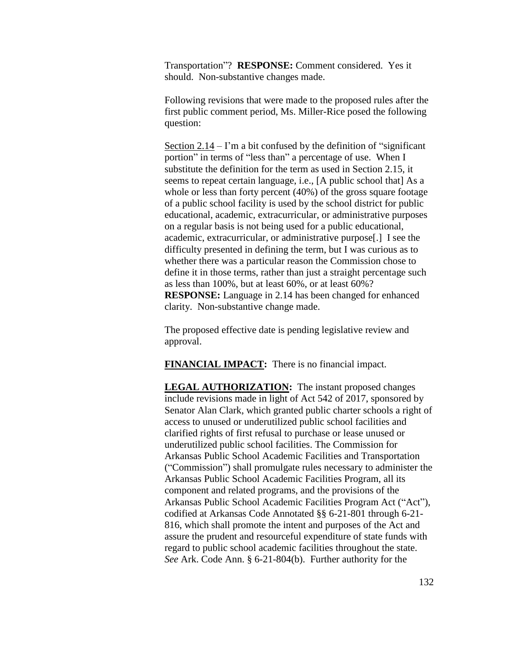Transportation"? **RESPONSE:** Comment considered. Yes it should. Non-substantive changes made.

Following revisions that were made to the proposed rules after the first public comment period, Ms. Miller-Rice posed the following question:

Section 2.14 – I'm a bit confused by the definition of "significant portion" in terms of "less than" a percentage of use. When I substitute the definition for the term as used in Section 2.15, it seems to repeat certain language, i.e., [A public school that] As a whole or less than forty percent (40%) of the gross square footage of a public school facility is used by the school district for public educational, academic, extracurricular, or administrative purposes on a regular basis is not being used for a public educational, academic, extracurricular, or administrative purpose[.] I see the difficulty presented in defining the term, but I was curious as to whether there was a particular reason the Commission chose to define it in those terms, rather than just a straight percentage such as less than 100%, but at least 60%, or at least 60%? **RESPONSE:** Language in 2.14 has been changed for enhanced clarity. Non-substantive change made.

The proposed effective date is pending legislative review and approval.

**FINANCIAL IMPACT:** There is no financial impact.

**LEGAL AUTHORIZATION:** The instant proposed changes include revisions made in light of Act 542 of 2017, sponsored by Senator Alan Clark, which granted public charter schools a right of access to unused or underutilized public school facilities and clarified rights of first refusal to purchase or lease unused or underutilized public school facilities. The Commission for Arkansas Public School Academic Facilities and Transportation ("Commission") shall promulgate rules necessary to administer the Arkansas Public School Academic Facilities Program, all its component and related programs, and the provisions of the Arkansas Public School Academic Facilities Program Act ("Act"), codified at Arkansas Code Annotated §§ 6-21-801 through 6-21- 816, which shall promote the intent and purposes of the Act and assure the prudent and resourceful expenditure of state funds with regard to public school academic facilities throughout the state. *See* Ark. Code Ann. § 6-21-804(b). Further authority for the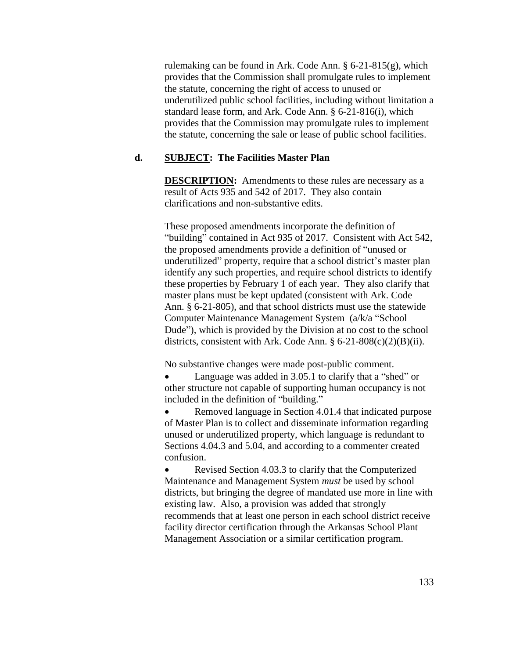rulemaking can be found in Ark. Code Ann. § 6-21-815(g), which provides that the Commission shall promulgate rules to implement the statute, concerning the right of access to unused or underutilized public school facilities, including without limitation a standard lease form, and Ark. Code Ann. § 6-21-816(i), which provides that the Commission may promulgate rules to implement the statute, concerning the sale or lease of public school facilities.

### **d. SUBJECT: The Facilities Master Plan**

**DESCRIPTION:** Amendments to these rules are necessary as a result of Acts 935 and 542 of 2017. They also contain clarifications and non-substantive edits.

These proposed amendments incorporate the definition of "building" contained in Act 935 of 2017. Consistent with Act 542, the proposed amendments provide a definition of "unused or underutilized" property, require that a school district's master plan identify any such properties, and require school districts to identify these properties by February 1 of each year. They also clarify that master plans must be kept updated (consistent with Ark. Code Ann. § 6-21-805), and that school districts must use the statewide Computer Maintenance Management System (a/k/a "School Dude"), which is provided by the Division at no cost to the school districts, consistent with Ark. Code Ann.  $\S 6-21-808(c)(2)(B)(ii)$ .

No substantive changes were made post-public comment.

 Language was added in 3.05.1 to clarify that a "shed" or other structure not capable of supporting human occupancy is not included in the definition of "building."

 Removed language in Section 4.01.4 that indicated purpose of Master Plan is to collect and disseminate information regarding unused or underutilized property, which language is redundant to Sections 4.04.3 and 5.04, and according to a commenter created confusion.

• Revised Section 4.03.3 to clarify that the Computerized Maintenance and Management System *must* be used by school districts, but bringing the degree of mandated use more in line with existing law. Also, a provision was added that strongly recommends that at least one person in each school district receive facility director certification through the Arkansas School Plant Management Association or a similar certification program.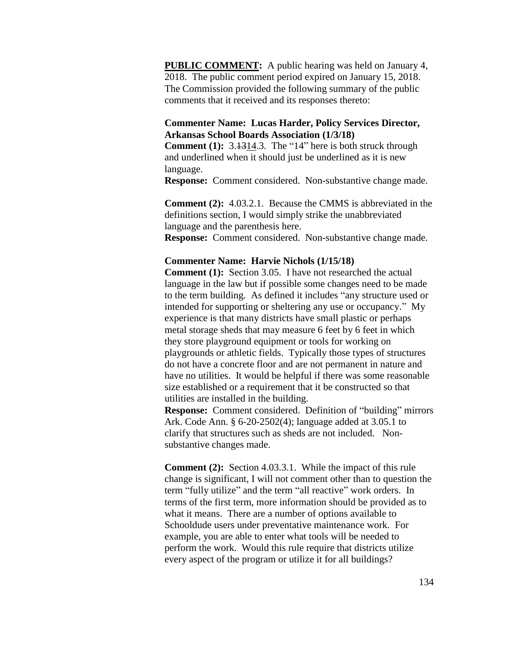**PUBLIC COMMENT:** A public hearing was held on January 4, 2018. The public comment period expired on January 15, 2018. The Commission provided the following summary of the public comments that it received and its responses thereto:

### **Commenter Name: Lucas Harder, Policy Services Director, Arkansas School Boards Association (1/3/18)**

**Comment** (1): 3.4314.3. The "14" here is both struck through and underlined when it should just be underlined as it is new language.

**Response:** Comment considered. Non-substantive change made.

**Comment (2):** 4.03.2.1. Because the CMMS is abbreviated in the definitions section, I would simply strike the unabbreviated language and the parenthesis here. **Response:** Comment considered. Non-substantive change made.

#### **Commenter Name: Harvie Nichols (1/15/18)**

**Comment (1):** Section 3.05. I have not researched the actual language in the law but if possible some changes need to be made to the term building. As defined it includes "any structure used or intended for supporting or sheltering any use or occupancy." My experience is that many districts have small plastic or perhaps metal storage sheds that may measure 6 feet by 6 feet in which they store playground equipment or tools for working on playgrounds or athletic fields. Typically those types of structures do not have a concrete floor and are not permanent in nature and have no utilities. It would be helpful if there was some reasonable size established or a requirement that it be constructed so that utilities are installed in the building.

**Response:** Comment considered. Definition of "building" mirrors Ark. Code Ann. § 6-20-2502(4); language added at 3.05.1 to clarify that structures such as sheds are not included. Nonsubstantive changes made.

**Comment (2):** Section 4.03.3.1. While the impact of this rule change is significant, I will not comment other than to question the term "fully utilize" and the term "all reactive" work orders. In terms of the first term, more information should be provided as to what it means. There are a number of options available to Schooldude users under preventative maintenance work. For example, you are able to enter what tools will be needed to perform the work. Would this rule require that districts utilize every aspect of the program or utilize it for all buildings?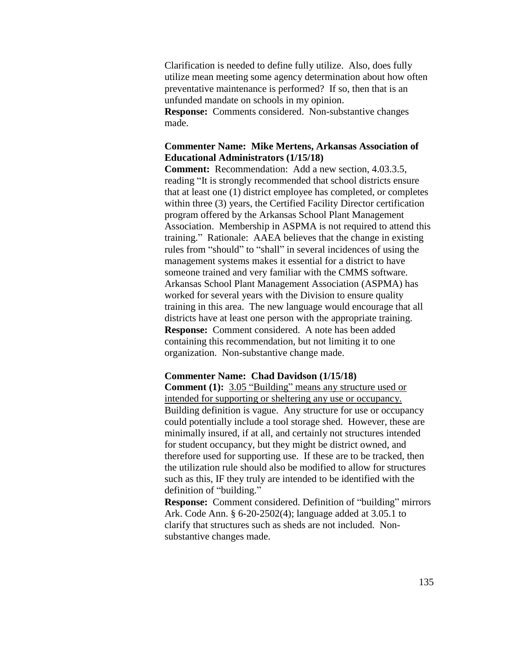Clarification is needed to define fully utilize. Also, does fully utilize mean meeting some agency determination about how often preventative maintenance is performed? If so, then that is an unfunded mandate on schools in my opinion. **Response:** Comments considered. Non-substantive changes made.

## **Commenter Name: Mike Mertens, Arkansas Association of Educational Administrators (1/15/18)**

**Comment:** Recommendation: Add a new section, 4.03.3.5, reading "It is strongly recommended that school districts ensure that at least one (1) district employee has completed, or completes within three (3) years, the Certified Facility Director certification program offered by the Arkansas School Plant Management Association. Membership in ASPMA is not required to attend this training." Rationale: AAEA believes that the change in existing rules from "should" to "shall" in several incidences of using the management systems makes it essential for a district to have someone trained and very familiar with the CMMS software. Arkansas School Plant Management Association (ASPMA) has worked for several years with the Division to ensure quality training in this area. The new language would encourage that all districts have at least one person with the appropriate training. **Response:** Comment considered. A note has been added containing this recommendation, but not limiting it to one organization. Non-substantive change made.

#### **Commenter Name: Chad Davidson (1/15/18)**

**Comment (1):** 3.05 "Building" means any structure used or intended for supporting or sheltering any use or occupancy. Building definition is vague. Any structure for use or occupancy could potentially include a tool storage shed. However, these are minimally insured, if at all, and certainly not structures intended for student occupancy, but they might be district owned, and therefore used for supporting use. If these are to be tracked, then the utilization rule should also be modified to allow for structures such as this, IF they truly are intended to be identified with the definition of "building."

**Response:** Comment considered. Definition of "building" mirrors Ark. Code Ann. § 6-20-2502(4); language added at 3.05.1 to clarify that structures such as sheds are not included. Nonsubstantive changes made.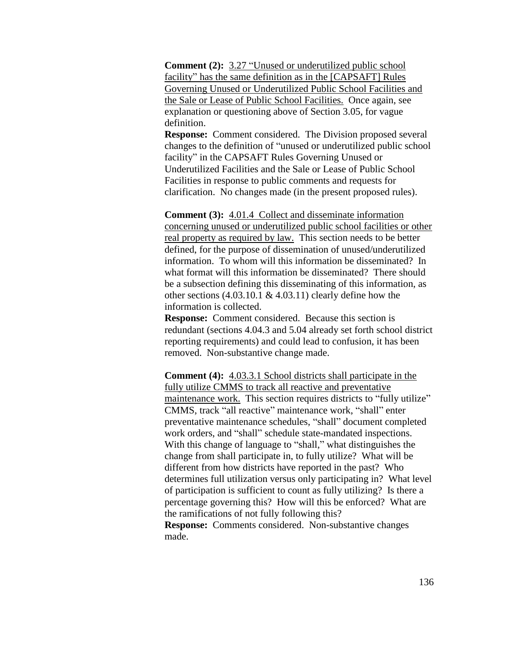**Comment (2):** 3.27 "Unused or underutilized public school facility" has the same definition as in the [CAPSAFT] Rules Governing Unused or Underutilized Public School Facilities and the Sale or Lease of Public School Facilities. Once again, see explanation or questioning above of Section 3.05, for vague definition.

**Response:** Comment considered. The Division proposed several changes to the definition of "unused or underutilized public school facility" in the CAPSAFT Rules Governing Unused or Underutilized Facilities and the Sale or Lease of Public School Facilities in response to public comments and requests for clarification. No changes made (in the present proposed rules).

**Comment (3):** 4.01.4 Collect and disseminate information concerning unused or underutilized public school facilities or other real property as required by law. This section needs to be better defined, for the purpose of dissemination of unused/underutilized information. To whom will this information be disseminated? In what format will this information be disseminated? There should be a subsection defining this disseminating of this information, as other sections  $(4.03.10.1 \& 4.03.11)$  clearly define how the information is collected.

**Response:** Comment considered. Because this section is redundant (sections 4.04.3 and 5.04 already set forth school district reporting requirements) and could lead to confusion, it has been removed. Non-substantive change made.

**Comment (4):** 4.03.3.1 School districts shall participate in the fully utilize CMMS to track all reactive and preventative maintenance work. This section requires districts to "fully utilize" CMMS, track "all reactive" maintenance work, "shall" enter preventative maintenance schedules, "shall" document completed work orders, and "shall" schedule state-mandated inspections. With this change of language to "shall," what distinguishes the change from shall participate in, to fully utilize? What will be different from how districts have reported in the past? Who determines full utilization versus only participating in? What level of participation is sufficient to count as fully utilizing? Is there a percentage governing this? How will this be enforced? What are the ramifications of not fully following this? **Response:** Comments considered. Non-substantive changes made.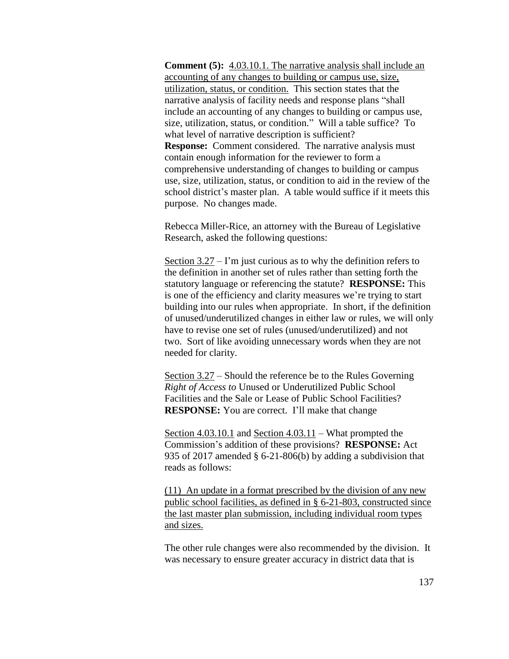**Comment (5):** 4.03.10.1. The narrative analysis shall include an accounting of any changes to building or campus use, size, utilization, status, or condition. This section states that the narrative analysis of facility needs and response plans "shall include an accounting of any changes to building or campus use, size, utilization, status, or condition." Will a table suffice? To what level of narrative description is sufficient? **Response:** Comment considered. The narrative analysis must contain enough information for the reviewer to form a comprehensive understanding of changes to building or campus use, size, utilization, status, or condition to aid in the review of the school district's master plan. A table would suffice if it meets this purpose. No changes made.

Rebecca Miller-Rice, an attorney with the Bureau of Legislative Research, asked the following questions:

Section  $3.27 - I'm$  just curious as to why the definition refers to the definition in another set of rules rather than setting forth the statutory language or referencing the statute? **RESPONSE:** This is one of the efficiency and clarity measures we're trying to start building into our rules when appropriate. In short, if the definition of unused/underutilized changes in either law or rules, we will only have to revise one set of rules (unused/underutilized) and not two. Sort of like avoiding unnecessary words when they are not needed for clarity.

Section 3.27 – Should the reference be to the Rules Governing *Right of Access to* Unused or Underutilized Public School Facilities and the Sale or Lease of Public School Facilities? **RESPONSE:** You are correct. I'll make that change

Section 4.03.10.1 and Section 4.03.11 – What prompted the Commission's addition of these provisions? **RESPONSE:** Act 935 of 2017 amended § 6-21-806(b) by adding a subdivision that reads as follows:

(11) An update in a format prescribed by the division of any new public school facilities, as defined in § 6-21-803, constructed since the last master plan submission, including individual room types and sizes.

The other rule changes were also recommended by the division. It was necessary to ensure greater accuracy in district data that is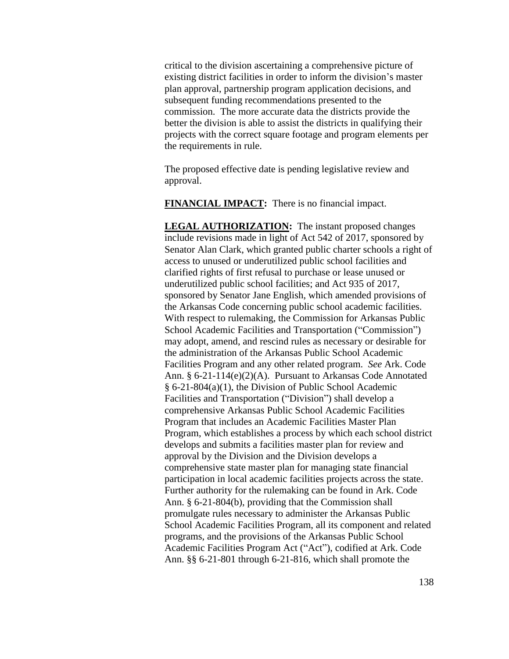critical to the division ascertaining a comprehensive picture of existing district facilities in order to inform the division's master plan approval, partnership program application decisions, and subsequent funding recommendations presented to the commission. The more accurate data the districts provide the better the division is able to assist the districts in qualifying their projects with the correct square footage and program elements per the requirements in rule.

The proposed effective date is pending legislative review and approval.

**FINANCIAL IMPACT:** There is no financial impact.

**LEGAL AUTHORIZATION:** The instant proposed changes include revisions made in light of Act 542 of 2017, sponsored by Senator Alan Clark, which granted public charter schools a right of access to unused or underutilized public school facilities and clarified rights of first refusal to purchase or lease unused or underutilized public school facilities; and Act 935 of 2017, sponsored by Senator Jane English, which amended provisions of the Arkansas Code concerning public school academic facilities. With respect to rulemaking, the Commission for Arkansas Public School Academic Facilities and Transportation ("Commission") may adopt, amend, and rescind rules as necessary or desirable for the administration of the Arkansas Public School Academic Facilities Program and any other related program. *See* Ark. Code Ann. § 6-21-114(e)(2)(A). Pursuant to Arkansas Code Annotated § 6-21-804(a)(1), the Division of Public School Academic Facilities and Transportation ("Division") shall develop a comprehensive Arkansas Public School Academic Facilities Program that includes an Academic Facilities Master Plan Program, which establishes a process by which each school district develops and submits a facilities master plan for review and approval by the Division and the Division develops a comprehensive state master plan for managing state financial participation in local academic facilities projects across the state. Further authority for the rulemaking can be found in Ark. Code Ann. § 6-21-804(b), providing that the Commission shall promulgate rules necessary to administer the Arkansas Public School Academic Facilities Program, all its component and related programs, and the provisions of the Arkansas Public School Academic Facilities Program Act ("Act"), codified at Ark. Code Ann. §§ 6-21-801 through 6-21-816, which shall promote the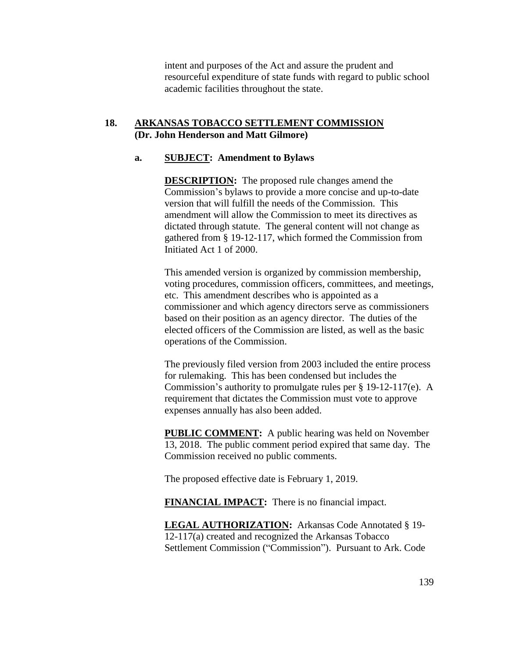intent and purposes of the Act and assure the prudent and resourceful expenditure of state funds with regard to public school academic facilities throughout the state.

### **18. ARKANSAS TOBACCO SETTLEMENT COMMISSION (Dr. John Henderson and Matt Gilmore)**

#### **a. SUBJECT: Amendment to Bylaws**

**DESCRIPTION:** The proposed rule changes amend the Commission's bylaws to provide a more concise and up-to-date version that will fulfill the needs of the Commission. This amendment will allow the Commission to meet its directives as dictated through statute. The general content will not change as gathered from § 19-12-117, which formed the Commission from Initiated Act 1 of 2000.

This amended version is organized by commission membership, voting procedures, commission officers, committees, and meetings, etc. This amendment describes who is appointed as a commissioner and which agency directors serve as commissioners based on their position as an agency director. The duties of the elected officers of the Commission are listed, as well as the basic operations of the Commission.

The previously filed version from 2003 included the entire process for rulemaking. This has been condensed but includes the Commission's authority to promulgate rules per § 19-12-117(e). A requirement that dictates the Commission must vote to approve expenses annually has also been added.

**PUBLIC COMMENT:** A public hearing was held on November 13, 2018. The public comment period expired that same day. The Commission received no public comments.

The proposed effective date is February 1, 2019.

**FINANCIAL IMPACT:** There is no financial impact.

**LEGAL AUTHORIZATION:** Arkansas Code Annotated § 19- 12-117(a) created and recognized the Arkansas Tobacco Settlement Commission ("Commission"). Pursuant to Ark. Code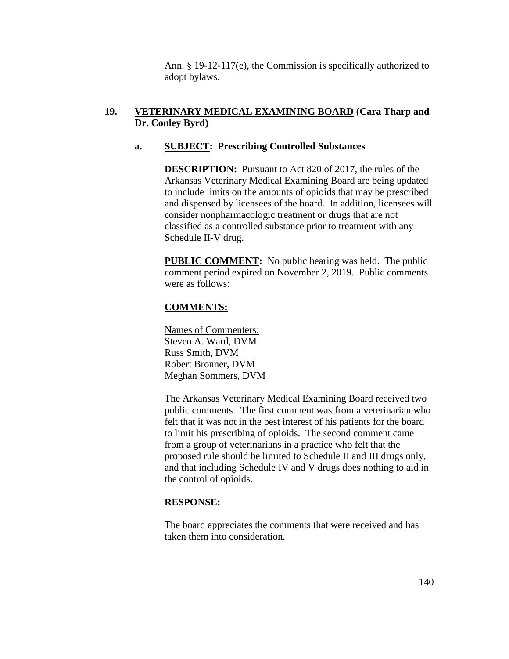Ann. § 19-12-117(e), the Commission is specifically authorized to adopt bylaws.

# **19. VETERINARY MEDICAL EXAMINING BOARD (Cara Tharp and Dr. Conley Byrd)**

## **a. SUBJECT: Prescribing Controlled Substances**

**DESCRIPTION:** Pursuant to Act 820 of 2017, the rules of the Arkansas Veterinary Medical Examining Board are being updated to include limits on the amounts of opioids that may be prescribed and dispensed by licensees of the board. In addition, licensees will consider nonpharmacologic treatment or drugs that are not classified as a controlled substance prior to treatment with any Schedule II-V drug.

**PUBLIC COMMENT:** No public hearing was held. The public comment period expired on November 2, 2019. Public comments were as follows:

# **COMMENTS:**

Names of Commenters: Steven A. Ward, DVM Russ Smith, DVM Robert Bronner, DVM Meghan Sommers, DVM

The Arkansas Veterinary Medical Examining Board received two public comments. The first comment was from a veterinarian who felt that it was not in the best interest of his patients for the board to limit his prescribing of opioids. The second comment came from a group of veterinarians in a practice who felt that the proposed rule should be limited to Schedule II and III drugs only, and that including Schedule IV and V drugs does nothing to aid in the control of opioids.

# **RESPONSE:**

The board appreciates the comments that were received and has taken them into consideration.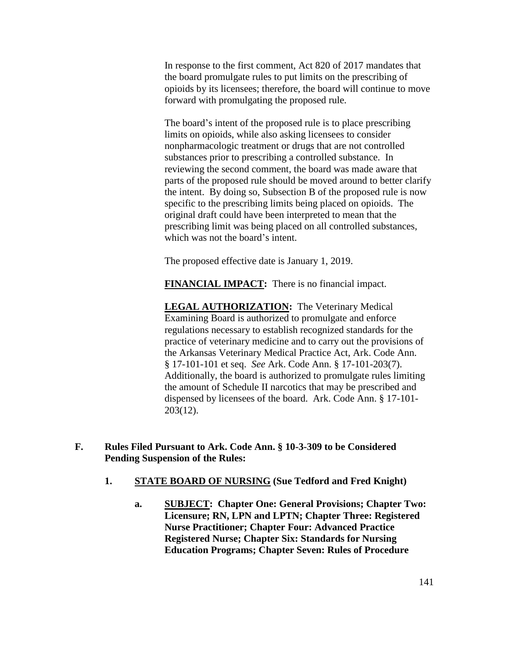In response to the first comment, Act 820 of 2017 mandates that the board promulgate rules to put limits on the prescribing of opioids by its licensees; therefore, the board will continue to move forward with promulgating the proposed rule.

The board's intent of the proposed rule is to place prescribing limits on opioids, while also asking licensees to consider nonpharmacologic treatment or drugs that are not controlled substances prior to prescribing a controlled substance. In reviewing the second comment, the board was made aware that parts of the proposed rule should be moved around to better clarify the intent. By doing so, Subsection B of the proposed rule is now specific to the prescribing limits being placed on opioids. The original draft could have been interpreted to mean that the prescribing limit was being placed on all controlled substances, which was not the board's intent.

The proposed effective date is January 1, 2019.

**FINANCIAL IMPACT:** There is no financial impact.

**LEGAL AUTHORIZATION:** The Veterinary Medical Examining Board is authorized to promulgate and enforce regulations necessary to establish recognized standards for the practice of veterinary medicine and to carry out the provisions of the Arkansas Veterinary Medical Practice Act, Ark. Code Ann. § 17-101-101 et seq. *See* Ark. Code Ann. § 17-101-203(7). Additionally, the board is authorized to promulgate rules limiting the amount of Schedule II narcotics that may be prescribed and dispensed by licensees of the board. Ark. Code Ann. § 17-101- 203(12).

- **F. Rules Filed Pursuant to Ark. Code Ann. § 10-3-309 to be Considered Pending Suspension of the Rules:**
	- **1. STATE BOARD OF NURSING (Sue Tedford and Fred Knight)**
		- **a. SUBJECT: Chapter One: General Provisions; Chapter Two: Licensure; RN, LPN and LPTN; Chapter Three: Registered Nurse Practitioner; Chapter Four: Advanced Practice Registered Nurse; Chapter Six: Standards for Nursing Education Programs; Chapter Seven: Rules of Procedure**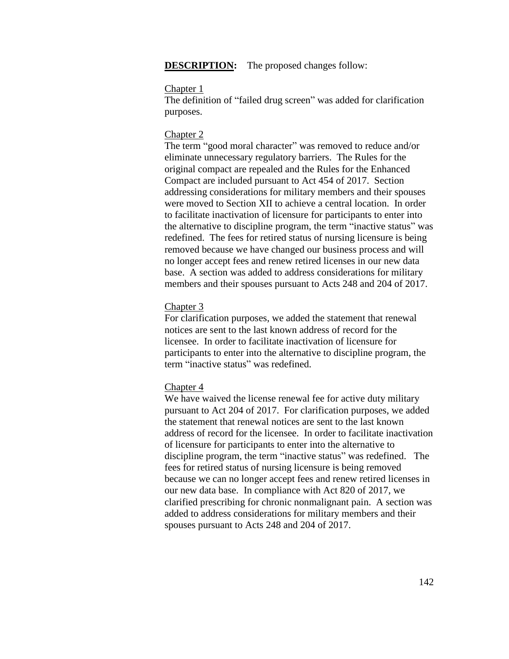**DESCRIPTION:** The proposed changes follow:

#### Chapter 1

The definition of "failed drug screen" was added for clarification purposes.

#### Chapter 2

The term "good moral character" was removed to reduce and/or eliminate unnecessary regulatory barriers. The Rules for the original compact are repealed and the Rules for the Enhanced Compact are included pursuant to Act 454 of 2017. Section addressing considerations for military members and their spouses were moved to Section XII to achieve a central location. In order to facilitate inactivation of licensure for participants to enter into the alternative to discipline program, the term "inactive status" was redefined. The fees for retired status of nursing licensure is being removed because we have changed our business process and will no longer accept fees and renew retired licenses in our new data base. A section was added to address considerations for military members and their spouses pursuant to Acts 248 and 204 of 2017.

#### Chapter 3

For clarification purposes, we added the statement that renewal notices are sent to the last known address of record for the licensee. In order to facilitate inactivation of licensure for participants to enter into the alternative to discipline program, the term "inactive status" was redefined.

#### Chapter 4

We have waived the license renewal fee for active duty military pursuant to Act 204 of 2017. For clarification purposes, we added the statement that renewal notices are sent to the last known address of record for the licensee. In order to facilitate inactivation of licensure for participants to enter into the alternative to discipline program, the term "inactive status" was redefined. The fees for retired status of nursing licensure is being removed because we can no longer accept fees and renew retired licenses in our new data base. In compliance with Act 820 of 2017, we clarified prescribing for chronic nonmalignant pain. A section was added to address considerations for military members and their spouses pursuant to Acts 248 and 204 of 2017.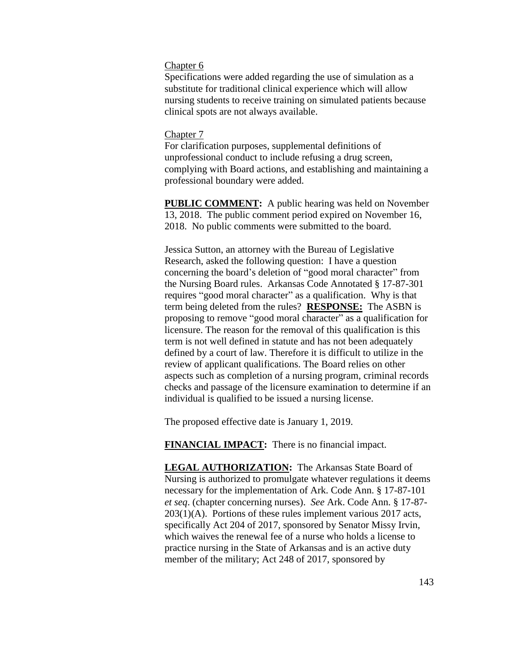#### Chapter 6

Specifications were added regarding the use of simulation as a substitute for traditional clinical experience which will allow nursing students to receive training on simulated patients because clinical spots are not always available.

### Chapter 7

For clarification purposes, supplemental definitions of unprofessional conduct to include refusing a drug screen, complying with Board actions, and establishing and maintaining a professional boundary were added.

**PUBLIC COMMENT:** A public hearing was held on November 13, 2018. The public comment period expired on November 16, 2018. No public comments were submitted to the board.

Jessica Sutton, an attorney with the Bureau of Legislative Research, asked the following question: I have a question concerning the board's deletion of "good moral character" from the Nursing Board rules. Arkansas Code Annotated § 17-87-301 requires "good moral character" as a qualification. Why is that term being deleted from the rules? **RESPONSE:** The ASBN is proposing to remove "good moral character" as a qualification for licensure. The reason for the removal of this qualification is this term is not well defined in statute and has not been adequately defined by a court of law. Therefore it is difficult to utilize in the review of applicant qualifications. The Board relies on other aspects such as completion of a nursing program, criminal records checks and passage of the licensure examination to determine if an individual is qualified to be issued a nursing license.

The proposed effective date is January 1, 2019.

**FINANCIAL IMPACT:** There is no financial impact.

**LEGAL AUTHORIZATION:** The Arkansas State Board of Nursing is authorized to promulgate whatever regulations it deems necessary for the implementation of Ark. Code Ann. § 17-87-101 *et seq*. (chapter concerning nurses). *See* Ark. Code Ann. § 17-87-  $203(1)(A)$ . Portions of these rules implement various 2017 acts, specifically Act 204 of 2017, sponsored by Senator Missy Irvin, which waives the renewal fee of a nurse who holds a license to practice nursing in the State of Arkansas and is an active duty member of the military; Act 248 of 2017, sponsored by